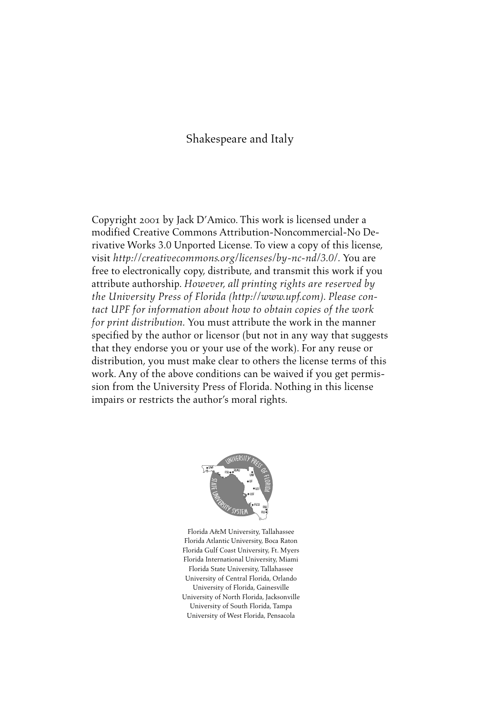#### Shakespeare and Italy

Copyright 2001 by Jack D'Amico. This work is licensed under a modified Creative Commons Attribution-Noncommercial-No Derivative Works 3.0 Unported License. To view a copy of this license, visit *http://creativecommons.org/licenses/by-nc-nd/3.0/.* You are free to electronically copy, distribute, and transmit this work if you attribute authorship. *However, all printing rights are reserved by the University Press of Florida (http://www.upf.com). Please contact UPF for information about how to obtain copies of the work for print distribution.* You must attribute the work in the manner specified by the author or licensor (but not in any way that suggests that they endorse you or your use of the work). For any reuse or distribution, you must make clear to others the license terms of this work. Any of the above conditions can be waived if you get permission from the University Press of Florida. Nothing in this license impairs or restricts the author's moral rights.



Florida A&M University, Tallahassee Florida Atlantic University, Boca Raton Florida Gulf Coast University, Ft. Myers Florida International University, Miami Florida State University, Tallahassee University of Central Florida, Orlando University of Florida, Gainesville University of North Florida, Jacksonville University of South Florida, Tampa University of West Florida, Pensacola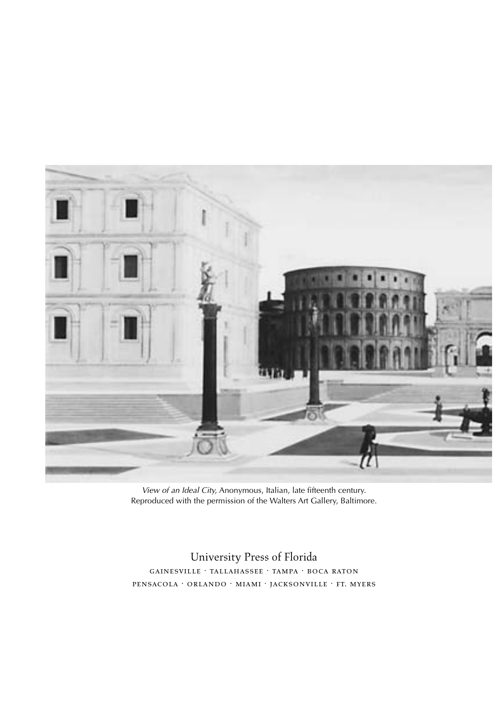

View of an Ideal City, Anonymous, Italian, late fifteenth century. Reproduced with the permission of the Walters Art Gallery, Baltimore.

University Press of Florida gainesville · tallahassee · tampa · boca raton pensacola · orlando · miami · jacksonville · ft. myers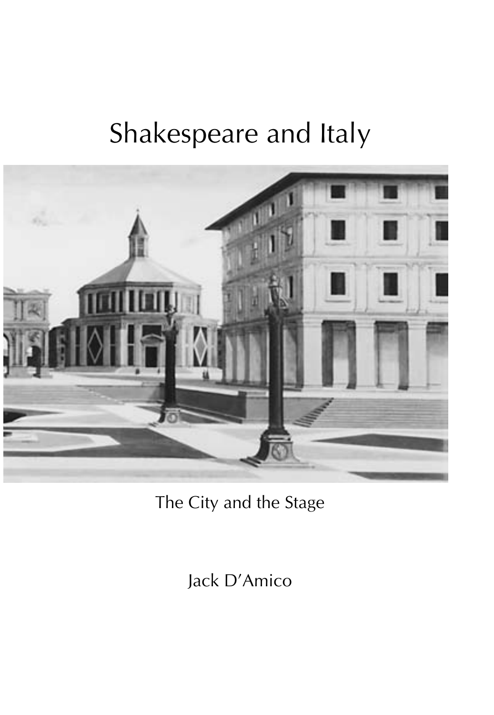# Shakespeare and Italy



The City and the Stage

Jack D'Amico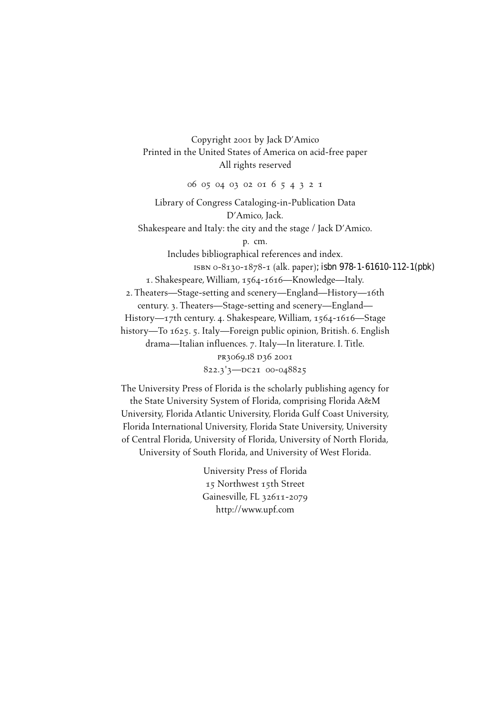Copyright 2001 by Jack D'Amico Printed in the United States of America on acid-free paper All rights reserved

06 05 04 03 02 01 6 5 4 3 2 1

Library of Congress Cataloging-in-Publication Data D'Amico, Jack. Shakespeare and Italy: the city and the stage / Jack D'Amico. p. cm. Includes bibliographical references and index. isbn 0-8130-1878-1 (alk. paper); isbn 978-1-61610-112-1(pbk) 1. Shakespeare, William, 1564-1616—Knowledge—Italy. 2. Theaters—Stage-setting and scenery—England—History—16th century. 3. Theaters—Stage-setting and scenery—England— History—17th century. 4. Shakespeare, William, 1564-1616—Stage history—To 1625. 5. Italy—Foreign public opinion, British. 6. English drama—Italian influences. 7. Italy—In literature. I. Title. PR3069.18 D36 2001 822.3'3-DC21 00-048825

The University Press of Florida is the scholarly publishing agency for the State University System of Florida, comprising Florida A&M University, Florida Atlantic University, Florida Gulf Coast University, Florida International University, Florida State University, University of Central Florida, University of Florida, University of North Florida, University of South Florida, and University of West Florida.

> University Press of Florida 15 Northwest 15th Street Gainesville, FL 32611-2079 http://www.upf.com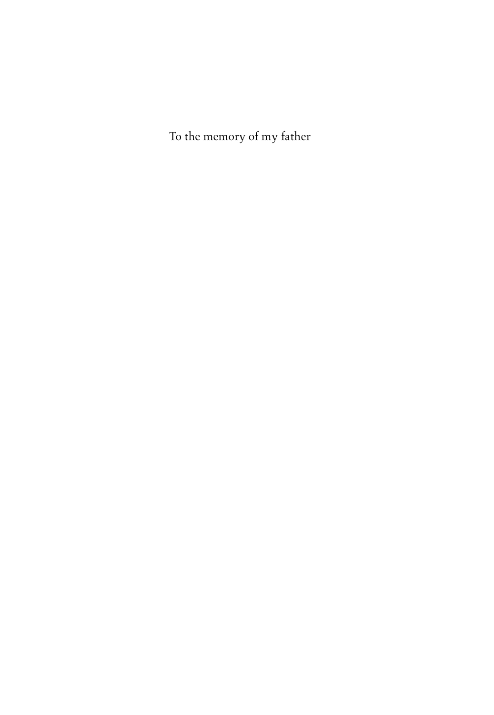To the memory of my father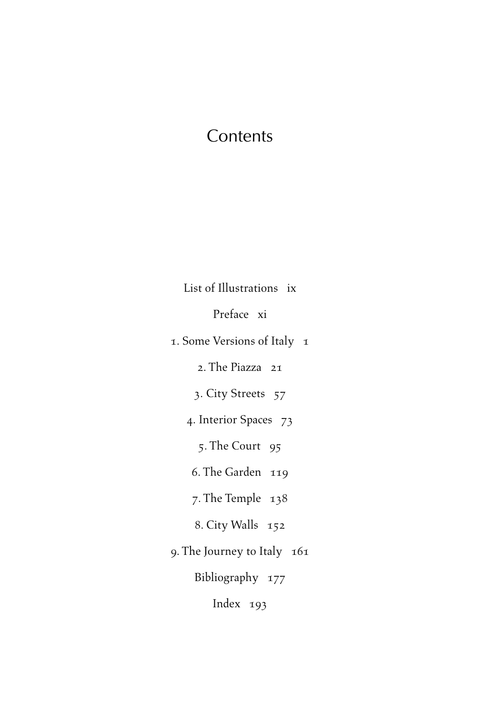## **Contents**

List of Illustrations ix

Preface xi

1. Some Versions of Italy 1

2. The Piazza 21

3. City Streets 57

4. Interior Spaces 73

5. The Court 95

6. The Garden 119

7. The Temple 138

8. City Walls 152

9. The Journey to Italy 161

Bibliography 177

Index 193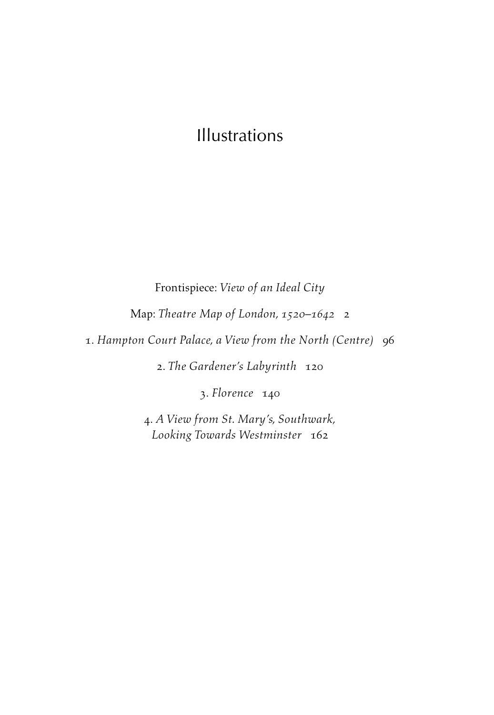## Illustrations

Frontispiece: *View of an Ideal City* Map: *Theatre Map of London, 1520–1642* 2

1. *Hampton Court Palace, a View from the North (Centre)* 96

2. *The Gardener's Labyrinth* 120

3. *Florence* 140

4. *A View from St. Mary's, Southwark, Looking Towards Westminster* 162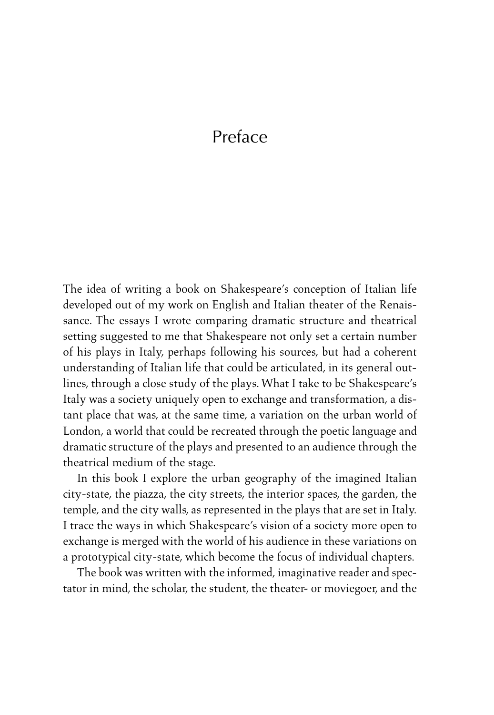### Preface

The idea of writing a book on Shakespeare's conception of Italian life developed out of my work on English and Italian theater of the Renaissance. The essays I wrote comparing dramatic structure and theatrical setting suggested to me that Shakespeare not only set a certain number of his plays in Italy, perhaps following his sources, but had a coherent understanding of Italian life that could be articulated, in its general outlines, through a close study of the plays. What I take to be Shakespeare's Italy was a society uniquely open to exchange and transformation, a distant place that was, at the same time, a variation on the urban world of London, a world that could be recreated through the poetic language and dramatic structure of the plays and presented to an audience through the theatrical medium of the stage.

In this book I explore the urban geography of the imagined Italian city-state, the piazza, the city streets, the interior spaces, the garden, the temple, and the city walls, as represented in the plays that are set in Italy. I trace the ways in which Shakespeare's vision of a society more open to exchange is merged with the world of his audience in these variations on a prototypical city-state, which become the focus of individual chapters.

The book was written with the informed, imaginative reader and spectator in mind, the scholar, the student, the theater- or moviegoer, and the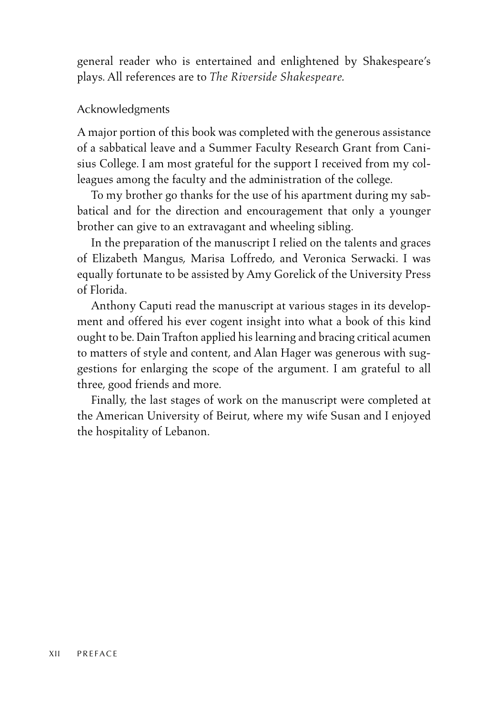general reader who is entertained and enlightened by Shakespeare's plays. All references are to *The Riverside Shakespeare.*

#### Acknowledgments

A major portion of this book was completed with the generous assistance of a sabbatical leave and a Summer Faculty Research Grant from Canisius College. I am most grateful for the support I received from my colleagues among the faculty and the administration of the college.

To my brother go thanks for the use of his apartment during my sabbatical and for the direction and encouragement that only a younger brother can give to an extravagant and wheeling sibling.

In the preparation of the manuscript I relied on the talents and graces of Elizabeth Mangus, Marisa Loffredo, and Veronica Serwacki. I was equally fortunate to be assisted by Amy Gorelick of the University Press of Florida.

Anthony Caputi read the manuscript at various stages in its development and offered his ever cogent insight into what a book of this kind ought to be. Dain Trafton applied his learning and bracing critical acumen to matters of style and content, and Alan Hager was generous with suggestions for enlarging the scope of the argument. I am grateful to all three, good friends and more.

Finally, the last stages of work on the manuscript were completed at the American University of Beirut, where my wife Susan and I enjoyed the hospitality of Lebanon.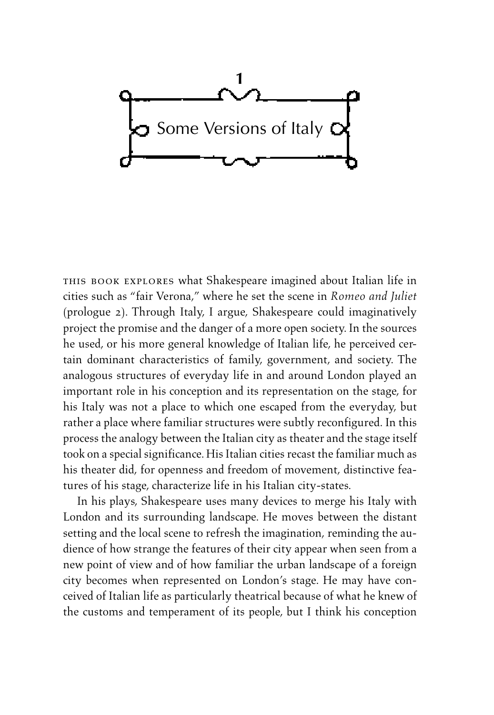

this book explores what Shakespeare imagined about Italian life in cities such as "fair Verona," where he set the scene in *Romeo and Juliet* (prologue 2). Through Italy, I argue, Shakespeare could imaginatively project the promise and the danger of a more open society. In the sources he used, or his more general knowledge of Italian life, he perceived certain dominant characteristics of family, government, and society. The analogous structures of everyday life in and around London played an important role in his conception and its representation on the stage, for his Italy was not a place to which one escaped from the everyday, but rather a place where familiar structures were subtly reconfigured. In this process the analogy between the Italian city as theater and the stage itself took on a special significance. His Italian cities recast the familiar much as his theater did, for openness and freedom of movement, distinctive features of his stage, characterize life in his Italian city-states.

In his plays, Shakespeare uses many devices to merge his Italy with London and its surrounding landscape. He moves between the distant setting and the local scene to refresh the imagination, reminding the audience of how strange the features of their city appear when seen from a new point of view and of how familiar the urban landscape of a foreign city becomes when represented on London's stage. He may have conceived of Italian life as particularly theatrical because of what he knew of the customs and temperament of its people, but I think his conception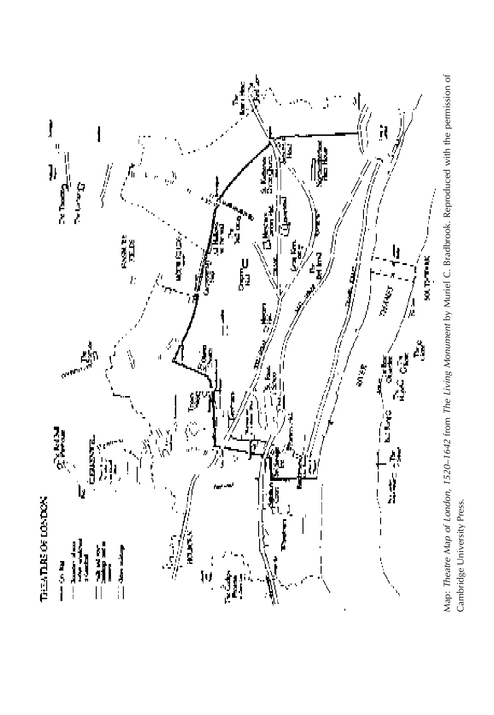

Map: Theatre Map of London, 1520-1642 from The Living Monument by Muriel C. Bradbrook. Reproduced with the permission of Map: Theatre Map of London, 1520–1642 from The Living Monument by Muriel C. Bradbrook. Reproduced with the permission of Cambridge University Press. Cambridge University Press.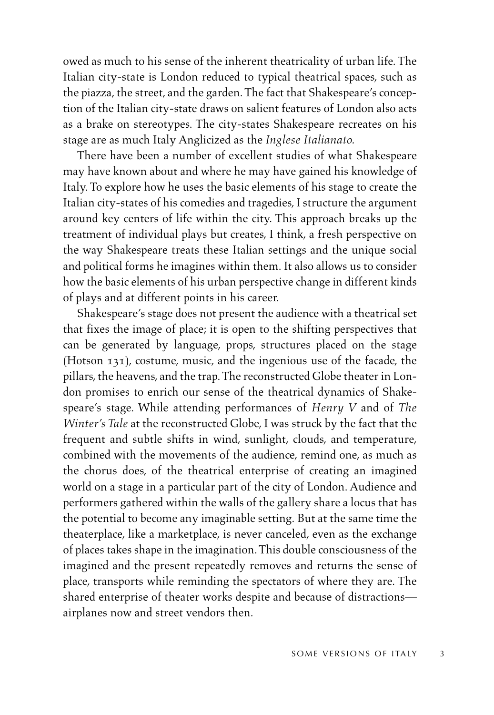owed as much to his sense of the inherent theatricality of urban life. The Italian city-state is London reduced to typical theatrical spaces, such as the piazza, the street, and the garden. The fact that Shakespeare's conception of the Italian city-state draws on salient features of London also acts as a brake on stereotypes. The city-states Shakespeare recreates on his stage are as much Italy Anglicized as the *Inglese Italianato.*

There have been a number of excellent studies of what Shakespeare may have known about and where he may have gained his knowledge of Italy. To explore how he uses the basic elements of his stage to create the Italian city-states of his comedies and tragedies, I structure the argument around key centers of life within the city. This approach breaks up the treatment of individual plays but creates, I think, a fresh perspective on the way Shakespeare treats these Italian settings and the unique social and political forms he imagines within them. It also allows us to consider how the basic elements of his urban perspective change in different kinds of plays and at different points in his career.

Shakespeare's stage does not present the audience with a theatrical set that fixes the image of place; it is open to the shifting perspectives that can be generated by language, props, structures placed on the stage (Hotson 131), costume, music, and the ingenious use of the facade, the pillars, the heavens, and the trap. The reconstructed Globe theater in London promises to enrich our sense of the theatrical dynamics of Shakespeare's stage. While attending performances of *Henry V* and of *The Winter's Tale* at the reconstructed Globe, I was struck by the fact that the frequent and subtle shifts in wind, sunlight, clouds, and temperature, combined with the movements of the audience, remind one, as much as the chorus does, of the theatrical enterprise of creating an imagined world on a stage in a particular part of the city of London. Audience and performers gathered within the walls of the gallery share a locus that has the potential to become any imaginable setting. But at the same time the theaterplace, like a marketplace, is never canceled, even as the exchange of places takes shape in the imagination. This double consciousness of the imagined and the present repeatedly removes and returns the sense of place, transports while reminding the spectators of where they are. The shared enterprise of theater works despite and because of distractions airplanes now and street vendors then.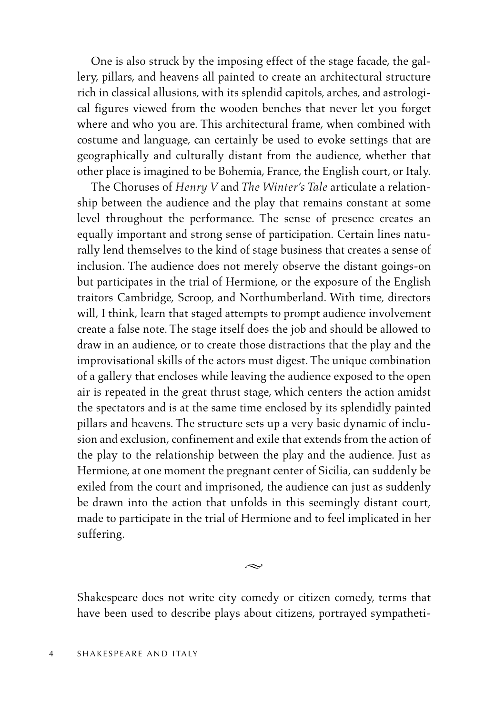One is also struck by the imposing effect of the stage facade, the gallery, pillars, and heavens all painted to create an architectural structure rich in classical allusions, with its splendid capitols, arches, and astrological figures viewed from the wooden benches that never let you forget where and who you are. This architectural frame, when combined with costume and language, can certainly be used to evoke settings that are geographically and culturally distant from the audience, whether that other place is imagined to be Bohemia, France, the English court, or Italy.

The Choruses of *Henry V* and *The Winter's Tale* articulate a relationship between the audience and the play that remains constant at some level throughout the performance. The sense of presence creates an equally important and strong sense of participation. Certain lines naturally lend themselves to the kind of stage business that creates a sense of inclusion. The audience does not merely observe the distant goings-on but participates in the trial of Hermione, or the exposure of the English traitors Cambridge, Scroop, and Northumberland. With time, directors will, I think, learn that staged attempts to prompt audience involvement create a false note. The stage itself does the job and should be allowed to draw in an audience, or to create those distractions that the play and the improvisational skills of the actors must digest. The unique combination of a gallery that encloses while leaving the audience exposed to the open air is repeated in the great thrust stage, which centers the action amidst the spectators and is at the same time enclosed by its splendidly painted pillars and heavens. The structure sets up a very basic dynamic of inclusion and exclusion, confinement and exile that extends from the action of the play to the relationship between the play and the audience. Just as Hermione, at one moment the pregnant center of Sicilia, can suddenly be exiled from the court and imprisoned, the audience can just as suddenly be drawn into the action that unfolds in this seemingly distant court, made to participate in the trial of Hermione and to feel implicated in her suffering.

Shakespeare does not write city comedy or citizen comedy, terms that have been used to describe plays about citizens, portrayed sympatheti-

 $\sim$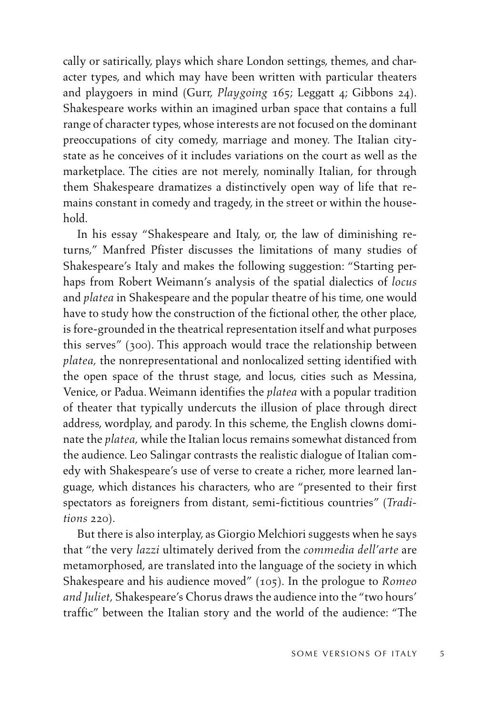cally or satirically, plays which share London settings, themes, and character types, and which may have been written with particular theaters and playgoers in mind (Gurr, *Playgoing* 165; Leggatt 4; Gibbons 24). Shakespeare works within an imagined urban space that contains a full range of character types, whose interests are not focused on the dominant preoccupations of city comedy, marriage and money. The Italian citystate as he conceives of it includes variations on the court as well as the marketplace. The cities are not merely, nominally Italian, for through them Shakespeare dramatizes a distinctively open way of life that remains constant in comedy and tragedy, in the street or within the household.

In his essay "Shakespeare and Italy, or, the law of diminishing returns," Manfred Pfister discusses the limitations of many studies of Shakespeare's Italy and makes the following suggestion: "Starting perhaps from Robert Weimann's analysis of the spatial dialectics of *locus* and *platea* in Shakespeare and the popular theatre of his time, one would have to study how the construction of the fictional other, the other place, is fore-grounded in the theatrical representation itself and what purposes this serves" (300). This approach would trace the relationship between *platea,* the nonrepresentational and nonlocalized setting identified with the open space of the thrust stage, and locus, cities such as Messina, Venice, or Padua. Weimann identifies the *platea* with a popular tradition of theater that typically undercuts the illusion of place through direct address, wordplay, and parody. In this scheme, the English clowns dominate the *platea,* while the Italian locus remains somewhat distanced from the audience. Leo Salingar contrasts the realistic dialogue of Italian comedy with Shakespeare's use of verse to create a richer, more learned language, which distances his characters, who are "presented to their first spectators as foreigners from distant, semi-fictitious countries" (*Traditions* 220).

But there is also interplay, as Giorgio Melchiori suggests when he says that "the very *lazzi* ultimately derived from the *commedia dell'arte* are metamorphosed, are translated into the language of the society in which Shakespeare and his audience moved" (105). In the prologue to *Romeo and Juliet,* Shakespeare's Chorus draws the audience into the "two hours' traffic" between the Italian story and the world of the audience: "The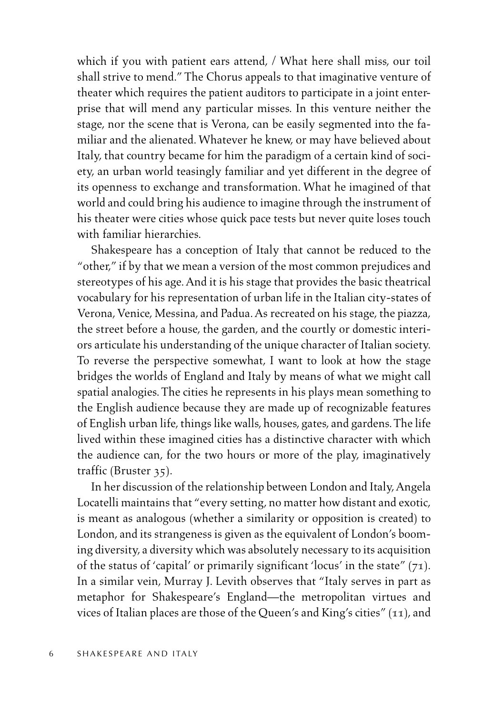which if you with patient ears attend, / What here shall miss, our toil shall strive to mend." The Chorus appeals to that imaginative venture of theater which requires the patient auditors to participate in a joint enterprise that will mend any particular misses. In this venture neither the stage, nor the scene that is Verona, can be easily segmented into the familiar and the alienated. Whatever he knew, or may have believed about Italy, that country became for him the paradigm of a certain kind of society, an urban world teasingly familiar and yet different in the degree of its openness to exchange and transformation. What he imagined of that world and could bring his audience to imagine through the instrument of his theater were cities whose quick pace tests but never quite loses touch with familiar hierarchies.

Shakespeare has a conception of Italy that cannot be reduced to the "other," if by that we mean a version of the most common prejudices and stereotypes of his age. And it is his stage that provides the basic theatrical vocabulary for his representation of urban life in the Italian city-states of Verona, Venice, Messina, and Padua. As recreated on his stage, the piazza, the street before a house, the garden, and the courtly or domestic interiors articulate his understanding of the unique character of Italian society. To reverse the perspective somewhat, I want to look at how the stage bridges the worlds of England and Italy by means of what we might call spatial analogies. The cities he represents in his plays mean something to the English audience because they are made up of recognizable features of English urban life, things like walls, houses, gates, and gardens. The life lived within these imagined cities has a distinctive character with which the audience can, for the two hours or more of the play, imaginatively traffic (Bruster 35).

In her discussion of the relationship between London and Italy, Angela Locatelli maintains that "every setting, no matter how distant and exotic, is meant as analogous (whether a similarity or opposition is created) to London, and its strangeness is given as the equivalent of London's booming diversity, a diversity which was absolutely necessary to its acquisition of the status of 'capital' or primarily significant 'locus' in the state" (71). In a similar vein, Murray J. Levith observes that "Italy serves in part as metaphor for Shakespeare's England—the metropolitan virtues and vices of Italian places are those of the Queen's and King's cities" (11), and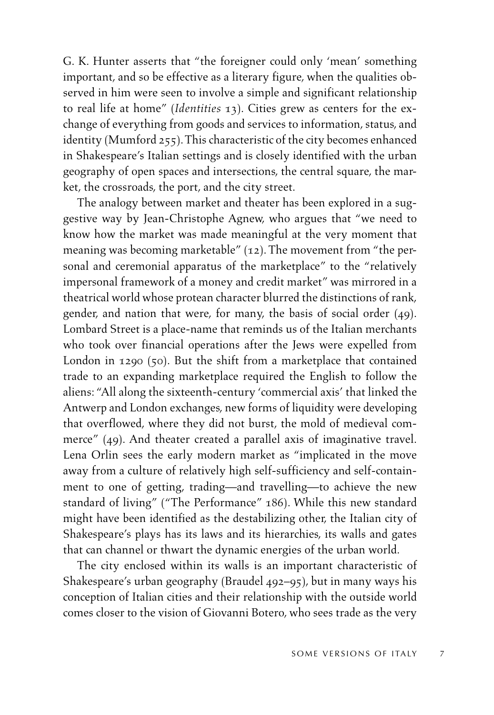G. K. Hunter asserts that "the foreigner could only 'mean' something important, and so be effective as a literary figure, when the qualities observed in him were seen to involve a simple and significant relationship to real life at home" (*Identities* 13). Cities grew as centers for the exchange of everything from goods and services to information, status, and identity (Mumford 255). This characteristic of the city becomes enhanced in Shakespeare's Italian settings and is closely identified with the urban geography of open spaces and intersections, the central square, the market, the crossroads, the port, and the city street.

The analogy between market and theater has been explored in a suggestive way by Jean-Christophe Agnew, who argues that "we need to know how the market was made meaningful at the very moment that meaning was becoming marketable" (12). The movement from "the personal and ceremonial apparatus of the marketplace" to the "relatively impersonal framework of a money and credit market" was mirrored in a theatrical world whose protean character blurred the distinctions of rank, gender, and nation that were, for many, the basis of social order (49). Lombard Street is a place-name that reminds us of the Italian merchants who took over financial operations after the Jews were expelled from London in 1290 (50). But the shift from a marketplace that contained trade to an expanding marketplace required the English to follow the aliens: "All along the sixteenth-century 'commercial axis' that linked the Antwerp and London exchanges, new forms of liquidity were developing that overflowed, where they did not burst, the mold of medieval commerce" (49). And theater created a parallel axis of imaginative travel. Lena Orlin sees the early modern market as "implicated in the move away from a culture of relatively high self-sufficiency and self-containment to one of getting, trading—and travelling—to achieve the new standard of living" ("The Performance" 186). While this new standard might have been identified as the destabilizing other, the Italian city of Shakespeare's plays has its laws and its hierarchies, its walls and gates that can channel or thwart the dynamic energies of the urban world.

The city enclosed within its walls is an important characteristic of Shakespeare's urban geography (Braudel 492–95), but in many ways his conception of Italian cities and their relationship with the outside world comes closer to the vision of Giovanni Botero, who sees trade as the very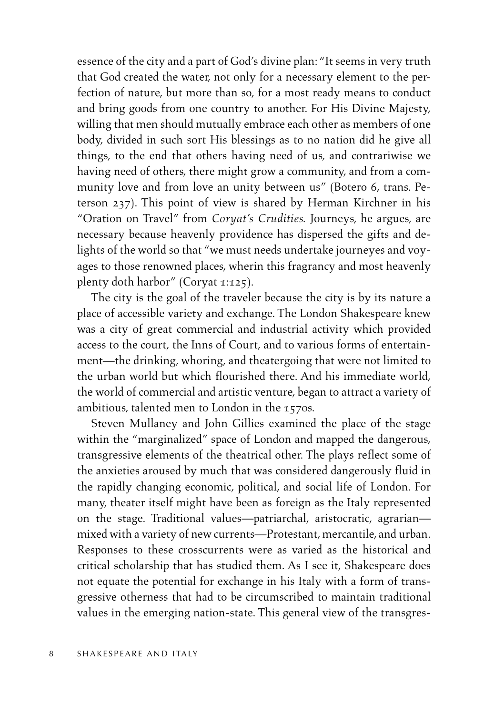essence of the city and a part of God's divine plan: "It seems in very truth that God created the water, not only for a necessary element to the perfection of nature, but more than so, for a most ready means to conduct and bring goods from one country to another. For His Divine Majesty, willing that men should mutually embrace each other as members of one body, divided in such sort His blessings as to no nation did he give all things, to the end that others having need of us, and contrariwise we having need of others, there might grow a community, and from a community love and from love an unity between us" (Botero 6, trans. Peterson 237). This point of view is shared by Herman Kirchner in his "Oration on Travel" from *Coryat's Crudities.* Journeys, he argues, are necessary because heavenly providence has dispersed the gifts and delights of the world so that "we must needs undertake journeyes and voyages to those renowned places, wherin this fragrancy and most heavenly plenty doth harbor" (Coryat 1:125).

The city is the goal of the traveler because the city is by its nature a place of accessible variety and exchange. The London Shakespeare knew was a city of great commercial and industrial activity which provided access to the court, the Inns of Court, and to various forms of entertainment—the drinking, whoring, and theatergoing that were not limited to the urban world but which flourished there. And his immediate world, the world of commercial and artistic venture, began to attract a variety of ambitious, talented men to London in the 1570s.

Steven Mullaney and John Gillies examined the place of the stage within the "marginalized" space of London and mapped the dangerous, transgressive elements of the theatrical other. The plays reflect some of the anxieties aroused by much that was considered dangerously fluid in the rapidly changing economic, political, and social life of London. For many, theater itself might have been as foreign as the Italy represented on the stage. Traditional values—patriarchal, aristocratic, agrarian mixed with a variety of new currents—Protestant, mercantile, and urban. Responses to these crosscurrents were as varied as the historical and critical scholarship that has studied them. As I see it, Shakespeare does not equate the potential for exchange in his Italy with a form of transgressive otherness that had to be circumscribed to maintain traditional values in the emerging nation-state. This general view of the transgres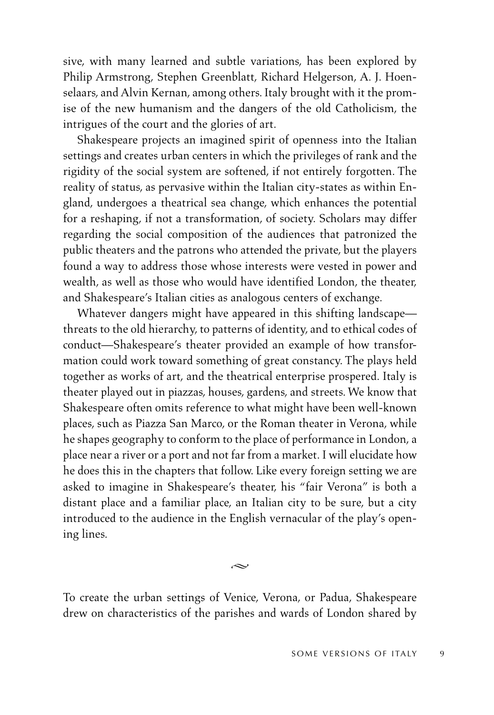sive, with many learned and subtle variations, has been explored by Philip Armstrong, Stephen Greenblatt, Richard Helgerson, A. J. Hoenselaars, and Alvin Kernan, among others. Italy brought with it the promise of the new humanism and the dangers of the old Catholicism, the intrigues of the court and the glories of art.

Shakespeare projects an imagined spirit of openness into the Italian settings and creates urban centers in which the privileges of rank and the rigidity of the social system are softened, if not entirely forgotten. The reality of status, as pervasive within the Italian city-states as within England, undergoes a theatrical sea change, which enhances the potential for a reshaping, if not a transformation, of society. Scholars may differ regarding the social composition of the audiences that patronized the public theaters and the patrons who attended the private, but the players found a way to address those whose interests were vested in power and wealth, as well as those who would have identified London, the theater, and Shakespeare's Italian cities as analogous centers of exchange.

Whatever dangers might have appeared in this shifting landscape threats to the old hierarchy, to patterns of identity, and to ethical codes of conduct—Shakespeare's theater provided an example of how transformation could work toward something of great constancy. The plays held together as works of art, and the theatrical enterprise prospered. Italy is theater played out in piazzas, houses, gardens, and streets. We know that Shakespeare often omits reference to what might have been well-known places, such as Piazza San Marco, or the Roman theater in Verona, while he shapes geography to conform to the place of performance in London, a place near a river or a port and not far from a market. I will elucidate how he does this in the chapters that follow. Like every foreign setting we are asked to imagine in Shakespeare's theater, his "fair Verona" is both a distant place and a familiar place, an Italian city to be sure, but a city introduced to the audience in the English vernacular of the play's opening lines.

To create the urban settings of Venice, Verona, or Padua, Shakespeare drew on characteristics of the parishes and wards of London shared by

 $\sim$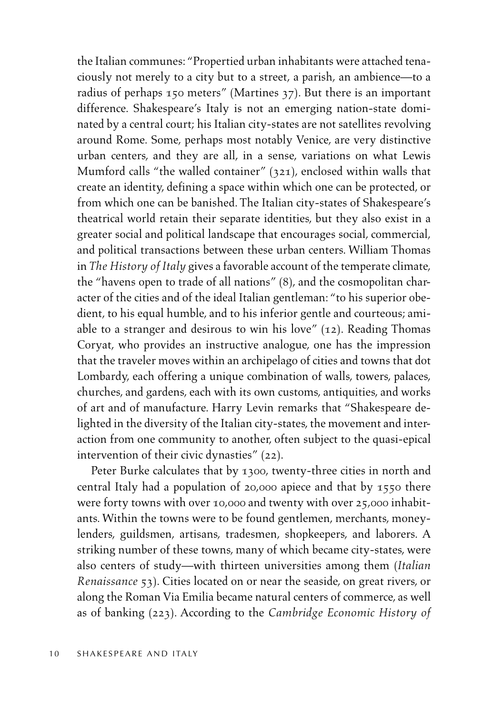the Italian communes: "Propertied urban inhabitants were attached tenaciously not merely to a city but to a street, a parish, an ambience—to a radius of perhaps 150 meters" (Martines 37). But there is an important difference. Shakespeare's Italy is not an emerging nation-state dominated by a central court; his Italian city-states are not satellites revolving around Rome. Some, perhaps most notably Venice, are very distinctive urban centers, and they are all, in a sense, variations on what Lewis Mumford calls "the walled container" (321), enclosed within walls that create an identity, defining a space within which one can be protected, or from which one can be banished. The Italian city-states of Shakespeare's theatrical world retain their separate identities, but they also exist in a greater social and political landscape that encourages social, commercial, and political transactions between these urban centers. William Thomas in *The History of Italy* gives a favorable account of the temperate climate, the "havens open to trade of all nations" (8), and the cosmopolitan character of the cities and of the ideal Italian gentleman: "to his superior obedient, to his equal humble, and to his inferior gentle and courteous; amiable to a stranger and desirous to win his love" (12). Reading Thomas Coryat, who provides an instructive analogue, one has the impression that the traveler moves within an archipelago of cities and towns that dot Lombardy, each offering a unique combination of walls, towers, palaces, churches, and gardens, each with its own customs, antiquities, and works of art and of manufacture. Harry Levin remarks that "Shakespeare delighted in the diversity of the Italian city-states, the movement and interaction from one community to another, often subject to the quasi-epical intervention of their civic dynasties" (22).

Peter Burke calculates that by 1300, twenty-three cities in north and central Italy had a population of 20,000 apiece and that by 1550 there were forty towns with over 10,000 and twenty with over 25,000 inhabitants. Within the towns were to be found gentlemen, merchants, moneylenders, guildsmen, artisans, tradesmen, shopkeepers, and laborers. A striking number of these towns, many of which became city-states, were also centers of study—with thirteen universities among them (*Italian Renaissance* 53). Cities located on or near the seaside, on great rivers, or along the Roman Via Emilia became natural centers of commerce, as well as of banking (223). According to the *Cambridge Economic History of*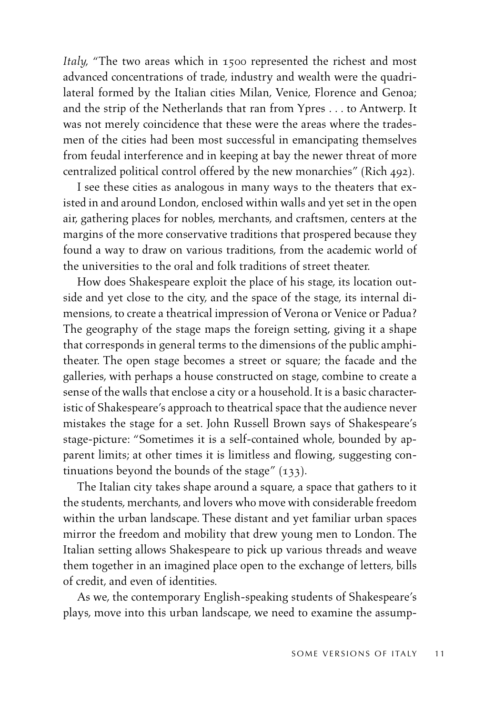*Italy,* "The two areas which in 1500 represented the richest and most advanced concentrations of trade, industry and wealth were the quadrilateral formed by the Italian cities Milan, Venice, Florence and Genoa; and the strip of the Netherlands that ran from Ypres . . . to Antwerp. It was not merely coincidence that these were the areas where the tradesmen of the cities had been most successful in emancipating themselves from feudal interference and in keeping at bay the newer threat of more centralized political control offered by the new monarchies" (Rich 492).

I see these cities as analogous in many ways to the theaters that existed in and around London, enclosed within walls and yet set in the open air, gathering places for nobles, merchants, and craftsmen, centers at the margins of the more conservative traditions that prospered because they found a way to draw on various traditions, from the academic world of the universities to the oral and folk traditions of street theater.

How does Shakespeare exploit the place of his stage, its location outside and yet close to the city, and the space of the stage, its internal dimensions, to create a theatrical impression of Verona or Venice or Padua? The geography of the stage maps the foreign setting, giving it a shape that corresponds in general terms to the dimensions of the public amphitheater. The open stage becomes a street or square; the facade and the galleries, with perhaps a house constructed on stage, combine to create a sense of the walls that enclose a city or a household. It is a basic characteristic of Shakespeare's approach to theatrical space that the audience never mistakes the stage for a set. John Russell Brown says of Shakespeare's stage-picture: "Sometimes it is a self-contained whole, bounded by apparent limits; at other times it is limitless and flowing, suggesting continuations beyond the bounds of the stage"  $(133)$ .

The Italian city takes shape around a square, a space that gathers to it the students, merchants, and lovers who move with considerable freedom within the urban landscape. These distant and yet familiar urban spaces mirror the freedom and mobility that drew young men to London. The Italian setting allows Shakespeare to pick up various threads and weave them together in an imagined place open to the exchange of letters, bills of credit, and even of identities.

As we, the contemporary English-speaking students of Shakespeare's plays, move into this urban landscape, we need to examine the assump-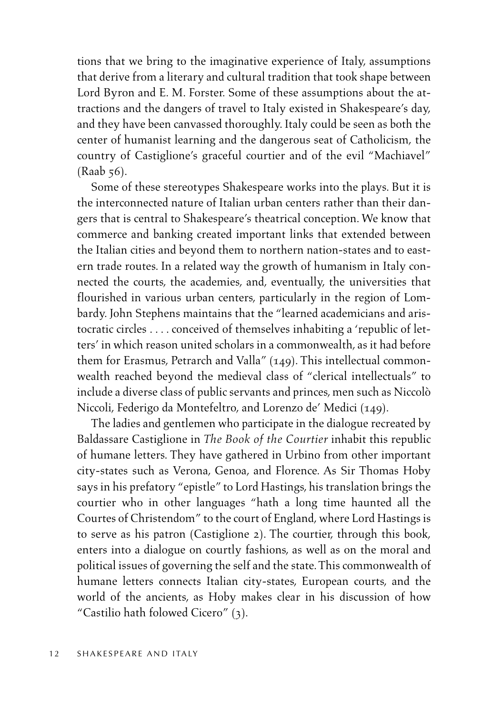tions that we bring to the imaginative experience of Italy, assumptions that derive from a literary and cultural tradition that took shape between Lord Byron and E. M. Forster. Some of these assumptions about the attractions and the dangers of travel to Italy existed in Shakespeare's day, and they have been canvassed thoroughly. Italy could be seen as both the center of humanist learning and the dangerous seat of Catholicism, the country of Castiglione's graceful courtier and of the evil "Machiavel" (Raab 56).

Some of these stereotypes Shakespeare works into the plays. But it is the interconnected nature of Italian urban centers rather than their dangers that is central to Shakespeare's theatrical conception. We know that commerce and banking created important links that extended between the Italian cities and beyond them to northern nation-states and to eastern trade routes. In a related way the growth of humanism in Italy connected the courts, the academies, and, eventually, the universities that flourished in various urban centers, particularly in the region of Lombardy. John Stephens maintains that the "learned academicians and aristocratic circles . . . . conceived of themselves inhabiting a 'republic of letters' in which reason united scholars in a commonwealth, as it had before them for Erasmus, Petrarch and Valla" (149). This intellectual commonwealth reached beyond the medieval class of "clerical intellectuals" to include a diverse class of public servants and princes, men such as Niccolò Niccoli, Federigo da Montefeltro, and Lorenzo de' Medici (149).

The ladies and gentlemen who participate in the dialogue recreated by Baldassare Castiglione in *The Book of the Courtier* inhabit this republic of humane letters. They have gathered in Urbino from other important city-states such as Verona, Genoa, and Florence. As Sir Thomas Hoby says in his prefatory "epistle" to Lord Hastings, his translation brings the courtier who in other languages "hath a long time haunted all the Courtes of Christendom" to the court of England, where Lord Hastings is to serve as his patron (Castiglione 2). The courtier, through this book, enters into a dialogue on courtly fashions, as well as on the moral and political issues of governing the self and the state. This commonwealth of humane letters connects Italian city-states, European courts, and the world of the ancients, as Hoby makes clear in his discussion of how "Castilio hath folowed Cicero" (3).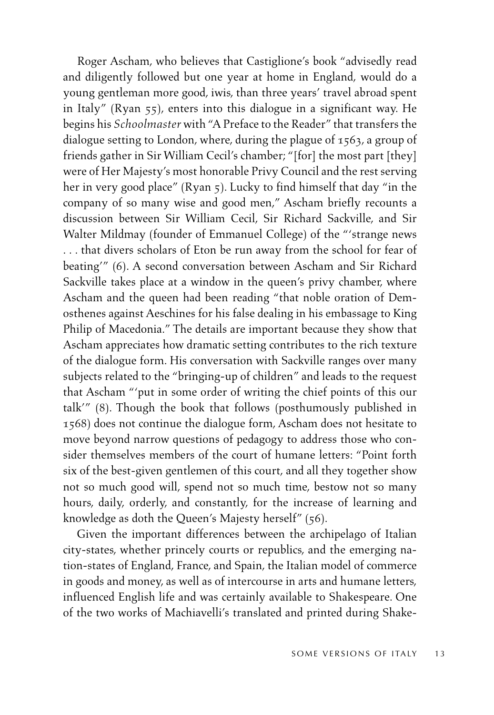Roger Ascham, who believes that Castiglione's book "advisedly read and diligently followed but one year at home in England, would do a young gentleman more good, iwis, than three years' travel abroad spent in Italy" (Ryan 55), enters into this dialogue in a significant way. He begins his *Schoolmaster* with "A Preface to the Reader" that transfers the dialogue setting to London, where, during the plague of 1563, a group of friends gather in Sir William Cecil's chamber; "[for] the most part [they] were of Her Majesty's most honorable Privy Council and the rest serving her in very good place" (Ryan 5). Lucky to find himself that day "in the company of so many wise and good men," Ascham briefly recounts a discussion between Sir William Cecil, Sir Richard Sackville, and Sir Walter Mildmay (founder of Emmanuel College) of the "'strange news . . . that divers scholars of Eton be run away from the school for fear of beating'" (6). A second conversation between Ascham and Sir Richard Sackville takes place at a window in the queen's privy chamber, where Ascham and the queen had been reading "that noble oration of Demosthenes against Aeschines for his false dealing in his embassage to King Philip of Macedonia." The details are important because they show that Ascham appreciates how dramatic setting contributes to the rich texture of the dialogue form. His conversation with Sackville ranges over many subjects related to the "bringing-up of children" and leads to the request that Ascham "'put in some order of writing the chief points of this our talk'" (8). Though the book that follows (posthumously published in 1568) does not continue the dialogue form, Ascham does not hesitate to move beyond narrow questions of pedagogy to address those who consider themselves members of the court of humane letters: "Point forth six of the best-given gentlemen of this court, and all they together show not so much good will, spend not so much time, bestow not so many hours, daily, orderly, and constantly, for the increase of learning and knowledge as doth the Queen's Majesty herself" (56).

Given the important differences between the archipelago of Italian city-states, whether princely courts or republics, and the emerging nation-states of England, France, and Spain, the Italian model of commerce in goods and money, as well as of intercourse in arts and humane letters, influenced English life and was certainly available to Shakespeare. One of the two works of Machiavelli's translated and printed during Shake-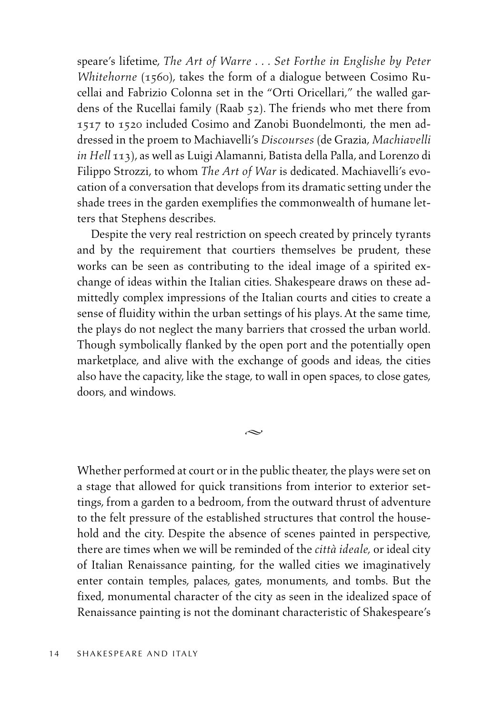speare's lifetime, *The Art of Warre . . . Set Forthe in Englishe by Peter Whitehorne* (1560), takes the form of a dialogue between Cosimo Rucellai and Fabrizio Colonna set in the "Orti Oricellari," the walled gardens of the Rucellai family (Raab 52). The friends who met there from 1517 to 1520 included Cosimo and Zanobi Buondelmonti, the men addressed in the proem to Machiavelli's *Discourses* (de Grazia, *Machiavelli in Hell* 113), as well as Luigi Alamanni, Batista della Palla, and Lorenzo di Filippo Strozzi, to whom *The Art of War* is dedicated. Machiavelli's evocation of a conversation that develops from its dramatic setting under the shade trees in the garden exemplifies the commonwealth of humane letters that Stephens describes.

Despite the very real restriction on speech created by princely tyrants and by the requirement that courtiers themselves be prudent, these works can be seen as contributing to the ideal image of a spirited exchange of ideas within the Italian cities. Shakespeare draws on these admittedly complex impressions of the Italian courts and cities to create a sense of fluidity within the urban settings of his plays. At the same time, the plays do not neglect the many barriers that crossed the urban world. Though symbolically flanked by the open port and the potentially open marketplace, and alive with the exchange of goods and ideas, the cities also have the capacity, like the stage, to wall in open spaces, to close gates, doors, and windows.

Whether performed at court or in the public theater, the plays were set on a stage that allowed for quick transitions from interior to exterior settings, from a garden to a bedroom, from the outward thrust of adventure to the felt pressure of the established structures that control the household and the city. Despite the absence of scenes painted in perspective, there are times when we will be reminded of the *città ideale,* or ideal city of Italian Renaissance painting, for the walled cities we imaginatively enter contain temples, palaces, gates, monuments, and tombs. But the fixed, monumental character of the city as seen in the idealized space of Renaissance painting is not the dominant characteristic of Shakespeare's

 $\sim$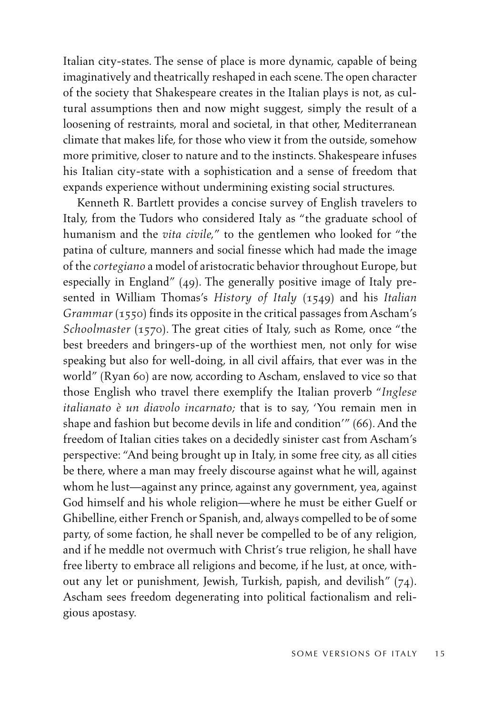Italian city-states. The sense of place is more dynamic, capable of being imaginatively and theatrically reshaped in each scene. The open character of the society that Shakespeare creates in the Italian plays is not, as cultural assumptions then and now might suggest, simply the result of a loosening of restraints, moral and societal, in that other, Mediterranean climate that makes life, for those who view it from the outside, somehow more primitive, closer to nature and to the instincts. Shakespeare infuses his Italian city-state with a sophistication and a sense of freedom that expands experience without undermining existing social structures.

Kenneth R. Bartlett provides a concise survey of English travelers to Italy, from the Tudors who considered Italy as "the graduate school of humanism and the *vita civile,*" to the gentlemen who looked for "the patina of culture, manners and social finesse which had made the image of the *cortegiano* a model of aristocratic behavior throughout Europe, but especially in England" (49). The generally positive image of Italy presented in William Thomas's *History of Italy* (1549) and his *Italian Grammar* (1550) finds its opposite in the critical passages from Ascham's *Schoolmaster* (1570). The great cities of Italy, such as Rome, once "the best breeders and bringers-up of the worthiest men, not only for wise speaking but also for well-doing, in all civil affairs, that ever was in the world" (Ryan 60) are now, according to Ascham, enslaved to vice so that those English who travel there exemplify the Italian proverb "*Inglese italianato è un diavolo incarnato;* that is to say, 'You remain men in shape and fashion but become devils in life and condition'" (66). And the freedom of Italian cities takes on a decidedly sinister cast from Ascham's perspective: "And being brought up in Italy, in some free city, as all cities be there, where a man may freely discourse against what he will, against whom he lust—against any prince, against any government, yea, against God himself and his whole religion—where he must be either Guelf or Ghibelline, either French or Spanish, and, always compelled to be of some party, of some faction, he shall never be compelled to be of any religion, and if he meddle not overmuch with Christ's true religion, he shall have free liberty to embrace all religions and become, if he lust, at once, without any let or punishment, Jewish, Turkish, papish, and devilish" (74). Ascham sees freedom degenerating into political factionalism and religious apostasy.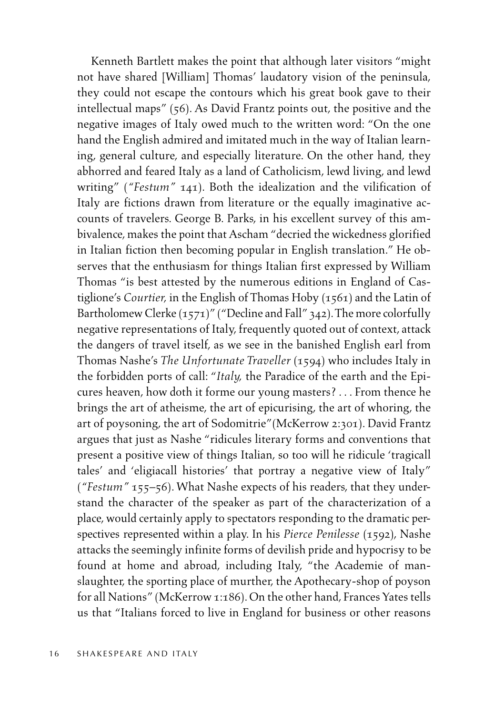Kenneth Bartlett makes the point that although later visitors "might not have shared [William] Thomas' laudatory vision of the peninsula, they could not escape the contours which his great book gave to their intellectual maps" (56). As David Frantz points out, the positive and the negative images of Italy owed much to the written word: "On the one hand the English admired and imitated much in the way of Italian learning, general culture, and especially literature. On the other hand, they abhorred and feared Italy as a land of Catholicism, lewd living, and lewd writing" (*"Festum"* 141). Both the idealization and the vilification of Italy are fictions drawn from literature or the equally imaginative accounts of travelers. George B. Parks, in his excellent survey of this ambivalence, makes the point that Ascham "decried the wickedness glorified in Italian fiction then becoming popular in English translation." He observes that the enthusiasm for things Italian first expressed by William Thomas "is best attested by the numerous editions in England of Castiglione's *Courtier,* in the English of Thomas Hoby (1561) and the Latin of Bartholomew Clerke (1571)" ("Decline and Fall" 342). The more colorfully negative representations of Italy, frequently quoted out of context, attack the dangers of travel itself, as we see in the banished English earl from Thomas Nashe's *The Unfortunate Traveller* (1594) who includes Italy in the forbidden ports of call: "*Italy,* the Paradice of the earth and the Epicures heaven, how doth it forme our young masters? . . . From thence he brings the art of atheisme, the art of epicurising, the art of whoring, the art of poysoning, the art of Sodomitrie"(McKerrow 2:301). David Frantz argues that just as Nashe "ridicules literary forms and conventions that present a positive view of things Italian, so too will he ridicule 'tragicall tales' and 'eligiacall histories' that portray a negative view of Italy" (*"Festum"* 155–56). What Nashe expects of his readers, that they understand the character of the speaker as part of the characterization of a place, would certainly apply to spectators responding to the dramatic perspectives represented within a play. In his *Pierce Penilesse* (1592), Nashe attacks the seemingly infinite forms of devilish pride and hypocrisy to be found at home and abroad, including Italy, "the Academie of manslaughter, the sporting place of murther, the Apothecary-shop of poyson for all Nations" (McKerrow 1:186). On the other hand, Frances Yates tells us that "Italians forced to live in England for business or other reasons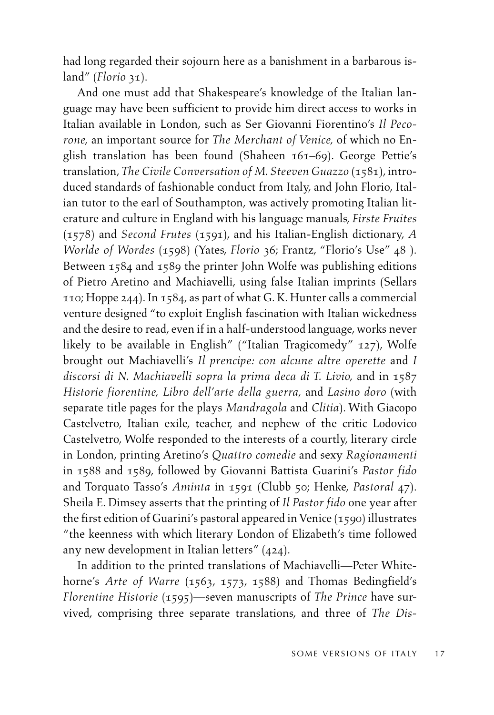had long regarded their sojourn here as a banishment in a barbarous island" (*Florio* 31).

And one must add that Shakespeare's knowledge of the Italian language may have been sufficient to provide him direct access to works in Italian available in London, such as Ser Giovanni Fiorentino's *Il Pecorone,* an important source for *The Merchant of Venice,* of which no English translation has been found (Shaheen 161–69). George Pettie's translation, *The Civile Conversation of M. Steeven Guazzo* (1581), introduced standards of fashionable conduct from Italy, and John Florio, Italian tutor to the earl of Southampton, was actively promoting Italian literature and culture in England with his language manuals, *Firste Fruites* (1578) and *Second Frutes* (1591), and his Italian-English dictionary, *A Worlde of Wordes* (1598) (Yates, *Florio* 36; Frantz, "Florio's Use" 48 ). Between 1584 and 1589 the printer John Wolfe was publishing editions of Pietro Aretino and Machiavelli, using false Italian imprints (Sellars 110; Hoppe 244). In 1584, as part of what G. K. Hunter calls a commercial venture designed "to exploit English fascination with Italian wickedness and the desire to read, even if in a half-understood language, works never likely to be available in English" ("Italian Tragicomedy" 127), Wolfe brought out Machiavelli's *Il prencipe: con alcune altre operette* and *I discorsi di N. Machiavelli sopra la prima deca di T. Livio,* and in 1587 *Historie fiorentine, Libro dell'arte della guerra,* and *Lasino doro* (with separate title pages for the plays *Mandragola* and *Clitia*). With Giacopo Castelvetro, Italian exile, teacher, and nephew of the critic Lodovico Castelvetro, Wolfe responded to the interests of a courtly, literary circle in London, printing Aretino's *Quattro comedie* and sexy *Ragionamenti* in 1588 and 1589, followed by Giovanni Battista Guarini's *Pastor fido* and Torquato Tasso's *Aminta* in 1591 (Clubb 50; Henke, *Pastoral* 47). Sheila E. Dimsey asserts that the printing of *Il Pastor fido* one year after the first edition of Guarini's pastoral appeared in Venice (1590) illustrates "the keenness with which literary London of Elizabeth's time followed any new development in Italian letters" (424).

In addition to the printed translations of Machiavelli—Peter Whitehorne's *Arte of Warre* (1563, 1573, 1588) and Thomas Bedingfield's *Florentine Historie* (1595)—seven manuscripts of *The Prince* have survived, comprising three separate translations, and three of *The Dis-*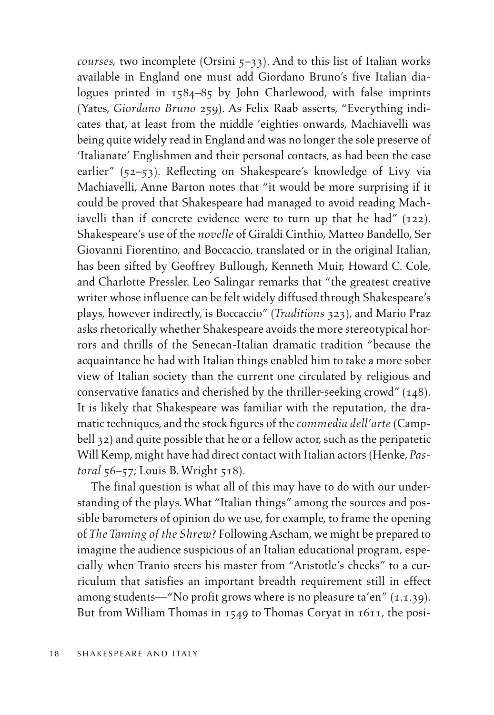*courses,* two incomplete (Orsini 5–33). And to this list of Italian works available in England one must add Giordano Bruno's five Italian dialogues printed in 1584–85 by John Charlewood, with false imprints (Yates, *Giordano Bruno* 259). As Felix Raab asserts, "Everything indicates that, at least from the middle 'eighties onwards, Machiavelli was being quite widely read in England and was no longer the sole preserve of 'Italianate' Englishmen and their personal contacts, as had been the case earlier" (52–53). Reflecting on Shakespeare's knowledge of Livy via Machiavelli, Anne Barton notes that "it would be more surprising if it could be proved that Shakespeare had managed to avoid reading Machiavelli than if concrete evidence were to turn up that he had" (122). Shakespeare's use of the *novelle* of Giraldi Cinthio, Matteo Bandello, Ser Giovanni Fiorentino, and Boccaccio, translated or in the original Italian, has been sifted by Geoffrey Bullough, Kenneth Muir, Howard C. Cole, and Charlotte Pressler. Leo Salingar remarks that "the greatest creative writer whose influence can be felt widely diffused through Shakespeare's plays, however indirectly, is Boccaccio" (*Traditions* 323), and Mario Praz asks rhetorically whether Shakespeare avoids the more stereotypical horrors and thrills of the Senecan-Italian dramatic tradition "because the acquaintance he had with Italian things enabled him to take a more sober view of Italian society than the current one circulated by religious and conservative fanatics and cherished by the thriller-seeking crowd" (148). It is likely that Shakespeare was familiar with the reputation, the dramatic techniques, and the stock figures of the *commedia dell'arte* (Campbell 32) and quite possible that he or a fellow actor, such as the peripatetic Will Kemp, might have had direct contact with Italian actors (Henke, *Pastoral* 56–57; Louis B. Wright 518).

The final question is what all of this may have to do with our understanding of the plays. What "Italian things" among the sources and possible barometers of opinion do we use, for example, to frame the opening of *The Taming of the Shrew*? Following Ascham, we might be prepared to imagine the audience suspicious of an Italian educational program, especially when Tranio steers his master from "Aristotle's checks" to a curriculum that satisfies an important breadth requirement still in effect among students—"No profit grows where is no pleasure ta'en" (1.1.39). But from William Thomas in 1549 to Thomas Coryat in 1611, the posi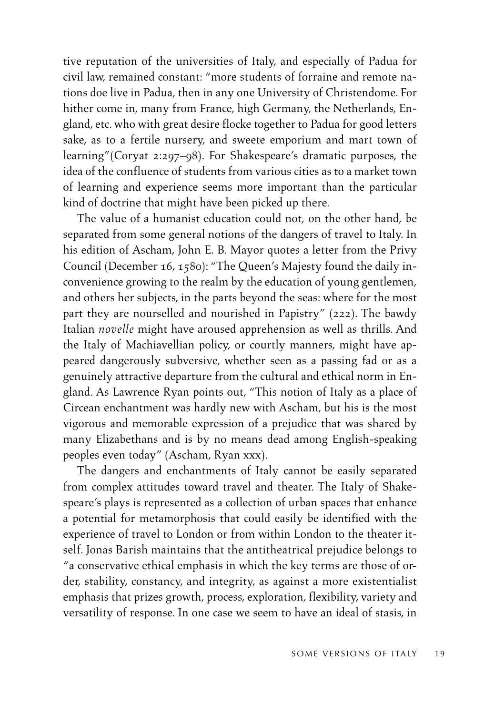tive reputation of the universities of Italy, and especially of Padua for civil law, remained constant: "more students of forraine and remote nations doe live in Padua, then in any one University of Christendome. For hither come in, many from France, high Germany, the Netherlands, England, etc. who with great desire flocke together to Padua for good letters sake, as to a fertile nursery, and sweete emporium and mart town of learning"(Coryat 2:297–98). For Shakespeare's dramatic purposes, the idea of the confluence of students from various cities as to a market town of learning and experience seems more important than the particular kind of doctrine that might have been picked up there.

The value of a humanist education could not, on the other hand, be separated from some general notions of the dangers of travel to Italy. In his edition of Ascham, John E. B. Mayor quotes a letter from the Privy Council (December 16, 1580): "The Queen's Majesty found the daily inconvenience growing to the realm by the education of young gentlemen, and others her subjects, in the parts beyond the seas: where for the most part they are nourselled and nourished in Papistry" (222). The bawdy Italian *novelle* might have aroused apprehension as well as thrills. And the Italy of Machiavellian policy, or courtly manners, might have appeared dangerously subversive, whether seen as a passing fad or as a genuinely attractive departure from the cultural and ethical norm in England. As Lawrence Ryan points out, "This notion of Italy as a place of Circean enchantment was hardly new with Ascham, but his is the most vigorous and memorable expression of a prejudice that was shared by many Elizabethans and is by no means dead among English-speaking peoples even today" (Ascham, Ryan xxx).

The dangers and enchantments of Italy cannot be easily separated from complex attitudes toward travel and theater. The Italy of Shakespeare's plays is represented as a collection of urban spaces that enhance a potential for metamorphosis that could easily be identified with the experience of travel to London or from within London to the theater itself. Jonas Barish maintains that the antitheatrical prejudice belongs to "a conservative ethical emphasis in which the key terms are those of order, stability, constancy, and integrity, as against a more existentialist emphasis that prizes growth, process, exploration, flexibility, variety and versatility of response. In one case we seem to have an ideal of stasis, in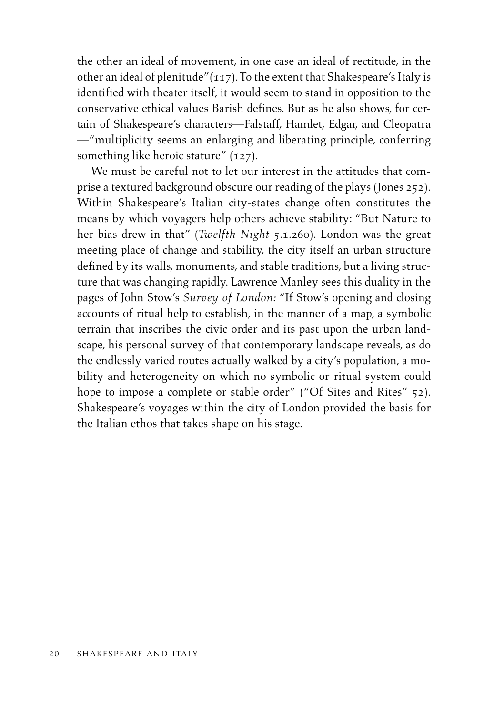the other an ideal of movement, in one case an ideal of rectitude, in the other an ideal of plenitude"(117). To the extent that Shakespeare's Italy is identified with theater itself, it would seem to stand in opposition to the conservative ethical values Barish defines. But as he also shows, for certain of Shakespeare's characters—Falstaff, Hamlet, Edgar, and Cleopatra —"multiplicity seems an enlarging and liberating principle, conferring something like heroic stature" (127).

We must be careful not to let our interest in the attitudes that comprise a textured background obscure our reading of the plays (Jones 252). Within Shakespeare's Italian city-states change often constitutes the means by which voyagers help others achieve stability: "But Nature to her bias drew in that" (*Twelfth Night* 5.1.260). London was the great meeting place of change and stability, the city itself an urban structure defined by its walls, monuments, and stable traditions, but a living structure that was changing rapidly. Lawrence Manley sees this duality in the pages of John Stow's *Survey of London:* "If Stow's opening and closing accounts of ritual help to establish, in the manner of a map, a symbolic terrain that inscribes the civic order and its past upon the urban landscape, his personal survey of that contemporary landscape reveals, as do the endlessly varied routes actually walked by a city's population, a mobility and heterogeneity on which no symbolic or ritual system could hope to impose a complete or stable order" ("Of Sites and Rites" 52). Shakespeare's voyages within the city of London provided the basis for the Italian ethos that takes shape on his stage.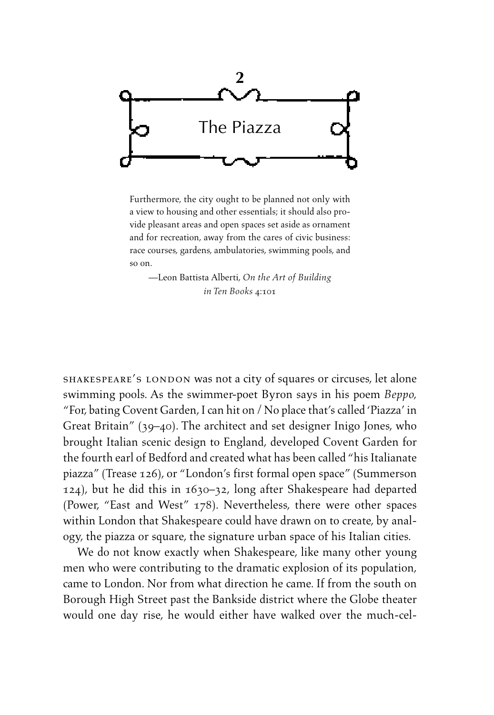

Furthermore, the city ought to be planned not only with a view to housing and other essentials; it should also provide pleasant areas and open spaces set aside as ornament and for recreation, away from the cares of civic business: race courses, gardens, ambulatories, swimming pools, and so on.

—Leon Battista Alberti, *On the Art of Building in Ten Books* 4:101

shakespeare's london was not a city of squares or circuses, let alone swimming pools. As the swimmer-poet Byron says in his poem *Beppo,* "For, bating Covent Garden, I can hit on / No place that's called 'Piazza' in Great Britain" (39–40). The architect and set designer Inigo Jones, who brought Italian scenic design to England, developed Covent Garden for the fourth earl of Bedford and created what has been called "his Italianate piazza" (Trease 126), or "London's first formal open space" (Summerson 124), but he did this in 1630–32, long after Shakespeare had departed (Power, "East and West" 178). Nevertheless, there were other spaces within London that Shakespeare could have drawn on to create, by analogy, the piazza or square, the signature urban space of his Italian cities.

We do not know exactly when Shakespeare, like many other young men who were contributing to the dramatic explosion of its population, came to London. Nor from what direction he came. If from the south on Borough High Street past the Bankside district where the Globe theater would one day rise, he would either have walked over the much-cel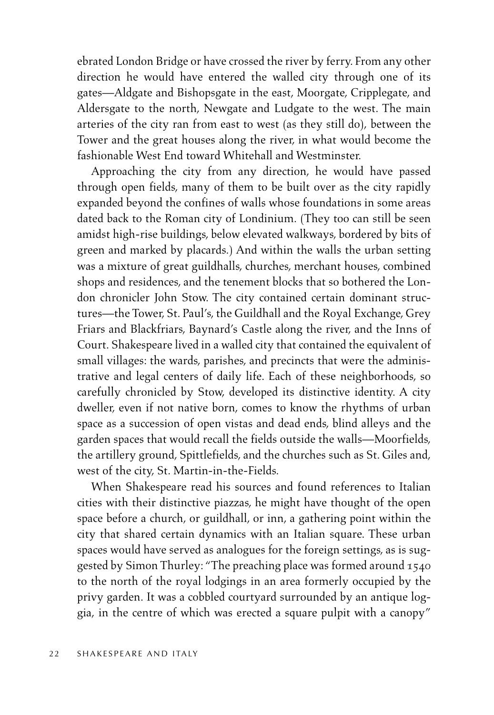ebrated London Bridge or have crossed the river by ferry. From any other direction he would have entered the walled city through one of its gates—Aldgate and Bishopsgate in the east, Moorgate, Cripplegate, and Aldersgate to the north, Newgate and Ludgate to the west. The main arteries of the city ran from east to west (as they still do), between the Tower and the great houses along the river, in what would become the fashionable West End toward Whitehall and Westminster.

Approaching the city from any direction, he would have passed through open fields, many of them to be built over as the city rapidly expanded beyond the confines of walls whose foundations in some areas dated back to the Roman city of Londinium. (They too can still be seen amidst high-rise buildings, below elevated walkways, bordered by bits of green and marked by placards.) And within the walls the urban setting was a mixture of great guildhalls, churches, merchant houses, combined shops and residences, and the tenement blocks that so bothered the London chronicler John Stow. The city contained certain dominant structures—the Tower, St. Paul's, the Guildhall and the Royal Exchange, Grey Friars and Blackfriars, Baynard's Castle along the river, and the Inns of Court. Shakespeare lived in a walled city that contained the equivalent of small villages: the wards, parishes, and precincts that were the administrative and legal centers of daily life. Each of these neighborhoods, so carefully chronicled by Stow, developed its distinctive identity. A city dweller, even if not native born, comes to know the rhythms of urban space as a succession of open vistas and dead ends, blind alleys and the garden spaces that would recall the fields outside the walls—Moorfields, the artillery ground, Spittlefields, and the churches such as St. Giles and, west of the city, St. Martin-in-the-Fields.

When Shakespeare read his sources and found references to Italian cities with their distinctive piazzas, he might have thought of the open space before a church, or guildhall, or inn, a gathering point within the city that shared certain dynamics with an Italian square. These urban spaces would have served as analogues for the foreign settings, as is suggested by Simon Thurley: "The preaching place was formed around 1540 to the north of the royal lodgings in an area formerly occupied by the privy garden. It was a cobbled courtyard surrounded by an antique loggia, in the centre of which was erected a square pulpit with a canopy"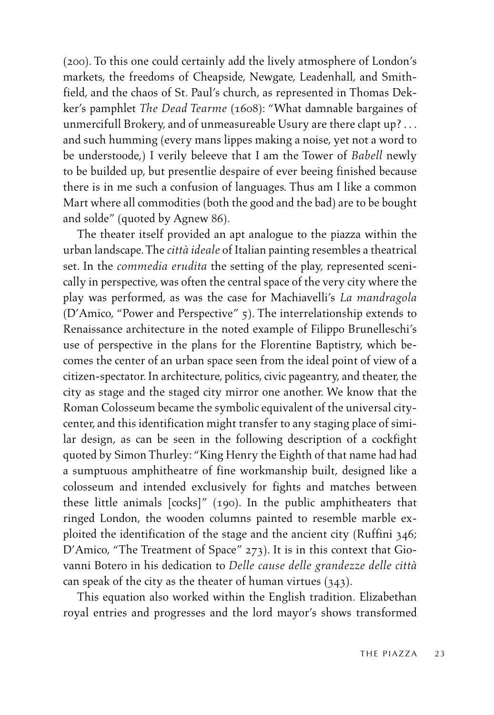(200). To this one could certainly add the lively atmosphere of London's markets, the freedoms of Cheapside, Newgate, Leadenhall, and Smithfield, and the chaos of St. Paul's church, as represented in Thomas Dekker's pamphlet *The Dead Tearme* (1608): "What damnable bargaines of unmercifull Brokery, and of unmeasureable Usury are there clapt up? . . . and such humming (every mans lippes making a noise, yet not a word to be understoode,) I verily beleeve that I am the Tower of *Babell* newly to be builded up, but presentlie despaire of ever beeing finished because there is in me such a confusion of languages. Thus am I like a common Mart where all commodities (both the good and the bad) are to be bought and solde" (quoted by Agnew 86).

The theater itself provided an apt analogue to the piazza within the urban landscape. The *città ideale* of Italian painting resembles a theatrical set. In the *commedia erudita* the setting of the play, represented scenically in perspective, was often the central space of the very city where the play was performed, as was the case for Machiavelli's *La mandragola* (D'Amico, "Power and Perspective" 5). The interrelationship extends to Renaissance architecture in the noted example of Filippo Brunelleschi's use of perspective in the plans for the Florentine Baptistry, which becomes the center of an urban space seen from the ideal point of view of a citizen-spectator. In architecture, politics, civic pageantry, and theater, the city as stage and the staged city mirror one another. We know that the Roman Colosseum became the symbolic equivalent of the universal citycenter, and this identification might transfer to any staging place of similar design, as can be seen in the following description of a cockfight quoted by Simon Thurley: "King Henry the Eighth of that name had had a sumptuous amphitheatre of fine workmanship built, designed like a colosseum and intended exclusively for fights and matches between these little animals [cocks]" (190). In the public amphitheaters that ringed London, the wooden columns painted to resemble marble exploited the identification of the stage and the ancient city (Ruffini 346; D'Amico, "The Treatment of Space" 273). It is in this context that Giovanni Botero in his dedication to *Delle cause delle grandezze delle città* can speak of the city as the theater of human virtues (343).

This equation also worked within the English tradition. Elizabethan royal entries and progresses and the lord mayor's shows transformed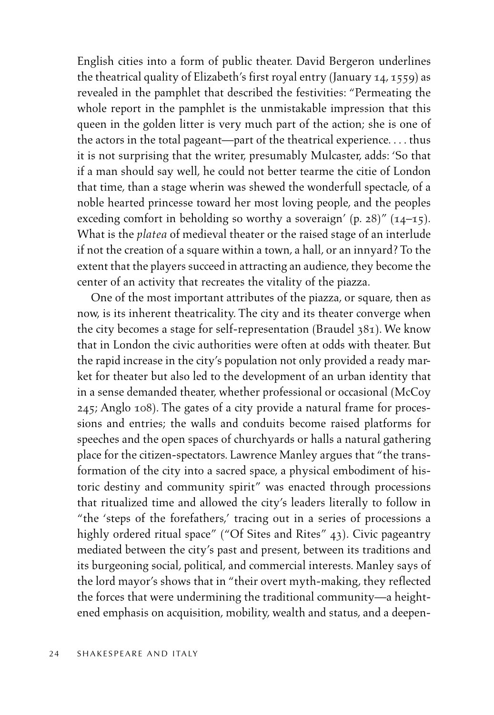English cities into a form of public theater. David Bergeron underlines the theatrical quality of Elizabeth's first royal entry (January 14, 1559) as revealed in the pamphlet that described the festivities: "Permeating the whole report in the pamphlet is the unmistakable impression that this queen in the golden litter is very much part of the action; she is one of the actors in the total pageant—part of the theatrical experience. . . . thus it is not surprising that the writer, presumably Mulcaster, adds: 'So that if a man should say well, he could not better tearme the citie of London that time, than a stage wherin was shewed the wonderfull spectacle, of a noble hearted princesse toward her most loving people, and the peoples exceding comfort in beholding so worthy a soveraign'  $(p. 28)$ "  $(14–15)$ . What is the *platea* of medieval theater or the raised stage of an interlude if not the creation of a square within a town, a hall, or an innyard? To the extent that the players succeed in attracting an audience, they become the center of an activity that recreates the vitality of the piazza.

One of the most important attributes of the piazza, or square, then as now, is its inherent theatricality. The city and its theater converge when the city becomes a stage for self-representation (Braudel 381). We know that in London the civic authorities were often at odds with theater. But the rapid increase in the city's population not only provided a ready market for theater but also led to the development of an urban identity that in a sense demanded theater, whether professional or occasional (McCoy 245; Anglo 108). The gates of a city provide a natural frame for processions and entries; the walls and conduits become raised platforms for speeches and the open spaces of churchyards or halls a natural gathering place for the citizen-spectators. Lawrence Manley argues that "the transformation of the city into a sacred space, a physical embodiment of historic destiny and community spirit" was enacted through processions that ritualized time and allowed the city's leaders literally to follow in "the 'steps of the forefathers,' tracing out in a series of processions a highly ordered ritual space" ("Of Sites and Rites" 43). Civic pageantry mediated between the city's past and present, between its traditions and its burgeoning social, political, and commercial interests. Manley says of the lord mayor's shows that in "their overt myth-making, they reflected the forces that were undermining the traditional community—a heightened emphasis on acquisition, mobility, wealth and status, and a deepen-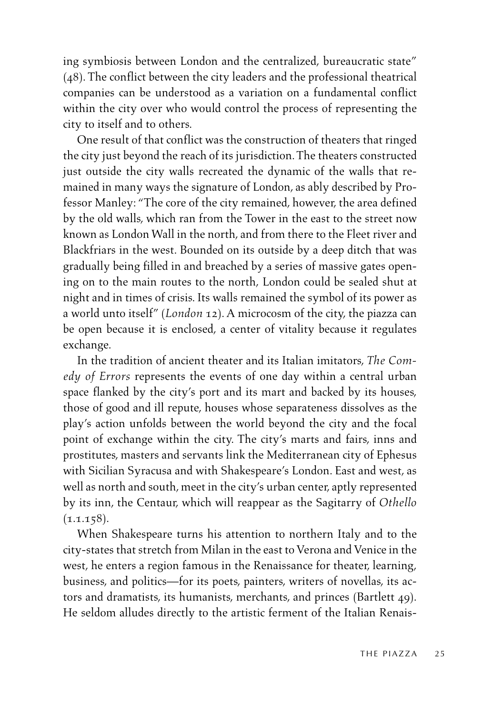ing symbiosis between London and the centralized, bureaucratic state" (48). The conflict between the city leaders and the professional theatrical companies can be understood as a variation on a fundamental conflict within the city over who would control the process of representing the city to itself and to others.

One result of that conflict was the construction of theaters that ringed the city just beyond the reach of its jurisdiction. The theaters constructed just outside the city walls recreated the dynamic of the walls that remained in many ways the signature of London, as ably described by Professor Manley: "The core of the city remained, however, the area defined by the old walls, which ran from the Tower in the east to the street now known as London Wall in the north, and from there to the Fleet river and Blackfriars in the west. Bounded on its outside by a deep ditch that was gradually being filled in and breached by a series of massive gates opening on to the main routes to the north, London could be sealed shut at night and in times of crisis. Its walls remained the symbol of its power as a world unto itself" (*London* 12). A microcosm of the city, the piazza can be open because it is enclosed, a center of vitality because it regulates exchange.

In the tradition of ancient theater and its Italian imitators, *The Comedy of Errors* represents the events of one day within a central urban space flanked by the city's port and its mart and backed by its houses, those of good and ill repute, houses whose separateness dissolves as the play's action unfolds between the world beyond the city and the focal point of exchange within the city. The city's marts and fairs, inns and prostitutes, masters and servants link the Mediterranean city of Ephesus with Sicilian Syracusa and with Shakespeare's London. East and west, as well as north and south, meet in the city's urban center, aptly represented by its inn, the Centaur, which will reappear as the Sagitarry of *Othello*  $(1.1.158)$ .

When Shakespeare turns his attention to northern Italy and to the city-states that stretch from Milan in the east to Verona and Venice in the west, he enters a region famous in the Renaissance for theater, learning, business, and politics—for its poets, painters, writers of novellas, its actors and dramatists, its humanists, merchants, and princes (Bartlett 49). He seldom alludes directly to the artistic ferment of the Italian Renais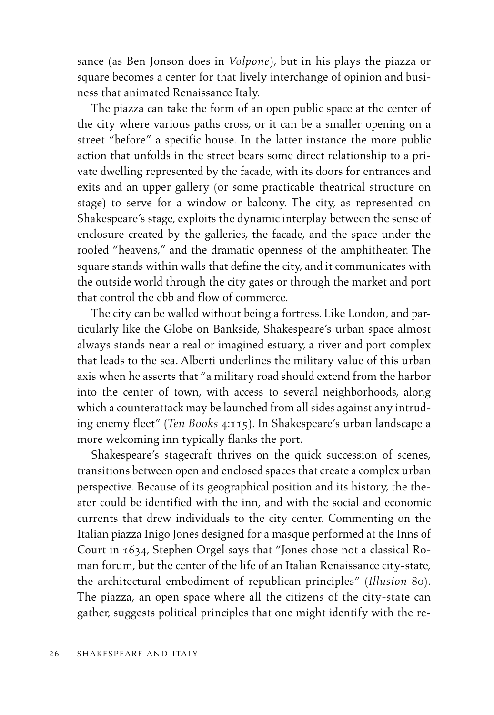sance (as Ben Jonson does in *Volpone*), but in his plays the piazza or square becomes a center for that lively interchange of opinion and business that animated Renaissance Italy.

The piazza can take the form of an open public space at the center of the city where various paths cross, or it can be a smaller opening on a street "before" a specific house. In the latter instance the more public action that unfolds in the street bears some direct relationship to a private dwelling represented by the facade, with its doors for entrances and exits and an upper gallery (or some practicable theatrical structure on stage) to serve for a window or balcony. The city, as represented on Shakespeare's stage, exploits the dynamic interplay between the sense of enclosure created by the galleries, the facade, and the space under the roofed "heavens," and the dramatic openness of the amphitheater. The square stands within walls that define the city, and it communicates with the outside world through the city gates or through the market and port that control the ebb and flow of commerce.

The city can be walled without being a fortress. Like London, and particularly like the Globe on Bankside, Shakespeare's urban space almost always stands near a real or imagined estuary, a river and port complex that leads to the sea. Alberti underlines the military value of this urban axis when he asserts that "a military road should extend from the harbor into the center of town, with access to several neighborhoods, along which a counterattack may be launched from all sides against any intruding enemy fleet" (*Ten Books* 4:115). In Shakespeare's urban landscape a more welcoming inn typically flanks the port.

Shakespeare's stagecraft thrives on the quick succession of scenes, transitions between open and enclosed spaces that create a complex urban perspective. Because of its geographical position and its history, the theater could be identified with the inn, and with the social and economic currents that drew individuals to the city center. Commenting on the Italian piazza Inigo Jones designed for a masque performed at the Inns of Court in 1634, Stephen Orgel says that "Jones chose not a classical Roman forum, but the center of the life of an Italian Renaissance city-state, the architectural embodiment of republican principles" (*Illusion* 80). The piazza, an open space where all the citizens of the city-state can gather, suggests political principles that one might identify with the re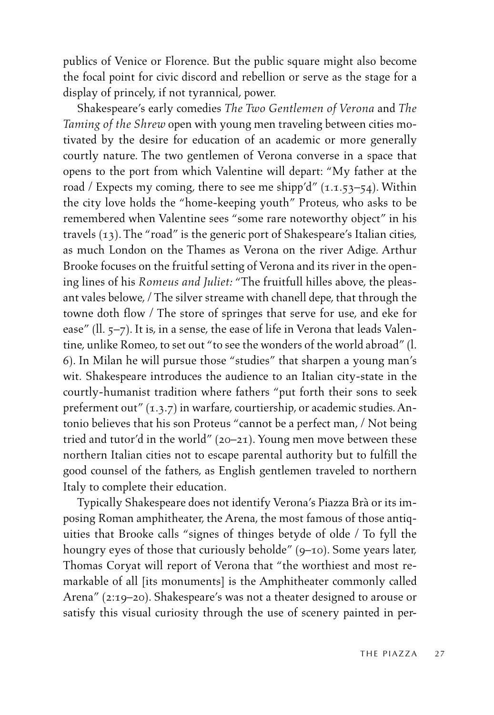publics of Venice or Florence. But the public square might also become the focal point for civic discord and rebellion or serve as the stage for a display of princely, if not tyrannical, power.

Shakespeare's early comedies *The Two Gentlemen of Verona* and *The Taming of the Shrew* open with young men traveling between cities motivated by the desire for education of an academic or more generally courtly nature. The two gentlemen of Verona converse in a space that opens to the port from which Valentine will depart: "My father at the road / Expects my coming, there to see me shipp'd"  $(1.1.53-54)$ . Within the city love holds the "home-keeping youth" Proteus, who asks to be remembered when Valentine sees "some rare noteworthy object" in his travels (13). The "road" is the generic port of Shakespeare's Italian cities, as much London on the Thames as Verona on the river Adige. Arthur Brooke focuses on the fruitful setting of Verona and its river in the opening lines of his *Romeus and Juliet:* "The fruitfull hilles above, the pleasant vales belowe, / The silver streame with chanell depe, that through the towne doth flow / The store of springes that serve for use, and eke for ease" (ll. 5–7). It is, in a sense, the ease of life in Verona that leads Valentine, unlike Romeo, to set out "to see the wonders of the world abroad" (l. 6). In Milan he will pursue those "studies" that sharpen a young man's wit. Shakespeare introduces the audience to an Italian city-state in the courtly-humanist tradition where fathers "put forth their sons to seek preferment out" (1.3.7) in warfare, courtiership, or academic studies. Antonio believes that his son Proteus "cannot be a perfect man, / Not being tried and tutor'd in the world" (20–21). Young men move between these northern Italian cities not to escape parental authority but to fulfill the good counsel of the fathers, as English gentlemen traveled to northern Italy to complete their education.

Typically Shakespeare does not identify Verona's Piazza Brà or its imposing Roman amphitheater, the Arena, the most famous of those antiquities that Brooke calls "signes of thinges betyde of olde / To fyll the houngry eyes of those that curiously beholde" (9-10). Some years later, Thomas Coryat will report of Verona that "the worthiest and most remarkable of all [its monuments] is the Amphitheater commonly called Arena" (2:19–20). Shakespeare's was not a theater designed to arouse or satisfy this visual curiosity through the use of scenery painted in per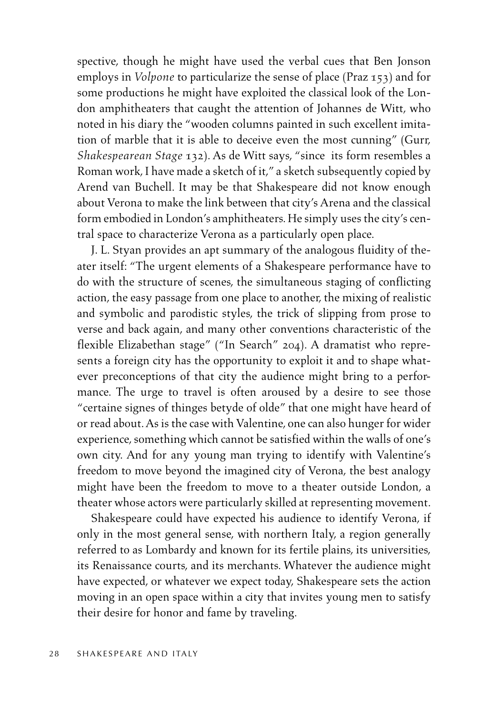spective, though he might have used the verbal cues that Ben Jonson employs in *Volpone* to particularize the sense of place (Praz 153) and for some productions he might have exploited the classical look of the London amphitheaters that caught the attention of Johannes de Witt, who noted in his diary the "wooden columns painted in such excellent imitation of marble that it is able to deceive even the most cunning" (Gurr, *Shakespearean Stage* 132). As de Witt says, "since its form resembles a Roman work, I have made a sketch of it," a sketch subsequently copied by Arend van Buchell. It may be that Shakespeare did not know enough about Verona to make the link between that city's Arena and the classical form embodied in London's amphitheaters. He simply uses the city's central space to characterize Verona as a particularly open place.

J. L. Styan provides an apt summary of the analogous fluidity of theater itself: "The urgent elements of a Shakespeare performance have to do with the structure of scenes, the simultaneous staging of conflicting action, the easy passage from one place to another, the mixing of realistic and symbolic and parodistic styles, the trick of slipping from prose to verse and back again, and many other conventions characteristic of the flexible Elizabethan stage" ("In Search" 204). A dramatist who represents a foreign city has the opportunity to exploit it and to shape whatever preconceptions of that city the audience might bring to a performance. The urge to travel is often aroused by a desire to see those "certaine signes of thinges betyde of olde" that one might have heard of or read about. As is the case with Valentine, one can also hunger for wider experience, something which cannot be satisfied within the walls of one's own city. And for any young man trying to identify with Valentine's freedom to move beyond the imagined city of Verona, the best analogy might have been the freedom to move to a theater outside London, a theater whose actors were particularly skilled at representing movement.

Shakespeare could have expected his audience to identify Verona, if only in the most general sense, with northern Italy, a region generally referred to as Lombardy and known for its fertile plains, its universities, its Renaissance courts, and its merchants. Whatever the audience might have expected, or whatever we expect today, Shakespeare sets the action moving in an open space within a city that invites young men to satisfy their desire for honor and fame by traveling.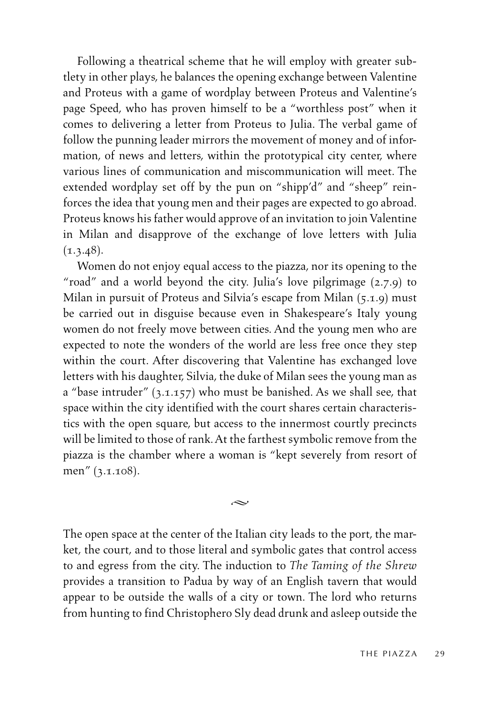Following a theatrical scheme that he will employ with greater subtlety in other plays, he balances the opening exchange between Valentine and Proteus with a game of wordplay between Proteus and Valentine's page Speed, who has proven himself to be a "worthless post" when it comes to delivering a letter from Proteus to Julia. The verbal game of follow the punning leader mirrors the movement of money and of information, of news and letters, within the prototypical city center, where various lines of communication and miscommunication will meet. The extended wordplay set off by the pun on "shipp'd" and "sheep" reinforces the idea that young men and their pages are expected to go abroad. Proteus knows his father would approve of an invitation to join Valentine in Milan and disapprove of the exchange of love letters with Julia  $(1.3.48).$ 

Women do not enjoy equal access to the piazza, nor its opening to the "road" and a world beyond the city. Julia's love pilgrimage (2.7.9) to Milan in pursuit of Proteus and Silvia's escape from Milan (5.1.9) must be carried out in disguise because even in Shakespeare's Italy young women do not freely move between cities. And the young men who are expected to note the wonders of the world are less free once they step within the court. After discovering that Valentine has exchanged love letters with his daughter, Silvia, the duke of Milan sees the young man as a "base intruder" (3.1.157) who must be banished. As we shall see, that space within the city identified with the court shares certain characteristics with the open square, but access to the innermost courtly precincts will be limited to those of rank. At the farthest symbolic remove from the piazza is the chamber where a woman is "kept severely from resort of men" (3.1.108).

The open space at the center of the Italian city leads to the port, the market, the court, and to those literal and symbolic gates that control access to and egress from the city. The induction to *The Taming of the Shrew* provides a transition to Padua by way of an English tavern that would appear to be outside the walls of a city or town. The lord who returns from hunting to find Christophero Sly dead drunk and asleep outside the

 $\sim$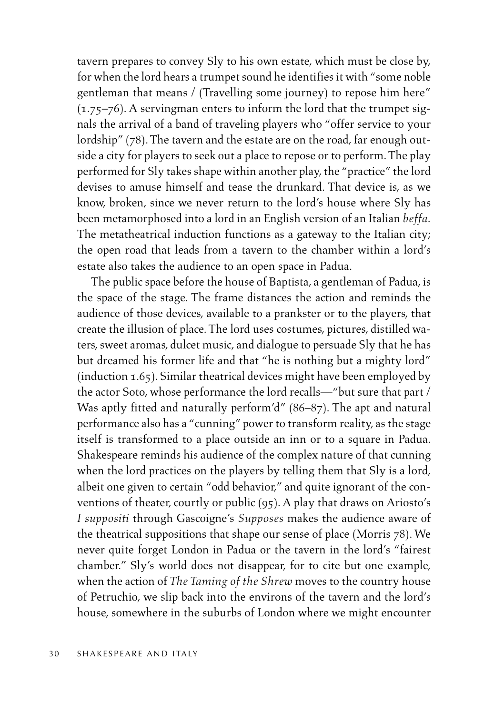tavern prepares to convey Sly to his own estate, which must be close by, for when the lord hears a trumpet sound he identifies it with "some noble gentleman that means / (Travelling some journey) to repose him here" (1.75–76). A servingman enters to inform the lord that the trumpet signals the arrival of a band of traveling players who "offer service to your lordship" (78). The tavern and the estate are on the road, far enough outside a city for players to seek out a place to repose or to perform. The play performed for Sly takes shape within another play, the "practice" the lord devises to amuse himself and tease the drunkard. That device is, as we know, broken, since we never return to the lord's house where Sly has been metamorphosed into a lord in an English version of an Italian *beffa.* The metatheatrical induction functions as a gateway to the Italian city; the open road that leads from a tavern to the chamber within a lord's estate also takes the audience to an open space in Padua.

The public space before the house of Baptista, a gentleman of Padua, is the space of the stage. The frame distances the action and reminds the audience of those devices, available to a prankster or to the players, that create the illusion of place. The lord uses costumes, pictures, distilled waters, sweet aromas, dulcet music, and dialogue to persuade Sly that he has but dreamed his former life and that "he is nothing but a mighty lord" (induction 1.65). Similar theatrical devices might have been employed by the actor Soto, whose performance the lord recalls—"but sure that part / Was aptly fitted and naturally perform'd" (86–87). The apt and natural performance also has a "cunning" power to transform reality, as the stage itself is transformed to a place outside an inn or to a square in Padua. Shakespeare reminds his audience of the complex nature of that cunning when the lord practices on the players by telling them that Sly is a lord, albeit one given to certain "odd behavior," and quite ignorant of the conventions of theater, courtly or public (95). A play that draws on Ariosto's *I suppositi* through Gascoigne's *Supposes* makes the audience aware of the theatrical suppositions that shape our sense of place (Morris 78). We never quite forget London in Padua or the tavern in the lord's "fairest chamber." Sly's world does not disappear, for to cite but one example, when the action of *The Taming of the Shrew* moves to the country house of Petruchio, we slip back into the environs of the tavern and the lord's house, somewhere in the suburbs of London where we might encounter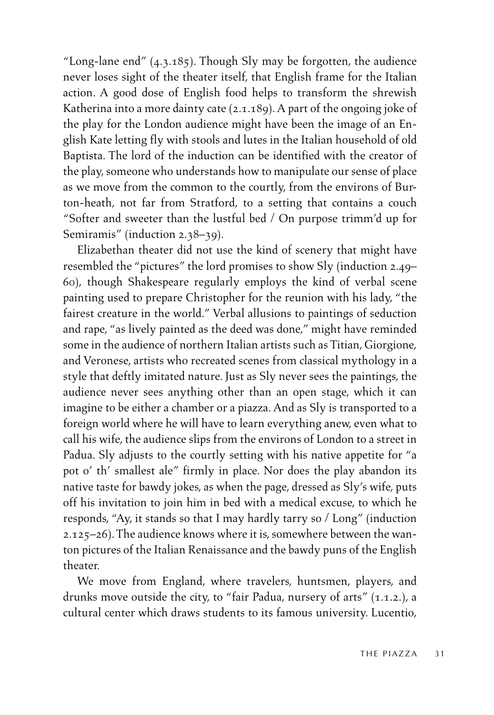"Long-lane end"  $(4.3.185)$ . Though Sly may be forgotten, the audience never loses sight of the theater itself, that English frame for the Italian action. A good dose of English food helps to transform the shrewish Katherina into a more dainty cate (2.1.189). A part of the ongoing joke of the play for the London audience might have been the image of an English Kate letting fly with stools and lutes in the Italian household of old Baptista. The lord of the induction can be identified with the creator of the play, someone who understands how to manipulate our sense of place as we move from the common to the courtly, from the environs of Burton-heath, not far from Stratford, to a setting that contains a couch "Softer and sweeter than the lustful bed / On purpose trimm'd up for Semiramis" (induction 2.38–39).

Elizabethan theater did not use the kind of scenery that might have resembled the "pictures" the lord promises to show Sly (induction 2.49– 60), though Shakespeare regularly employs the kind of verbal scene painting used to prepare Christopher for the reunion with his lady, "the fairest creature in the world." Verbal allusions to paintings of seduction and rape, "as lively painted as the deed was done," might have reminded some in the audience of northern Italian artists such as Titian, Giorgione, and Veronese, artists who recreated scenes from classical mythology in a style that deftly imitated nature. Just as Sly never sees the paintings, the audience never sees anything other than an open stage, which it can imagine to be either a chamber or a piazza. And as Sly is transported to a foreign world where he will have to learn everything anew, even what to call his wife, the audience slips from the environs of London to a street in Padua. Sly adjusts to the courtly setting with his native appetite for "a pot o' th' smallest ale" firmly in place. Nor does the play abandon its native taste for bawdy jokes, as when the page, dressed as Sly's wife, puts off his invitation to join him in bed with a medical excuse, to which he responds, "Ay, it stands so that I may hardly tarry so / Long" (induction 2.125–26). The audience knows where it is, somewhere between the wanton pictures of the Italian Renaissance and the bawdy puns of the English theater.

We move from England, where travelers, huntsmen, players, and drunks move outside the city, to "fair Padua, nursery of arts" (1.1.2.), a cultural center which draws students to its famous university. Lucentio,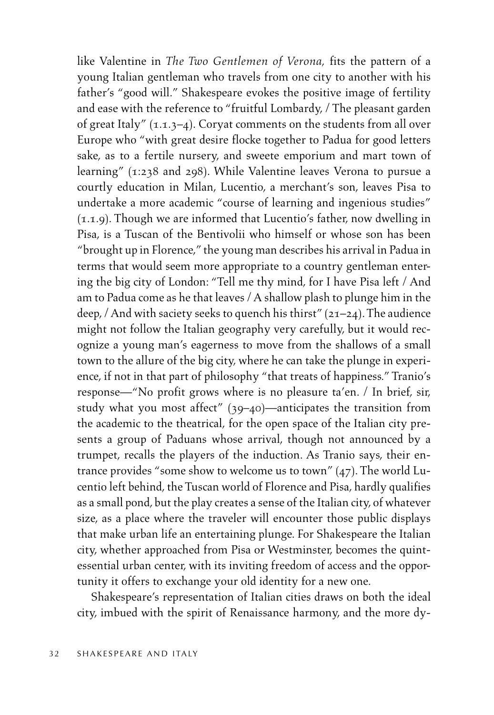like Valentine in *The Two Gentlemen of Verona,* fits the pattern of a young Italian gentleman who travels from one city to another with his father's "good will." Shakespeare evokes the positive image of fertility and ease with the reference to "fruitful Lombardy, / The pleasant garden of great Italy" (1.1.3–4). Coryat comments on the students from all over Europe who "with great desire flocke together to Padua for good letters sake, as to a fertile nursery, and sweete emporium and mart town of learning" (1:238 and 298). While Valentine leaves Verona to pursue a courtly education in Milan, Lucentio, a merchant's son, leaves Pisa to undertake a more academic "course of learning and ingenious studies" (1.1.9). Though we are informed that Lucentio's father, now dwelling in Pisa, is a Tuscan of the Bentivolii who himself or whose son has been "brought up in Florence," the young man describes his arrival in Padua in terms that would seem more appropriate to a country gentleman entering the big city of London: "Tell me thy mind, for I have Pisa left / And am to Padua come as he that leaves / A shallow plash to plunge him in the deep, / And with saciety seeks to quench his thirst" (21-24). The audience might not follow the Italian geography very carefully, but it would recognize a young man's eagerness to move from the shallows of a small town to the allure of the big city, where he can take the plunge in experience, if not in that part of philosophy "that treats of happiness." Tranio's response—"No profit grows where is no pleasure ta'en. / In brief, sir, study what you most affect" (39–40)—anticipates the transition from the academic to the theatrical, for the open space of the Italian city presents a group of Paduans whose arrival, though not announced by a trumpet, recalls the players of the induction. As Tranio says, their entrance provides "some show to welcome us to town" (47). The world Lucentio left behind, the Tuscan world of Florence and Pisa, hardly qualifies as a small pond, but the play creates a sense of the Italian city, of whatever size, as a place where the traveler will encounter those public displays that make urban life an entertaining plunge. For Shakespeare the Italian city, whether approached from Pisa or Westminster, becomes the quintessential urban center, with its inviting freedom of access and the opportunity it offers to exchange your old identity for a new one.

Shakespeare's representation of Italian cities draws on both the ideal city, imbued with the spirit of Renaissance harmony, and the more dy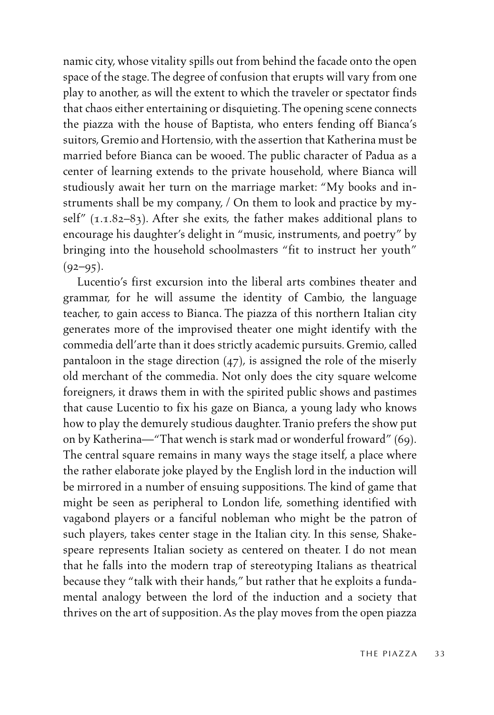namic city, whose vitality spills out from behind the facade onto the open space of the stage. The degree of confusion that erupts will vary from one play to another, as will the extent to which the traveler or spectator finds that chaos either entertaining or disquieting. The opening scene connects the piazza with the house of Baptista, who enters fending off Bianca's suitors, Gremio and Hortensio, with the assertion that Katherina must be married before Bianca can be wooed. The public character of Padua as a center of learning extends to the private household, where Bianca will studiously await her turn on the marriage market: "My books and instruments shall be my company, / On them to look and practice by myself" (1.1.82-83). After she exits, the father makes additional plans to encourage his daughter's delight in "music, instruments, and poetry" by bringing into the household schoolmasters "fit to instruct her youth"  $(92 - 95)$ .

Lucentio's first excursion into the liberal arts combines theater and grammar, for he will assume the identity of Cambio, the language teacher, to gain access to Bianca. The piazza of this northern Italian city generates more of the improvised theater one might identify with the commedia dell'arte than it does strictly academic pursuits. Gremio, called pantaloon in the stage direction  $(47)$ , is assigned the role of the miserly old merchant of the commedia. Not only does the city square welcome foreigners, it draws them in with the spirited public shows and pastimes that cause Lucentio to fix his gaze on Bianca, a young lady who knows how to play the demurely studious daughter. Tranio prefers the show put on by Katherina—"That wench is stark mad or wonderful froward" (69). The central square remains in many ways the stage itself, a place where the rather elaborate joke played by the English lord in the induction will be mirrored in a number of ensuing suppositions. The kind of game that might be seen as peripheral to London life, something identified with vagabond players or a fanciful nobleman who might be the patron of such players, takes center stage in the Italian city. In this sense, Shakespeare represents Italian society as centered on theater. I do not mean that he falls into the modern trap of stereotyping Italians as theatrical because they "talk with their hands," but rather that he exploits a fundamental analogy between the lord of the induction and a society that thrives on the art of supposition. As the play moves from the open piazza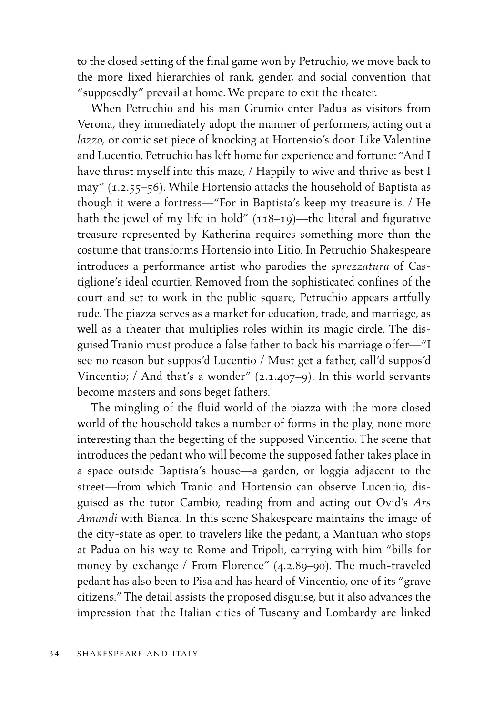to the closed setting of the final game won by Petruchio, we move back to the more fixed hierarchies of rank, gender, and social convention that "supposedly" prevail at home. We prepare to exit the theater.

When Petruchio and his man Grumio enter Padua as visitors from Verona, they immediately adopt the manner of performers, acting out a *lazzo,* or comic set piece of knocking at Hortensio's door. Like Valentine and Lucentio, Petruchio has left home for experience and fortune: "And I have thrust myself into this maze, / Happily to wive and thrive as best I may" (1.2.55–56). While Hortensio attacks the household of Baptista as though it were a fortress—"For in Baptista's keep my treasure is. / He hath the jewel of my life in hold" (118-19)—the literal and figurative treasure represented by Katherina requires something more than the costume that transforms Hortensio into Litio. In Petruchio Shakespeare introduces a performance artist who parodies the *sprezzatura* of Castiglione's ideal courtier. Removed from the sophisticated confines of the court and set to work in the public square, Petruchio appears artfully rude. The piazza serves as a market for education, trade, and marriage, as well as a theater that multiplies roles within its magic circle. The disguised Tranio must produce a false father to back his marriage offer—"I see no reason but suppos'd Lucentio / Must get a father, call'd suppos'd Vincentio; / And that's a wonder" (2.1.407–9). In this world servants become masters and sons beget fathers.

The mingling of the fluid world of the piazza with the more closed world of the household takes a number of forms in the play, none more interesting than the begetting of the supposed Vincentio. The scene that introduces the pedant who will become the supposed father takes place in a space outside Baptista's house—a garden, or loggia adjacent to the street—from which Tranio and Hortensio can observe Lucentio, disguised as the tutor Cambio, reading from and acting out Ovid's *Ars Amandi* with Bianca. In this scene Shakespeare maintains the image of the city-state as open to travelers like the pedant, a Mantuan who stops at Padua on his way to Rome and Tripoli, carrying with him "bills for money by exchange / From Florence" (4.2.89–90). The much-traveled pedant has also been to Pisa and has heard of Vincentio, one of its "grave citizens." The detail assists the proposed disguise, but it also advances the impression that the Italian cities of Tuscany and Lombardy are linked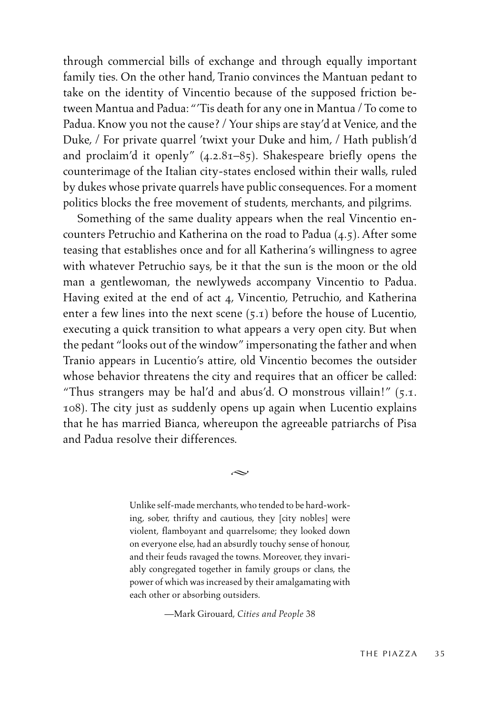through commercial bills of exchange and through equally important family ties. On the other hand, Tranio convinces the Mantuan pedant to take on the identity of Vincentio because of the supposed friction between Mantua and Padua: "'Tis death for any one in Mantua / To come to Padua. Know you not the cause? / Your ships are stay'd at Venice, and the Duke, / For private quarrel 'twixt your Duke and him, / Hath publish'd and proclaim'd it openly" (4.2.81–85). Shakespeare briefly opens the counterimage of the Italian city-states enclosed within their walls, ruled by dukes whose private quarrels have public consequences. For a moment politics blocks the free movement of students, merchants, and pilgrims.

Something of the same duality appears when the real Vincentio encounters Petruchio and Katherina on the road to Padua (4.5). After some teasing that establishes once and for all Katherina's willingness to agree with whatever Petruchio says, be it that the sun is the moon or the old man a gentlewoman, the newlyweds accompany Vincentio to Padua. Having exited at the end of act 4, Vincentio, Petruchio, and Katherina enter a few lines into the next scene (5.1) before the house of Lucentio, executing a quick transition to what appears a very open city. But when the pedant "looks out of the window" impersonating the father and when Tranio appears in Lucentio's attire, old Vincentio becomes the outsider whose behavior threatens the city and requires that an officer be called: "Thus strangers may be hal'd and abus'd. O monstrous villain!" (5.1. 108). The city just as suddenly opens up again when Lucentio explains that he has married Bianca, whereupon the agreeable patriarchs of Pisa and Padua resolve their differences.

> Unlike self-made merchants, who tended to be hard-working, sober, thrifty and cautious, they [city nobles] were violent, flamboyant and quarrelsome; they looked down on everyone else, had an absurdly touchy sense of honour, and their feuds ravaged the towns. Moreover, they invariably congregated together in family groups or clans, the power of which was increased by their amalgamating with each other or absorbing outsiders.

 $\sim$ 

—Mark Girouard, *Cities and People* 38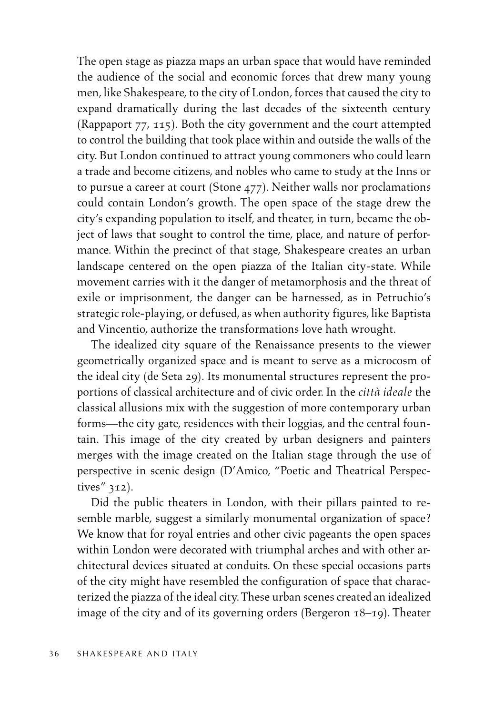The open stage as piazza maps an urban space that would have reminded the audience of the social and economic forces that drew many young men, like Shakespeare, to the city of London, forces that caused the city to expand dramatically during the last decades of the sixteenth century (Rappaport 77, 115). Both the city government and the court attempted to control the building that took place within and outside the walls of the city. But London continued to attract young commoners who could learn a trade and become citizens, and nobles who came to study at the Inns or to pursue a career at court (Stone 477). Neither walls nor proclamations could contain London's growth. The open space of the stage drew the city's expanding population to itself, and theater, in turn, became the object of laws that sought to control the time, place, and nature of performance. Within the precinct of that stage, Shakespeare creates an urban landscape centered on the open piazza of the Italian city-state. While movement carries with it the danger of metamorphosis and the threat of exile or imprisonment, the danger can be harnessed, as in Petruchio's strategic role-playing, or defused, as when authority figures, like Baptista and Vincentio, authorize the transformations love hath wrought.

The idealized city square of the Renaissance presents to the viewer geometrically organized space and is meant to serve as a microcosm of the ideal city (de Seta 29). Its monumental structures represent the proportions of classical architecture and of civic order. In the *città ideale* the classical allusions mix with the suggestion of more contemporary urban forms—the city gate, residences with their loggias, and the central fountain. This image of the city created by urban designers and painters merges with the image created on the Italian stage through the use of perspective in scenic design (D'Amico, "Poetic and Theatrical Perspectives" 312).

Did the public theaters in London, with their pillars painted to resemble marble, suggest a similarly monumental organization of space? We know that for royal entries and other civic pageants the open spaces within London were decorated with triumphal arches and with other architectural devices situated at conduits. On these special occasions parts of the city might have resembled the configuration of space that characterized the piazza of the ideal city. These urban scenes created an idealized image of the city and of its governing orders (Bergeron 18–19). Theater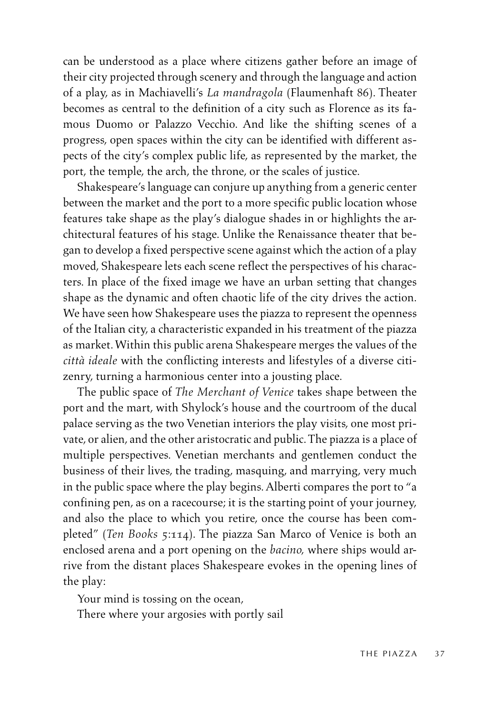can be understood as a place where citizens gather before an image of their city projected through scenery and through the language and action of a play, as in Machiavelli's *La mandragola* (Flaumenhaft 86). Theater becomes as central to the definition of a city such as Florence as its famous Duomo or Palazzo Vecchio. And like the shifting scenes of a progress, open spaces within the city can be identified with different aspects of the city's complex public life, as represented by the market, the port, the temple, the arch, the throne, or the scales of justice.

Shakespeare's language can conjure up anything from a generic center between the market and the port to a more specific public location whose features take shape as the play's dialogue shades in or highlights the architectural features of his stage. Unlike the Renaissance theater that began to develop a fixed perspective scene against which the action of a play moved, Shakespeare lets each scene reflect the perspectives of his characters. In place of the fixed image we have an urban setting that changes shape as the dynamic and often chaotic life of the city drives the action. We have seen how Shakespeare uses the piazza to represent the openness of the Italian city, a characteristic expanded in his treatment of the piazza as market. Within this public arena Shakespeare merges the values of the *città ideale* with the conflicting interests and lifestyles of a diverse citizenry, turning a harmonious center into a jousting place.

The public space of *The Merchant of Venice* takes shape between the port and the mart, with Shylock's house and the courtroom of the ducal palace serving as the two Venetian interiors the play visits, one most private, or alien, and the other aristocratic and public. The piazza is a place of multiple perspectives. Venetian merchants and gentlemen conduct the business of their lives, the trading, masquing, and marrying, very much in the public space where the play begins. Alberti compares the port to "a confining pen, as on a racecourse; it is the starting point of your journey, and also the place to which you retire, once the course has been completed" (*Ten Books* 5:114). The piazza San Marco of Venice is both an enclosed arena and a port opening on the *bacino,* where ships would arrive from the distant places Shakespeare evokes in the opening lines of the play:

Your mind is tossing on the ocean, There where your argosies with portly sail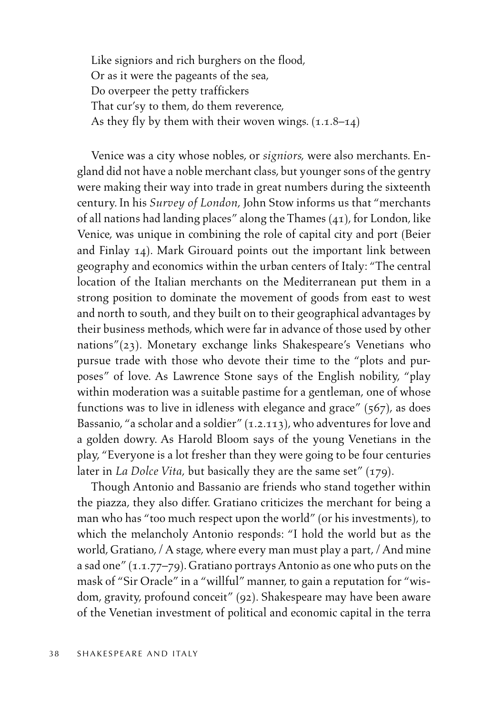Like signiors and rich burghers on the flood, Or as it were the pageants of the sea, Do overpeer the petty traffickers That cur'sy to them, do them reverence, As they fly by them with their woven wings.  $(1.1.8-14)$ 

Venice was a city whose nobles, or *signiors,* were also merchants. England did not have a noble merchant class, but younger sons of the gentry were making their way into trade in great numbers during the sixteenth century. In his *Survey of London,* John Stow informs us that "merchants of all nations had landing places" along the Thames (41), for London, like Venice, was unique in combining the role of capital city and port (Beier and Finlay 14). Mark Girouard points out the important link between geography and economics within the urban centers of Italy: "The central location of the Italian merchants on the Mediterranean put them in a strong position to dominate the movement of goods from east to west and north to south, and they built on to their geographical advantages by their business methods, which were far in advance of those used by other nations"(23). Monetary exchange links Shakespeare's Venetians who pursue trade with those who devote their time to the "plots and purposes" of love. As Lawrence Stone says of the English nobility, "play within moderation was a suitable pastime for a gentleman, one of whose functions was to live in idleness with elegance and grace" (567), as does Bassanio, "a scholar and a soldier" (1.2.113), who adventures for love and a golden dowry. As Harold Bloom says of the young Venetians in the play, "Everyone is a lot fresher than they were going to be four centuries later in *La Dolce Vita,* but basically they are the same set" (179).

Though Antonio and Bassanio are friends who stand together within the piazza, they also differ. Gratiano criticizes the merchant for being a man who has "too much respect upon the world" (or his investments), to which the melancholy Antonio responds: "I hold the world but as the world, Gratiano, / A stage, where every man must play a part, / And mine a sad one" (1.1.77–79). Gratiano portrays Antonio as one who puts on the mask of "Sir Oracle" in a "willful" manner, to gain a reputation for "wisdom, gravity, profound conceit" (92). Shakespeare may have been aware of the Venetian investment of political and economic capital in the terra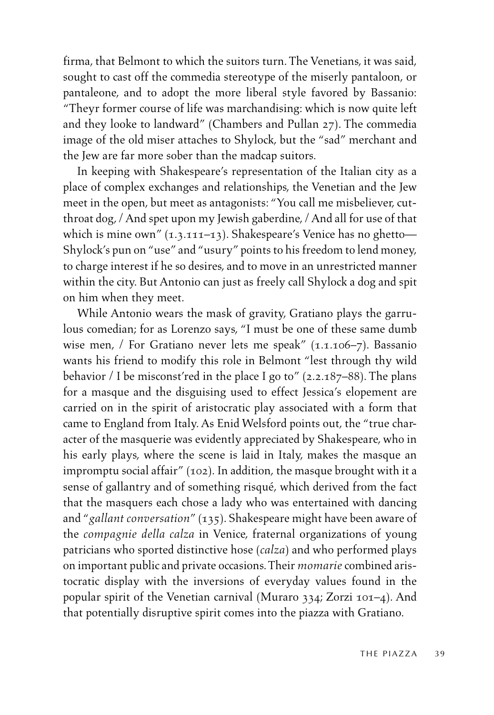firma, that Belmont to which the suitors turn. The Venetians, it was said, sought to cast off the commedia stereotype of the miserly pantaloon, or pantaleone, and to adopt the more liberal style favored by Bassanio: "Theyr former course of life was marchandising: which is now quite left and they looke to landward" (Chambers and Pullan 27). The commedia image of the old miser attaches to Shylock, but the "sad" merchant and the Jew are far more sober than the madcap suitors.

In keeping with Shakespeare's representation of the Italian city as a place of complex exchanges and relationships, the Venetian and the Jew meet in the open, but meet as antagonists: "You call me misbeliever, cutthroat dog, / And spet upon my Jewish gaberdine, / And all for use of that which is mine own" (1.3.111-13). Shakespeare's Venice has no ghetto-Shylock's pun on "use" and "usury" points to his freedom to lend money, to charge interest if he so desires, and to move in an unrestricted manner within the city. But Antonio can just as freely call Shylock a dog and spit on him when they meet.

While Antonio wears the mask of gravity, Gratiano plays the garrulous comedian; for as Lorenzo says, "I must be one of these same dumb wise men, / For Gratiano never lets me speak" (1.1.106-7). Bassanio wants his friend to modify this role in Belmont "lest through thy wild behavior / I be misconst'red in the place I go to" (2.2.187-88). The plans for a masque and the disguising used to effect Jessica's elopement are carried on in the spirit of aristocratic play associated with a form that came to England from Italy. As Enid Welsford points out, the "true character of the masquerie was evidently appreciated by Shakespeare, who in his early plays, where the scene is laid in Italy, makes the masque an impromptu social affair" (102). In addition, the masque brought with it a sense of gallantry and of something risqué, which derived from the fact that the masquers each chose a lady who was entertained with dancing and "*gallant conversation*" (135). Shakespeare might have been aware of the *compagnie della calza* in Venice, fraternal organizations of young patricians who sported distinctive hose (*calza*) and who performed plays on important public and private occasions. Their *momarie* combined aristocratic display with the inversions of everyday values found in the popular spirit of the Venetian carnival (Muraro 334; Zorzi 101–4). And that potentially disruptive spirit comes into the piazza with Gratiano.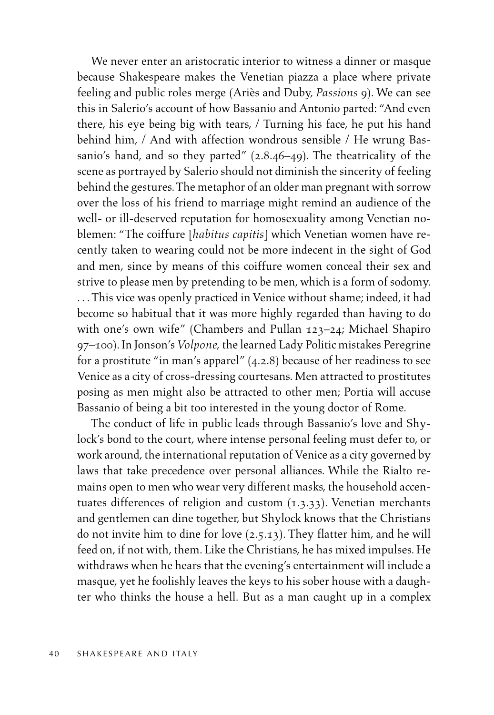We never enter an aristocratic interior to witness a dinner or masque because Shakespeare makes the Venetian piazza a place where private feeling and public roles merge (Ariès and Duby, *Passions* 9). We can see this in Salerio's account of how Bassanio and Antonio parted: "And even there, his eye being big with tears, / Turning his face, he put his hand behind him, / And with affection wondrous sensible / He wrung Bassanio's hand, and so they parted" (2.8.46–49). The theatricality of the scene as portrayed by Salerio should not diminish the sincerity of feeling behind the gestures. The metaphor of an older man pregnant with sorrow over the loss of his friend to marriage might remind an audience of the well- or ill-deserved reputation for homosexuality among Venetian noblemen: "The coiffure [*habitus capitis*] which Venetian women have recently taken to wearing could not be more indecent in the sight of God and men, since by means of this coiffure women conceal their sex and strive to please men by pretending to be men, which is a form of sodomy. . . . This vice was openly practiced in Venice without shame; indeed, it had become so habitual that it was more highly regarded than having to do with one's own wife" (Chambers and Pullan 123–24; Michael Shapiro 97–100). In Jonson's *Volpone,* the learned Lady Politic mistakes Peregrine for a prostitute "in man's apparel" (4.2.8) because of her readiness to see Venice as a city of cross-dressing courtesans. Men attracted to prostitutes posing as men might also be attracted to other men; Portia will accuse Bassanio of being a bit too interested in the young doctor of Rome.

The conduct of life in public leads through Bassanio's love and Shylock's bond to the court, where intense personal feeling must defer to, or work around, the international reputation of Venice as a city governed by laws that take precedence over personal alliances. While the Rialto remains open to men who wear very different masks, the household accentuates differences of religion and custom (1.3.33). Venetian merchants and gentlemen can dine together, but Shylock knows that the Christians do not invite him to dine for love (2.5.13). They flatter him, and he will feed on, if not with, them. Like the Christians, he has mixed impulses. He withdraws when he hears that the evening's entertainment will include a masque, yet he foolishly leaves the keys to his sober house with a daughter who thinks the house a hell. But as a man caught up in a complex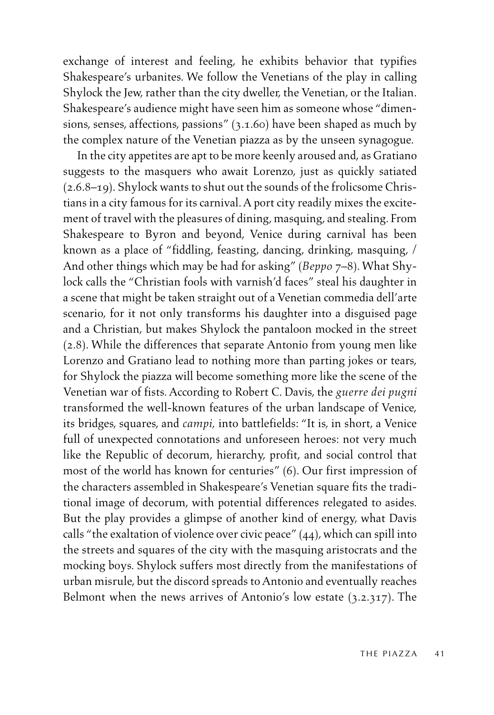exchange of interest and feeling, he exhibits behavior that typifies Shakespeare's urbanites. We follow the Venetians of the play in calling Shylock the Jew, rather than the city dweller, the Venetian, or the Italian. Shakespeare's audience might have seen him as someone whose "dimensions, senses, affections, passions" (3.1.60) have been shaped as much by the complex nature of the Venetian piazza as by the unseen synagogue.

In the city appetites are apt to be more keenly aroused and, as Gratiano suggests to the masquers who await Lorenzo, just as quickly satiated (2.6.8–19). Shylock wants to shut out the sounds of the frolicsome Christians in a city famous for its carnival. A port city readily mixes the excitement of travel with the pleasures of dining, masquing, and stealing. From Shakespeare to Byron and beyond, Venice during carnival has been known as a place of "fiddling, feasting, dancing, drinking, masquing, / And other things which may be had for asking" (*Beppo* 7–8). What Shylock calls the "Christian fools with varnish'd faces" steal his daughter in a scene that might be taken straight out of a Venetian commedia dell'arte scenario, for it not only transforms his daughter into a disguised page and a Christian, but makes Shylock the pantaloon mocked in the street (2.8). While the differences that separate Antonio from young men like Lorenzo and Gratiano lead to nothing more than parting jokes or tears, for Shylock the piazza will become something more like the scene of the Venetian war of fists. According to Robert C. Davis, the *guerre dei pugni* transformed the well-known features of the urban landscape of Venice, its bridges, squares, and *campi,* into battlefields: "It is, in short, a Venice full of unexpected connotations and unforeseen heroes: not very much like the Republic of decorum, hierarchy, profit, and social control that most of the world has known for centuries" (6). Our first impression of the characters assembled in Shakespeare's Venetian square fits the traditional image of decorum, with potential differences relegated to asides. But the play provides a glimpse of another kind of energy, what Davis calls "the exaltation of violence over civic peace" (44), which can spill into the streets and squares of the city with the masquing aristocrats and the mocking boys. Shylock suffers most directly from the manifestations of urban misrule, but the discord spreads to Antonio and eventually reaches Belmont when the news arrives of Antonio's low estate (3.2.317). The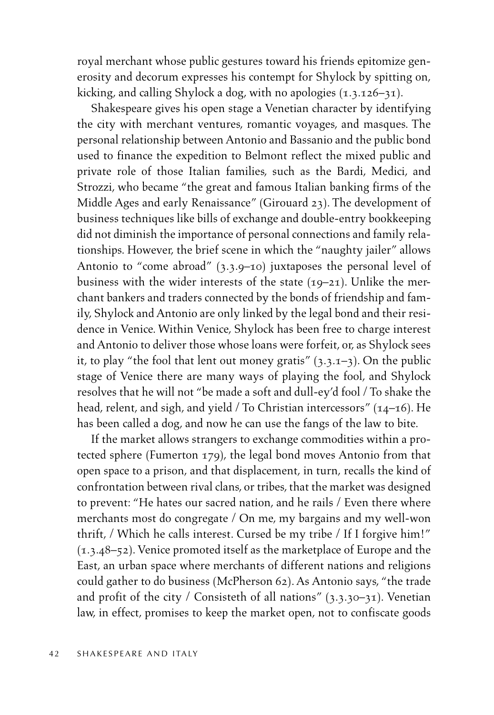royal merchant whose public gestures toward his friends epitomize generosity and decorum expresses his contempt for Shylock by spitting on, kicking, and calling Shylock a dog, with no apologies (1.3.126–31).

Shakespeare gives his open stage a Venetian character by identifying the city with merchant ventures, romantic voyages, and masques. The personal relationship between Antonio and Bassanio and the public bond used to finance the expedition to Belmont reflect the mixed public and private role of those Italian families, such as the Bardi, Medici, and Strozzi, who became "the great and famous Italian banking firms of the Middle Ages and early Renaissance" (Girouard 23). The development of business techniques like bills of exchange and double-entry bookkeeping did not diminish the importance of personal connections and family relationships. However, the brief scene in which the "naughty jailer" allows Antonio to "come abroad" (3.3.9–10) juxtaposes the personal level of business with the wider interests of the state  $(19-21)$ . Unlike the merchant bankers and traders connected by the bonds of friendship and family, Shylock and Antonio are only linked by the legal bond and their residence in Venice. Within Venice, Shylock has been free to charge interest and Antonio to deliver those whose loans were forfeit, or, as Shylock sees it, to play "the fool that lent out money gratis"  $(3.3.1-3)$ . On the public stage of Venice there are many ways of playing the fool, and Shylock resolves that he will not "be made a soft and dull-ey'd fool / To shake the head, relent, and sigh, and yield / To Christian intercessors" (14-16). He has been called a dog, and now he can use the fangs of the law to bite.

If the market allows strangers to exchange commodities within a protected sphere (Fumerton 179), the legal bond moves Antonio from that open space to a prison, and that displacement, in turn, recalls the kind of confrontation between rival clans, or tribes, that the market was designed to prevent: "He hates our sacred nation, and he rails / Even there where merchants most do congregate / On me, my bargains and my well-won thrift, / Which he calls interest. Cursed be my tribe / If I forgive him!" (1.3.48–52). Venice promoted itself as the marketplace of Europe and the East, an urban space where merchants of different nations and religions could gather to do business (McPherson 62). As Antonio says, "the trade and profit of the city / Consisteth of all nations"  $(3.3.30-31)$ . Venetian law, in effect, promises to keep the market open, not to confiscate goods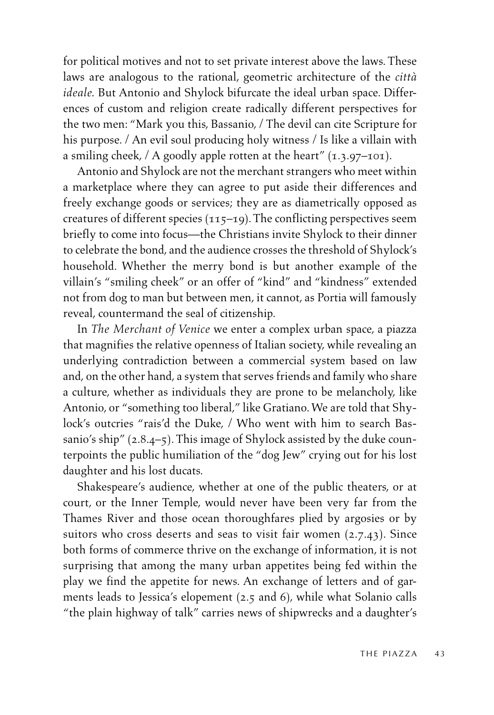for political motives and not to set private interest above the laws. These laws are analogous to the rational, geometric architecture of the *città ideale.* But Antonio and Shylock bifurcate the ideal urban space. Differences of custom and religion create radically different perspectives for the two men: "Mark you this, Bassanio, / The devil can cite Scripture for his purpose. / An evil soul producing holy witness / Is like a villain with a smiling cheek,  $/$  A goodly apple rotten at the heart"  $(1.3.97-101)$ .

Antonio and Shylock are not the merchant strangers who meet within a marketplace where they can agree to put aside their differences and freely exchange goods or services; they are as diametrically opposed as creatures of different species (115–19). The conflicting perspectives seem briefly to come into focus—the Christians invite Shylock to their dinner to celebrate the bond, and the audience crosses the threshold of Shylock's household. Whether the merry bond is but another example of the villain's "smiling cheek" or an offer of "kind" and "kindness" extended not from dog to man but between men, it cannot, as Portia will famously reveal, countermand the seal of citizenship.

In *The Merchant of Venice* we enter a complex urban space, a piazza that magnifies the relative openness of Italian society, while revealing an underlying contradiction between a commercial system based on law and, on the other hand, a system that serves friends and family who share a culture, whether as individuals they are prone to be melancholy, like Antonio, or "something too liberal," like Gratiano. We are told that Shylock's outcries "rais'd the Duke, / Who went with him to search Bassanio's ship" (2.8.4–5). This image of Shylock assisted by the duke counterpoints the public humiliation of the "dog Jew" crying out for his lost daughter and his lost ducats.

Shakespeare's audience, whether at one of the public theaters, or at court, or the Inner Temple, would never have been very far from the Thames River and those ocean thoroughfares plied by argosies or by suitors who cross deserts and seas to visit fair women (2.7.43). Since both forms of commerce thrive on the exchange of information, it is not surprising that among the many urban appetites being fed within the play we find the appetite for news. An exchange of letters and of garments leads to Jessica's elopement (2.5 and 6), while what Solanio calls "the plain highway of talk" carries news of shipwrecks and a daughter's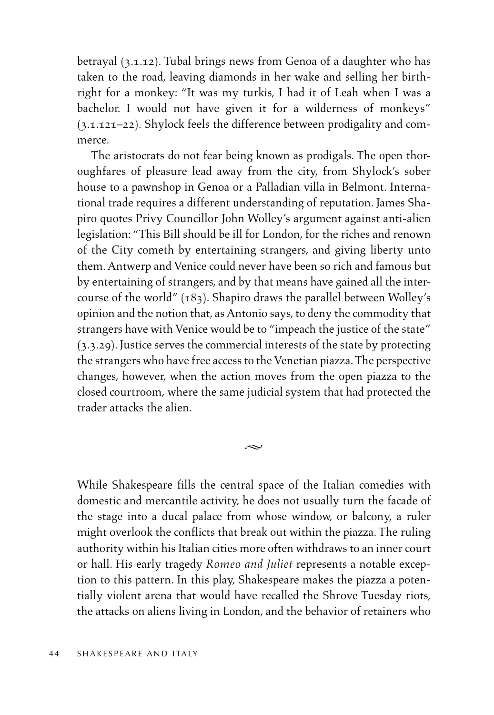betrayal (3.1.12). Tubal brings news from Genoa of a daughter who has taken to the road, leaving diamonds in her wake and selling her birthright for a monkey: "It was my turkis, I had it of Leah when I was a bachelor. I would not have given it for a wilderness of monkeys" (3.1.121–22). Shylock feels the difference between prodigality and commerce.

The aristocrats do not fear being known as prodigals. The open thoroughfares of pleasure lead away from the city, from Shylock's sober house to a pawnshop in Genoa or a Palladian villa in Belmont. International trade requires a different understanding of reputation. James Shapiro quotes Privy Councillor John Wolley's argument against anti-alien legislation: "This Bill should be ill for London, for the riches and renown of the City cometh by entertaining strangers, and giving liberty unto them. Antwerp and Venice could never have been so rich and famous but by entertaining of strangers, and by that means have gained all the intercourse of the world" (183). Shapiro draws the parallel between Wolley's opinion and the notion that, as Antonio says, to deny the commodity that strangers have with Venice would be to "impeach the justice of the state" (3.3.29). Justice serves the commercial interests of the state by protecting the strangers who have free access to the Venetian piazza. The perspective changes, however, when the action moves from the open piazza to the closed courtroom, where the same judicial system that had protected the trader attacks the alien.

While Shakespeare fills the central space of the Italian comedies with domestic and mercantile activity, he does not usually turn the facade of the stage into a ducal palace from whose window, or balcony, a ruler might overlook the conflicts that break out within the piazza. The ruling authority within his Italian cities more often withdraws to an inner court or hall. His early tragedy *Romeo and Juliet* represents a notable exception to this pattern. In this play, Shakespeare makes the piazza a potentially violent arena that would have recalled the Shrove Tuesday riots, the attacks on aliens living in London, and the behavior of retainers who

 $\rightsquigarrow$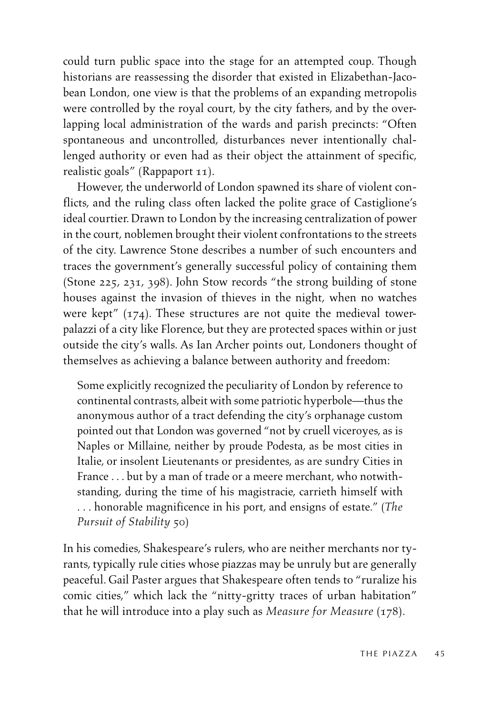could turn public space into the stage for an attempted coup. Though historians are reassessing the disorder that existed in Elizabethan-Jacobean London, one view is that the problems of an expanding metropolis were controlled by the royal court, by the city fathers, and by the overlapping local administration of the wards and parish precincts: "Often spontaneous and uncontrolled, disturbances never intentionally challenged authority or even had as their object the attainment of specific, realistic goals" (Rappaport 11).

However, the underworld of London spawned its share of violent conflicts, and the ruling class often lacked the polite grace of Castiglione's ideal courtier. Drawn to London by the increasing centralization of power in the court, noblemen brought their violent confrontations to the streets of the city. Lawrence Stone describes a number of such encounters and traces the government's generally successful policy of containing them (Stone 225, 231, 398). John Stow records "the strong building of stone houses against the invasion of thieves in the night, when no watches were kept" (174). These structures are not quite the medieval towerpalazzi of a city like Florence, but they are protected spaces within or just outside the city's walls. As Ian Archer points out, Londoners thought of themselves as achieving a balance between authority and freedom:

Some explicitly recognized the peculiarity of London by reference to continental contrasts, albeit with some patriotic hyperbole—thus the anonymous author of a tract defending the city's orphanage custom pointed out that London was governed "not by cruell viceroyes, as is Naples or Millaine, neither by proude Podesta, as be most cities in Italie, or insolent Lieutenants or presidentes, as are sundry Cities in France . . . but by a man of trade or a meere merchant, who notwithstanding, during the time of his magistracie, carrieth himself with . . . honorable magnificence in his port, and ensigns of estate." (*The Pursuit of Stability* 50)

In his comedies, Shakespeare's rulers, who are neither merchants nor tyrants, typically rule cities whose piazzas may be unruly but are generally peaceful. Gail Paster argues that Shakespeare often tends to "ruralize his comic cities," which lack the "nitty-gritty traces of urban habitation" that he will introduce into a play such as *Measure for Measure* (178).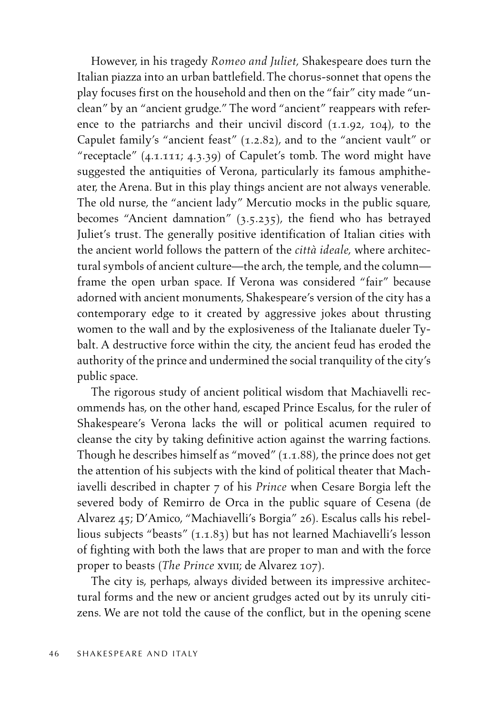However, in his tragedy *Romeo and Juliet,* Shakespeare does turn the Italian piazza into an urban battlefield. The chorus-sonnet that opens the play focuses first on the household and then on the "fair" city made "unclean" by an "ancient grudge." The word "ancient" reappears with reference to the patriarchs and their uncivil discord (1.1.92, 104), to the Capulet family's "ancient feast" (1.2.82), and to the "ancient vault" or "receptacle" (4.1.111; 4.3.39) of Capulet's tomb. The word might have suggested the antiquities of Verona, particularly its famous amphitheater, the Arena. But in this play things ancient are not always venerable. The old nurse, the "ancient lady" Mercutio mocks in the public square, becomes "Ancient damnation" (3.5.235), the fiend who has betrayed Juliet's trust. The generally positive identification of Italian cities with the ancient world follows the pattern of the *città ideale,* where architectural symbols of ancient culture—the arch, the temple, and the column frame the open urban space. If Verona was considered "fair" because adorned with ancient monuments, Shakespeare's version of the city has a contemporary edge to it created by aggressive jokes about thrusting women to the wall and by the explosiveness of the Italianate dueler Tybalt. A destructive force within the city, the ancient feud has eroded the authority of the prince and undermined the social tranquility of the city's public space.

The rigorous study of ancient political wisdom that Machiavelli recommends has, on the other hand, escaped Prince Escalus, for the ruler of Shakespeare's Verona lacks the will or political acumen required to cleanse the city by taking definitive action against the warring factions. Though he describes himself as "moved" (1.1.88), the prince does not get the attention of his subjects with the kind of political theater that Machiavelli described in chapter 7 of his *Prince* when Cesare Borgia left the severed body of Remirro de Orca in the public square of Cesena (de Alvarez 45; D'Amico, "Machiavelli's Borgia" 26). Escalus calls his rebellious subjects "beasts" (1.1.83) but has not learned Machiavelli's lesson of fighting with both the laws that are proper to man and with the force proper to beasts (*The Prince* xviii; de Alvarez 107).

The city is, perhaps, always divided between its impressive architectural forms and the new or ancient grudges acted out by its unruly citizens. We are not told the cause of the conflict, but in the opening scene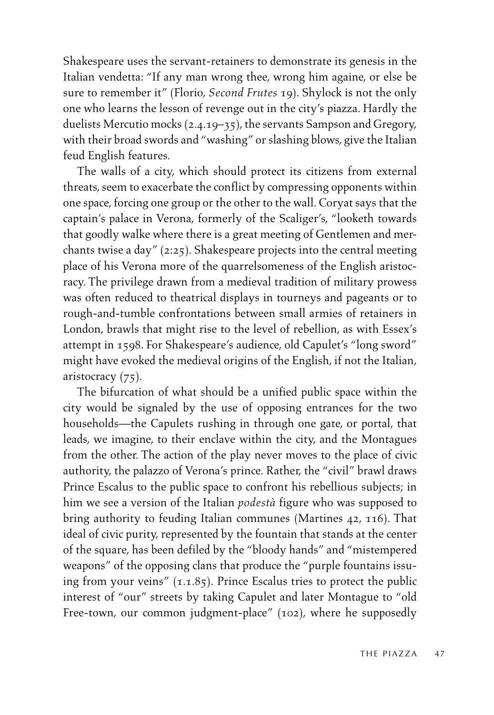Shakespeare uses the servant-retainers to demonstrate its genesis in the Italian vendetta: "If any man wrong thee, wrong him againe, or else be sure to remember it" (Florio, *Second Frutes* 19). Shylock is not the only one who learns the lesson of revenge out in the city's piazza. Hardly the duelists Mercutio mocks (2.4.19–35), the servants Sampson and Gregory, with their broad swords and "washing" or slashing blows, give the Italian feud English features.

The walls of a city, which should protect its citizens from external threats, seem to exacerbate the conflict by compressing opponents within one space, forcing one group or the other to the wall. Coryat says that the captain's palace in Verona, formerly of the Scaliger's, "looketh towards that goodly walke where there is a great meeting of Gentlemen and merchants twise a day" (2:25). Shakespeare projects into the central meeting place of his Verona more of the quarrelsomeness of the English aristocracy. The privilege drawn from a medieval tradition of military prowess was often reduced to theatrical displays in tourneys and pageants or to rough-and-tumble confrontations between small armies of retainers in London, brawls that might rise to the level of rebellion, as with Essex's attempt in 1598. For Shakespeare's audience, old Capulet's "long sword" might have evoked the medieval origins of the English, if not the Italian, aristocracy (75).

The bifurcation of what should be a unified public space within the city would be signaled by the use of opposing entrances for the two households—the Capulets rushing in through one gate, or portal, that leads, we imagine, to their enclave within the city, and the Montagues from the other. The action of the play never moves to the place of civic authority, the palazzo of Verona's prince. Rather, the "civil" brawl draws Prince Escalus to the public space to confront his rebellious subjects; in him we see a version of the Italian *podestà* figure who was supposed to bring authority to feuding Italian communes (Martines 42, 116). That ideal of civic purity, represented by the fountain that stands at the center of the square, has been defiled by the "bloody hands" and "mistempered weapons" of the opposing clans that produce the "purple fountains issuing from your veins"  $(1.1.85)$ . Prince Escalus tries to protect the public interest of "our" streets by taking Capulet and later Montague to "old Free-town, our common judgment-place" (102), where he supposedly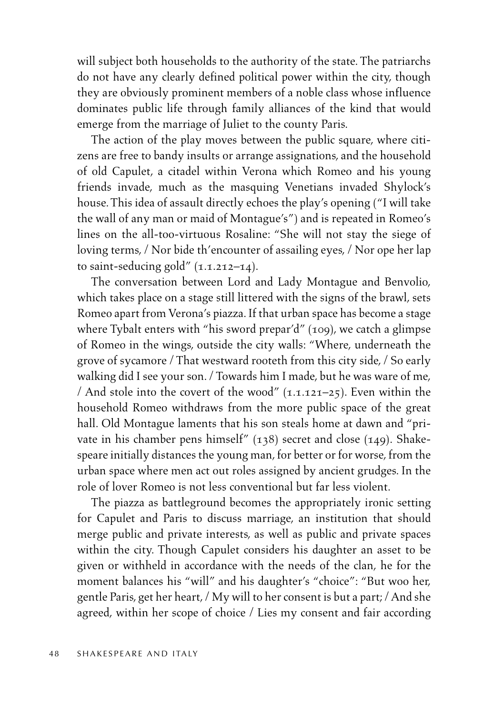will subject both households to the authority of the state. The patriarchs do not have any clearly defined political power within the city, though they are obviously prominent members of a noble class whose influence dominates public life through family alliances of the kind that would emerge from the marriage of Juliet to the county Paris.

The action of the play moves between the public square, where citizens are free to bandy insults or arrange assignations, and the household of old Capulet, a citadel within Verona which Romeo and his young friends invade, much as the masquing Venetians invaded Shylock's house. This idea of assault directly echoes the play's opening ("I will take the wall of any man or maid of Montague's") and is repeated in Romeo's lines on the all-too-virtuous Rosaline: "She will not stay the siege of loving terms, / Nor bide th'encounter of assailing eyes, / Nor ope her lap to saint-seducing gold"  $(1.1.212-14)$ .

The conversation between Lord and Lady Montague and Benvolio, which takes place on a stage still littered with the signs of the brawl, sets Romeo apart from Verona's piazza. If that urban space has become a stage where Tybalt enters with "his sword prepar'd" (109), we catch a glimpse of Romeo in the wings, outside the city walls: "Where, underneath the grove of sycamore / That westward rooteth from this city side, / So early walking did I see your son. / Towards him I made, but he was ware of me, / And stole into the covert of the wood"  $(1.1.121-25)$ . Even within the household Romeo withdraws from the more public space of the great hall. Old Montague laments that his son steals home at dawn and "private in his chamber pens himself" (138) secret and close (149). Shakespeare initially distances the young man, for better or for worse, from the urban space where men act out roles assigned by ancient grudges. In the role of lover Romeo is not less conventional but far less violent.

The piazza as battleground becomes the appropriately ironic setting for Capulet and Paris to discuss marriage, an institution that should merge public and private interests, as well as public and private spaces within the city. Though Capulet considers his daughter an asset to be given or withheld in accordance with the needs of the clan, he for the moment balances his "will" and his daughter's "choice": "But woo her, gentle Paris, get her heart, / My will to her consent is but a part; / And she agreed, within her scope of choice / Lies my consent and fair according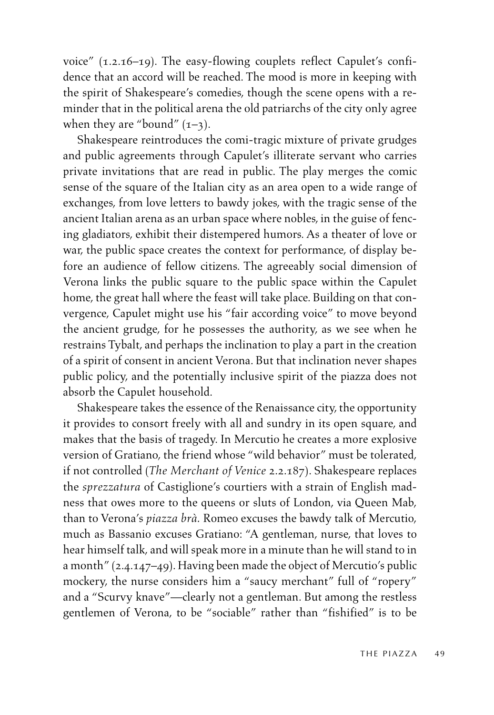voice" (1.2.16–19). The easy-flowing couplets reflect Capulet's confidence that an accord will be reached. The mood is more in keeping with the spirit of Shakespeare's comedies, though the scene opens with a reminder that in the political arena the old patriarchs of the city only agree when they are "bound"  $(1-3)$ .

Shakespeare reintroduces the comi-tragic mixture of private grudges and public agreements through Capulet's illiterate servant who carries private invitations that are read in public. The play merges the comic sense of the square of the Italian city as an area open to a wide range of exchanges, from love letters to bawdy jokes, with the tragic sense of the ancient Italian arena as an urban space where nobles, in the guise of fencing gladiators, exhibit their distempered humors. As a theater of love or war, the public space creates the context for performance, of display before an audience of fellow citizens. The agreeably social dimension of Verona links the public square to the public space within the Capulet home, the great hall where the feast will take place. Building on that convergence, Capulet might use his "fair according voice" to move beyond the ancient grudge, for he possesses the authority, as we see when he restrains Tybalt, and perhaps the inclination to play a part in the creation of a spirit of consent in ancient Verona. But that inclination never shapes public policy, and the potentially inclusive spirit of the piazza does not absorb the Capulet household.

Shakespeare takes the essence of the Renaissance city, the opportunity it provides to consort freely with all and sundry in its open square, and makes that the basis of tragedy. In Mercutio he creates a more explosive version of Gratiano, the friend whose "wild behavior" must be tolerated, if not controlled (*The Merchant of Venice* 2.2.187). Shakespeare replaces the *sprezzatura* of Castiglione's courtiers with a strain of English madness that owes more to the queens or sluts of London, via Queen Mab, than to Verona's *piazza brà.* Romeo excuses the bawdy talk of Mercutio, much as Bassanio excuses Gratiano: "A gentleman, nurse, that loves to hear himself talk, and will speak more in a minute than he will stand to in a month" (2.4.147–49). Having been made the object of Mercutio's public mockery, the nurse considers him a "saucy merchant" full of "ropery" and a "Scurvy knave"—clearly not a gentleman. But among the restless gentlemen of Verona, to be "sociable" rather than "fishified" is to be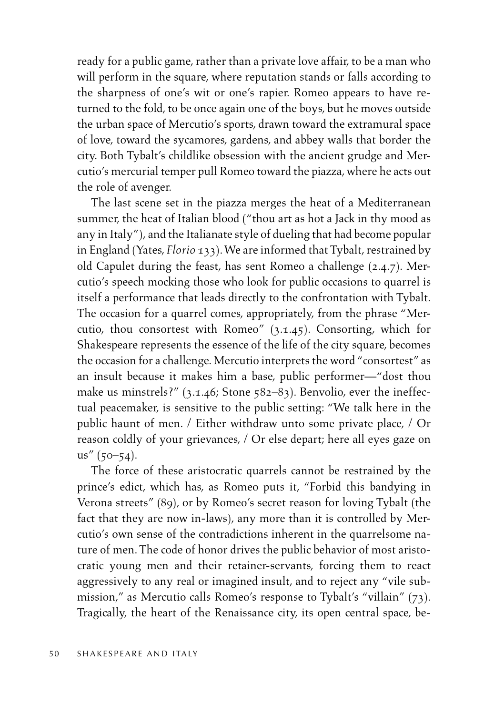ready for a public game, rather than a private love affair, to be a man who will perform in the square, where reputation stands or falls according to the sharpness of one's wit or one's rapier. Romeo appears to have returned to the fold, to be once again one of the boys, but he moves outside the urban space of Mercutio's sports, drawn toward the extramural space of love, toward the sycamores, gardens, and abbey walls that border the city. Both Tybalt's childlike obsession with the ancient grudge and Mercutio's mercurial temper pull Romeo toward the piazza, where he acts out the role of avenger.

The last scene set in the piazza merges the heat of a Mediterranean summer, the heat of Italian blood ("thou art as hot a Jack in thy mood as any in Italy"), and the Italianate style of dueling that had become popular in England (Yates, *Florio* 133). We are informed that Tybalt, restrained by old Capulet during the feast, has sent Romeo a challenge (2.4.7). Mercutio's speech mocking those who look for public occasions to quarrel is itself a performance that leads directly to the confrontation with Tybalt. The occasion for a quarrel comes, appropriately, from the phrase "Mercutio, thou consortest with Romeo" (3.1.45). Consorting, which for Shakespeare represents the essence of the life of the city square, becomes the occasion for a challenge. Mercutio interprets the word "consortest" as an insult because it makes him a base, public performer—"dost thou make us minstrels?" (3.1.46; Stone 582–83). Benvolio, ever the ineffectual peacemaker, is sensitive to the public setting: "We talk here in the public haunt of men. / Either withdraw unto some private place, / Or reason coldly of your grievances, / Or else depart; here all eyes gaze on us" (50–54).

The force of these aristocratic quarrels cannot be restrained by the prince's edict, which has, as Romeo puts it, "Forbid this bandying in Verona streets" (89), or by Romeo's secret reason for loving Tybalt (the fact that they are now in-laws), any more than it is controlled by Mercutio's own sense of the contradictions inherent in the quarrelsome nature of men. The code of honor drives the public behavior of most aristocratic young men and their retainer-servants, forcing them to react aggressively to any real or imagined insult, and to reject any "vile submission," as Mercutio calls Romeo's response to Tybalt's "villain" (73). Tragically, the heart of the Renaissance city, its open central space, be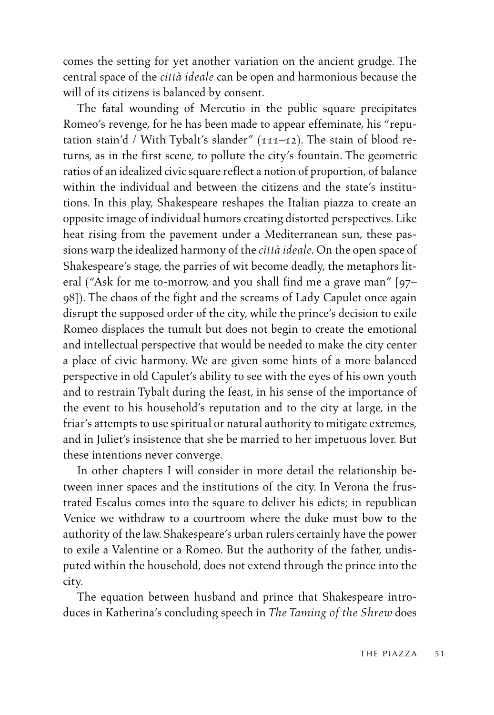comes the setting for yet another variation on the ancient grudge. The central space of the *città ideale* can be open and harmonious because the will of its citizens is balanced by consent.

The fatal wounding of Mercutio in the public square precipitates Romeo's revenge, for he has been made to appear effeminate, his "reputation stain'd / With Tybalt's slander" (111–12). The stain of blood returns, as in the first scene, to pollute the city's fountain. The geometric ratios of an idealized civic square reflect a notion of proportion, of balance within the individual and between the citizens and the state's institutions. In this play, Shakespeare reshapes the Italian piazza to create an opposite image of individual humors creating distorted perspectives. Like heat rising from the pavement under a Mediterranean sun, these passions warp the idealized harmony of the *città ideale.* On the open space of Shakespeare's stage, the parries of wit become deadly, the metaphors literal ("Ask for me to-morrow, and you shall find me a grave man" [97– 98]). The chaos of the fight and the screams of Lady Capulet once again disrupt the supposed order of the city, while the prince's decision to exile Romeo displaces the tumult but does not begin to create the emotional and intellectual perspective that would be needed to make the city center a place of civic harmony. We are given some hints of a more balanced perspective in old Capulet's ability to see with the eyes of his own youth and to restrain Tybalt during the feast, in his sense of the importance of the event to his household's reputation and to the city at large, in the friar's attempts to use spiritual or natural authority to mitigate extremes, and in Juliet's insistence that she be married to her impetuous lover. But these intentions never converge.

In other chapters I will consider in more detail the relationship between inner spaces and the institutions of the city. In Verona the frustrated Escalus comes into the square to deliver his edicts; in republican Venice we withdraw to a courtroom where the duke must bow to the authority of the law. Shakespeare's urban rulers certainly have the power to exile a Valentine or a Romeo. But the authority of the father, undisputed within the household, does not extend through the prince into the city.

The equation between husband and prince that Shakespeare introduces in Katherina's concluding speech in *The Taming of the Shrew* does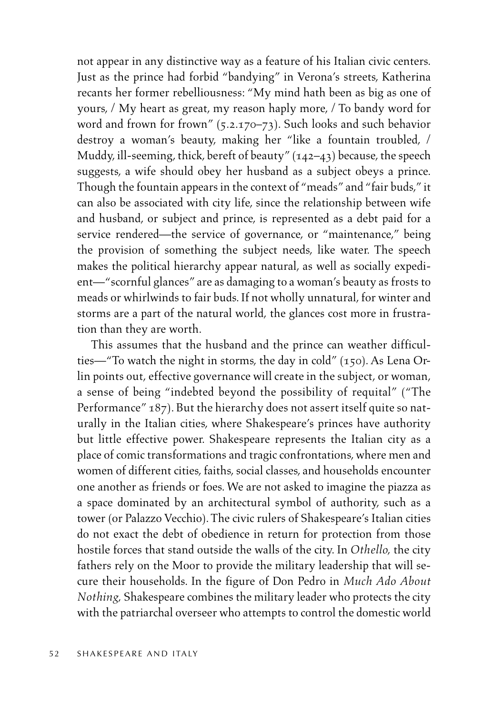not appear in any distinctive way as a feature of his Italian civic centers. Just as the prince had forbid "bandying" in Verona's streets, Katherina recants her former rebelliousness: "My mind hath been as big as one of yours, / My heart as great, my reason haply more, / To bandy word for word and frown for frown" (5.2.170–73). Such looks and such behavior destroy a woman's beauty, making her "like a fountain troubled, / Muddy, ill-seeming, thick, bereft of beauty" (142–43) because, the speech suggests, a wife should obey her husband as a subject obeys a prince. Though the fountain appears in the context of "meads" and "fair buds," it can also be associated with city life, since the relationship between wife and husband, or subject and prince, is represented as a debt paid for a service rendered—the service of governance, or "maintenance," being the provision of something the subject needs, like water. The speech makes the political hierarchy appear natural, as well as socially expedient—"scornful glances" are as damaging to a woman's beauty as frosts to meads or whirlwinds to fair buds. If not wholly unnatural, for winter and storms are a part of the natural world, the glances cost more in frustration than they are worth.

This assumes that the husband and the prince can weather difficulties—"To watch the night in storms, the day in cold" (150). As Lena Orlin points out, effective governance will create in the subject, or woman, a sense of being "indebted beyond the possibility of requital" ("The Performance" 187). But the hierarchy does not assert itself quite so naturally in the Italian cities, where Shakespeare's princes have authority but little effective power. Shakespeare represents the Italian city as a place of comic transformations and tragic confrontations, where men and women of different cities, faiths, social classes, and households encounter one another as friends or foes. We are not asked to imagine the piazza as a space dominated by an architectural symbol of authority, such as a tower (or Palazzo Vecchio). The civic rulers of Shakespeare's Italian cities do not exact the debt of obedience in return for protection from those hostile forces that stand outside the walls of the city. In *Othello,* the city fathers rely on the Moor to provide the military leadership that will secure their households. In the figure of Don Pedro in *Much Ado About Nothing,* Shakespeare combines the military leader who protects the city with the patriarchal overseer who attempts to control the domestic world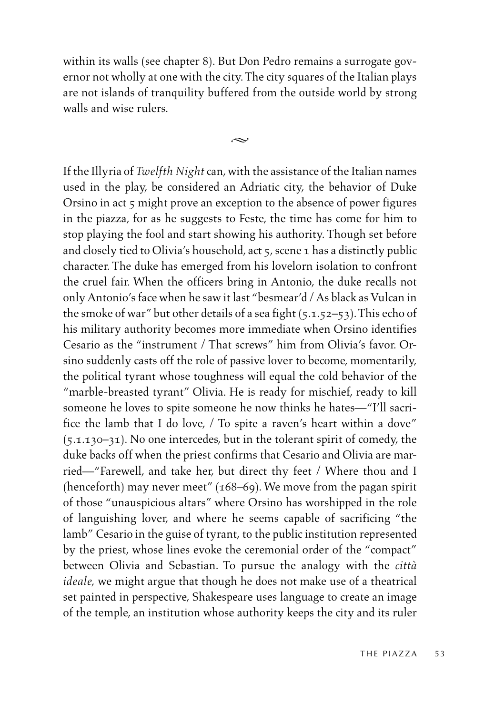within its walls (see chapter 8). But Don Pedro remains a surrogate governor not wholly at one with the city. The city squares of the Italian plays are not islands of tranquility buffered from the outside world by strong walls and wise rulers.

 $\sim$ 

If the Illyria of *Twelfth Night* can, with the assistance of the Italian names used in the play, be considered an Adriatic city, the behavior of Duke Orsino in act 5 might prove an exception to the absence of power figures in the piazza, for as he suggests to Feste, the time has come for him to stop playing the fool and start showing his authority. Though set before and closely tied to Olivia's household, act 5, scene 1 has a distinctly public character. The duke has emerged from his lovelorn isolation to confront the cruel fair. When the officers bring in Antonio, the duke recalls not only Antonio's face when he saw it last "besmear'd / As black as Vulcan in the smoke of war" but other details of a sea fight (5.1.52–53). This echo of his military authority becomes more immediate when Orsino identifies Cesario as the "instrument / That screws" him from Olivia's favor. Orsino suddenly casts off the role of passive lover to become, momentarily, the political tyrant whose toughness will equal the cold behavior of the "marble-breasted tyrant" Olivia. He is ready for mischief, ready to kill someone he loves to spite someone he now thinks he hates—"I'll sacrifice the lamb that I do love, / To spite a raven's heart within a dove" (5.1.130–31). No one intercedes, but in the tolerant spirit of comedy, the duke backs off when the priest confirms that Cesario and Olivia are married—"Farewell, and take her, but direct thy feet / Where thou and I (henceforth) may never meet" (168–69). We move from the pagan spirit of those "unauspicious altars" where Orsino has worshipped in the role of languishing lover, and where he seems capable of sacrificing "the lamb" Cesario in the guise of tyrant, to the public institution represented by the priest, whose lines evoke the ceremonial order of the "compact" between Olivia and Sebastian. To pursue the analogy with the *città ideale,* we might argue that though he does not make use of a theatrical set painted in perspective, Shakespeare uses language to create an image of the temple, an institution whose authority keeps the city and its ruler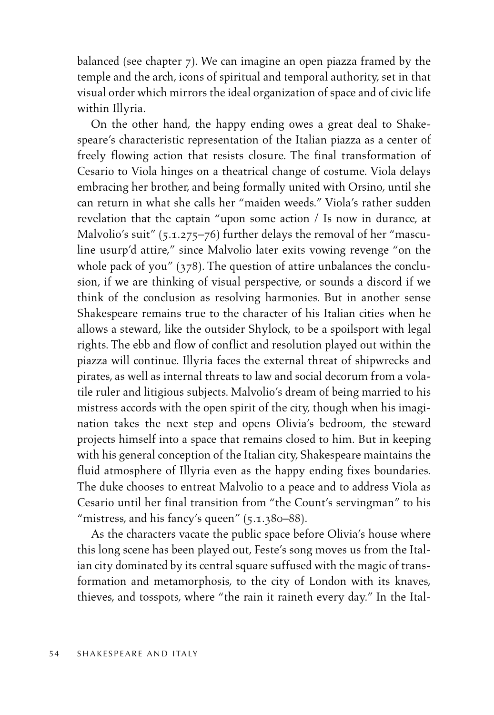balanced (see chapter 7). We can imagine an open piazza framed by the temple and the arch, icons of spiritual and temporal authority, set in that visual order which mirrors the ideal organization of space and of civic life within Illyria.

On the other hand, the happy ending owes a great deal to Shakespeare's characteristic representation of the Italian piazza as a center of freely flowing action that resists closure. The final transformation of Cesario to Viola hinges on a theatrical change of costume. Viola delays embracing her brother, and being formally united with Orsino, until she can return in what she calls her "maiden weeds." Viola's rather sudden revelation that the captain "upon some action / Is now in durance, at Malvolio's suit" (5.1.275–76) further delays the removal of her "masculine usurp'd attire," since Malvolio later exits vowing revenge "on the whole pack of you" (378). The question of attire unbalances the conclusion, if we are thinking of visual perspective, or sounds a discord if we think of the conclusion as resolving harmonies. But in another sense Shakespeare remains true to the character of his Italian cities when he allows a steward, like the outsider Shylock, to be a spoilsport with legal rights. The ebb and flow of conflict and resolution played out within the piazza will continue. Illyria faces the external threat of shipwrecks and pirates, as well as internal threats to law and social decorum from a volatile ruler and litigious subjects. Malvolio's dream of being married to his mistress accords with the open spirit of the city, though when his imagination takes the next step and opens Olivia's bedroom, the steward projects himself into a space that remains closed to him. But in keeping with his general conception of the Italian city, Shakespeare maintains the fluid atmosphere of Illyria even as the happy ending fixes boundaries. The duke chooses to entreat Malvolio to a peace and to address Viola as Cesario until her final transition from "the Count's servingman" to his "mistress, and his fancy's queen" (5.1.380–88).

As the characters vacate the public space before Olivia's house where this long scene has been played out, Feste's song moves us from the Italian city dominated by its central square suffused with the magic of transformation and metamorphosis, to the city of London with its knaves, thieves, and tosspots, where "the rain it raineth every day." In the Ital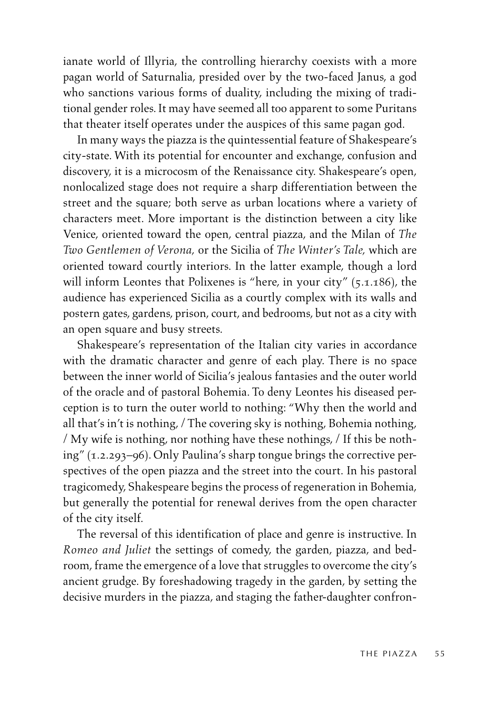ianate world of Illyria, the controlling hierarchy coexists with a more pagan world of Saturnalia, presided over by the two-faced Janus, a god who sanctions various forms of duality, including the mixing of traditional gender roles. It may have seemed all too apparent to some Puritans that theater itself operates under the auspices of this same pagan god.

In many ways the piazza is the quintessential feature of Shakespeare's city-state. With its potential for encounter and exchange, confusion and discovery, it is a microcosm of the Renaissance city. Shakespeare's open, nonlocalized stage does not require a sharp differentiation between the street and the square; both serve as urban locations where a variety of characters meet. More important is the distinction between a city like Venice, oriented toward the open, central piazza, and the Milan of *The Two Gentlemen of Verona,* or the Sicilia of *The Winter's Tale,* which are oriented toward courtly interiors. In the latter example, though a lord will inform Leontes that Polixenes is "here, in your city" (5.1.186), the audience has experienced Sicilia as a courtly complex with its walls and postern gates, gardens, prison, court, and bedrooms, but not as a city with an open square and busy streets.

Shakespeare's representation of the Italian city varies in accordance with the dramatic character and genre of each play. There is no space between the inner world of Sicilia's jealous fantasies and the outer world of the oracle and of pastoral Bohemia. To deny Leontes his diseased perception is to turn the outer world to nothing: "Why then the world and all that's in't is nothing, / The covering sky is nothing, Bohemia nothing, / My wife is nothing, nor nothing have these nothings, / If this be nothing" (1.2.293-96). Only Paulina's sharp tongue brings the corrective perspectives of the open piazza and the street into the court. In his pastoral tragicomedy, Shakespeare begins the process of regeneration in Bohemia, but generally the potential for renewal derives from the open character of the city itself.

The reversal of this identification of place and genre is instructive. In *Romeo and Juliet* the settings of comedy, the garden, piazza, and bedroom, frame the emergence of a love that struggles to overcome the city's ancient grudge. By foreshadowing tragedy in the garden, by setting the decisive murders in the piazza, and staging the father-daughter confron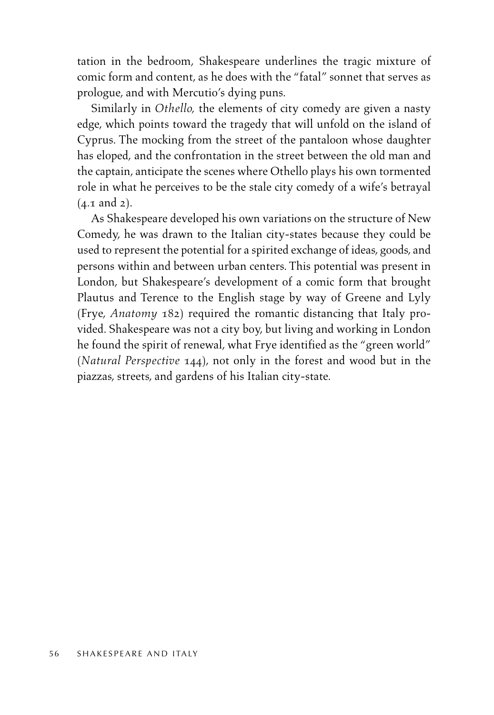tation in the bedroom, Shakespeare underlines the tragic mixture of comic form and content, as he does with the "fatal" sonnet that serves as prologue, and with Mercutio's dying puns.

Similarly in *Othello,* the elements of city comedy are given a nasty edge, which points toward the tragedy that will unfold on the island of Cyprus. The mocking from the street of the pantaloon whose daughter has eloped, and the confrontation in the street between the old man and the captain, anticipate the scenes where Othello plays his own tormented role in what he perceives to be the stale city comedy of a wife's betrayal  $(4.1 \text{ and } 2).$ 

As Shakespeare developed his own variations on the structure of New Comedy, he was drawn to the Italian city-states because they could be used to represent the potential for a spirited exchange of ideas, goods, and persons within and between urban centers. This potential was present in London, but Shakespeare's development of a comic form that brought Plautus and Terence to the English stage by way of Greene and Lyly (Frye, *Anatomy* 182) required the romantic distancing that Italy provided. Shakespeare was not a city boy, but living and working in London he found the spirit of renewal, what Frye identified as the "green world" (*Natural Perspective* 144), not only in the forest and wood but in the piazzas, streets, and gardens of his Italian city-state.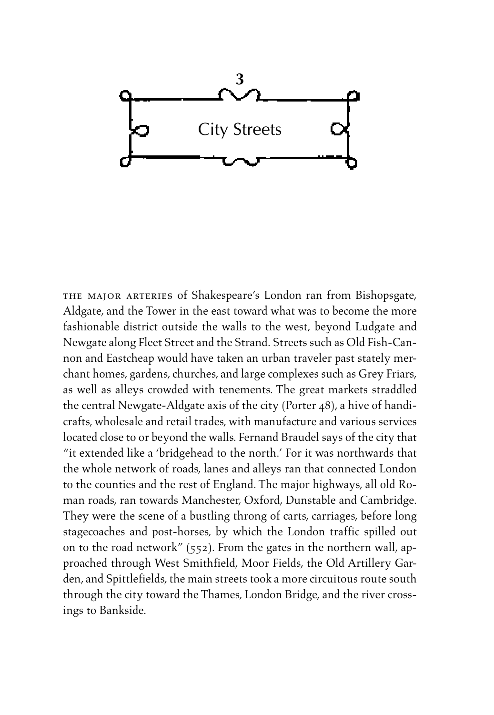

the major arteries of Shakespeare's London ran from Bishopsgate, Aldgate, and the Tower in the east toward what was to become the more fashionable district outside the walls to the west, beyond Ludgate and Newgate along Fleet Street and the Strand. Streets such as Old Fish-Cannon and Eastcheap would have taken an urban traveler past stately merchant homes, gardens, churches, and large complexes such as Grey Friars, as well as alleys crowded with tenements. The great markets straddled the central Newgate-Aldgate axis of the city (Porter 48), a hive of handicrafts, wholesale and retail trades, with manufacture and various services located close to or beyond the walls. Fernand Braudel says of the city that "it extended like a 'bridgehead to the north.' For it was northwards that the whole network of roads, lanes and alleys ran that connected London to the counties and the rest of England. The major highways, all old Roman roads, ran towards Manchester, Oxford, Dunstable and Cambridge. They were the scene of a bustling throng of carts, carriages, before long stagecoaches and post-horses, by which the London traffic spilled out on to the road network" (552). From the gates in the northern wall, approached through West Smithfield, Moor Fields, the Old Artillery Garden, and Spittlefields, the main streets took a more circuitous route south through the city toward the Thames, London Bridge, and the river crossings to Bankside.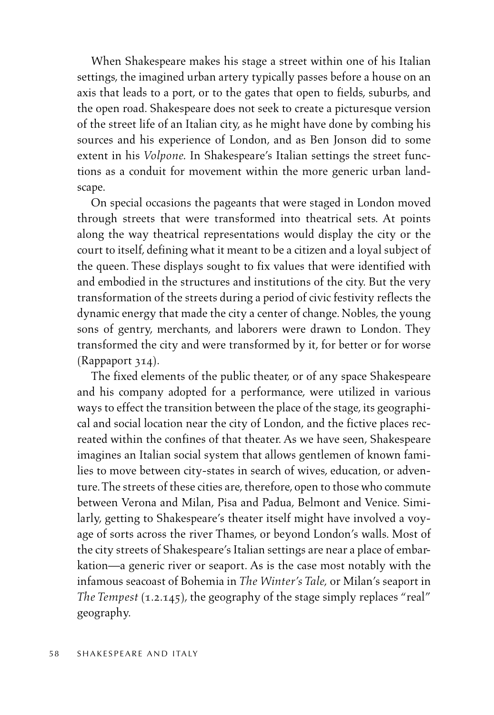When Shakespeare makes his stage a street within one of his Italian settings, the imagined urban artery typically passes before a house on an axis that leads to a port, or to the gates that open to fields, suburbs, and the open road. Shakespeare does not seek to create a picturesque version of the street life of an Italian city, as he might have done by combing his sources and his experience of London, and as Ben Jonson did to some extent in his *Volpone.* In Shakespeare's Italian settings the street functions as a conduit for movement within the more generic urban landscape.

On special occasions the pageants that were staged in London moved through streets that were transformed into theatrical sets. At points along the way theatrical representations would display the city or the court to itself, defining what it meant to be a citizen and a loyal subject of the queen. These displays sought to fix values that were identified with and embodied in the structures and institutions of the city. But the very transformation of the streets during a period of civic festivity reflects the dynamic energy that made the city a center of change. Nobles, the young sons of gentry, merchants, and laborers were drawn to London. They transformed the city and were transformed by it, for better or for worse (Rappaport 314).

The fixed elements of the public theater, or of any space Shakespeare and his company adopted for a performance, were utilized in various ways to effect the transition between the place of the stage, its geographical and social location near the city of London, and the fictive places recreated within the confines of that theater. As we have seen, Shakespeare imagines an Italian social system that allows gentlemen of known families to move between city-states in search of wives, education, or adventure. The streets of these cities are, therefore, open to those who commute between Verona and Milan, Pisa and Padua, Belmont and Venice. Similarly, getting to Shakespeare's theater itself might have involved a voyage of sorts across the river Thames, or beyond London's walls. Most of the city streets of Shakespeare's Italian settings are near a place of embarkation—a generic river or seaport. As is the case most notably with the infamous seacoast of Bohemia in *The Winter's Tale,* or Milan's seaport in *The Tempest* (1.2.145), the geography of the stage simply replaces "real" geography.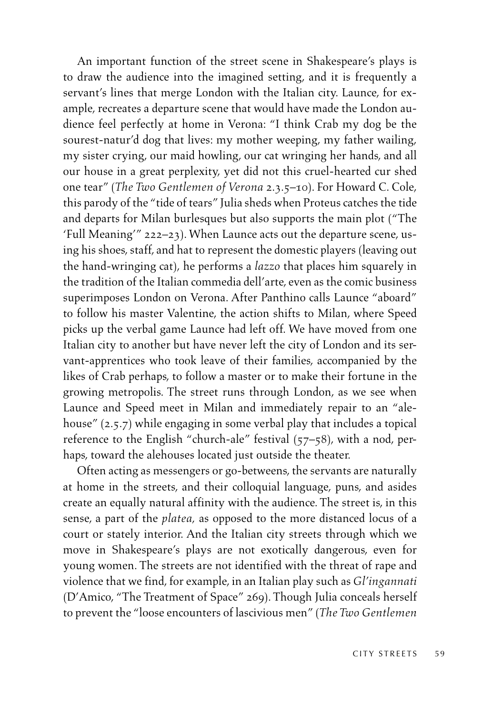An important function of the street scene in Shakespeare's plays is to draw the audience into the imagined setting, and it is frequently a servant's lines that merge London with the Italian city. Launce, for example, recreates a departure scene that would have made the London audience feel perfectly at home in Verona: "I think Crab my dog be the sourest-natur'd dog that lives: my mother weeping, my father wailing, my sister crying, our maid howling, our cat wringing her hands, and all our house in a great perplexity, yet did not this cruel-hearted cur shed one tear" (*The Two Gentlemen of Verona* 2.3.5–10). For Howard C. Cole, this parody of the "tide of tears" Julia sheds when Proteus catches the tide and departs for Milan burlesques but also supports the main plot ("The 'Full Meaning'" 222–23). When Launce acts out the departure scene, using his shoes, staff, and hat to represent the domestic players (leaving out the hand-wringing cat), he performs a *lazzo* that places him squarely in the tradition of the Italian commedia dell'arte, even as the comic business superimposes London on Verona. After Panthino calls Launce "aboard" to follow his master Valentine, the action shifts to Milan, where Speed picks up the verbal game Launce had left off. We have moved from one Italian city to another but have never left the city of London and its servant-apprentices who took leave of their families, accompanied by the likes of Crab perhaps, to follow a master or to make their fortune in the growing metropolis. The street runs through London, as we see when Launce and Speed meet in Milan and immediately repair to an "alehouse" (2.5.7) while engaging in some verbal play that includes a topical reference to the English "church-ale" festival (57–58), with a nod, perhaps, toward the alehouses located just outside the theater.

Often acting as messengers or go-betweens, the servants are naturally at home in the streets, and their colloquial language, puns, and asides create an equally natural affinity with the audience. The street is, in this sense, a part of the *platea,* as opposed to the more distanced locus of a court or stately interior. And the Italian city streets through which we move in Shakespeare's plays are not exotically dangerous, even for young women. The streets are not identified with the threat of rape and violence that we find, for example, in an Italian play such as *Gl'ingannati* (D'Amico, "The Treatment of Space" 269). Though Julia conceals herself to prevent the "loose encounters of lascivious men" (*The Two Gentlemen*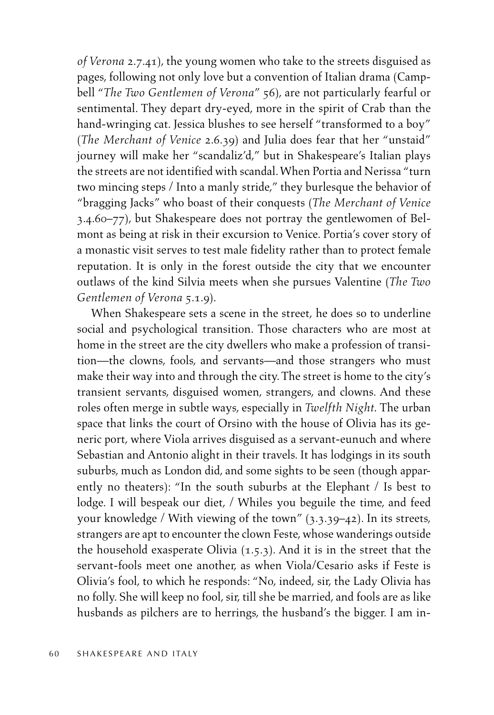*of Verona* 2.7.41), the young women who take to the streets disguised as pages, following not only love but a convention of Italian drama (Campbell "*The Two Gentlemen of Verona*" 56), are not particularly fearful or sentimental. They depart dry-eyed, more in the spirit of Crab than the hand-wringing cat. Jessica blushes to see herself "transformed to a boy" (*The Merchant of Venice* 2.6.39) and Julia does fear that her "unstaid" journey will make her "scandaliz'd," but in Shakespeare's Italian plays the streets are not identified with scandal. When Portia and Nerissa "turn two mincing steps / Into a manly stride," they burlesque the behavior of "bragging Jacks" who boast of their conquests (*The Merchant of Venice* 3.4.60–77), but Shakespeare does not portray the gentlewomen of Belmont as being at risk in their excursion to Venice. Portia's cover story of a monastic visit serves to test male fidelity rather than to protect female reputation. It is only in the forest outside the city that we encounter outlaws of the kind Silvia meets when she pursues Valentine (*The Two Gentlemen of Verona* 5.1.9).

When Shakespeare sets a scene in the street, he does so to underline social and psychological transition. Those characters who are most at home in the street are the city dwellers who make a profession of transition—the clowns, fools, and servants—and those strangers who must make their way into and through the city. The street is home to the city's transient servants, disguised women, strangers, and clowns. And these roles often merge in subtle ways, especially in *Twelfth Night.* The urban space that links the court of Orsino with the house of Olivia has its generic port, where Viola arrives disguised as a servant-eunuch and where Sebastian and Antonio alight in their travels. It has lodgings in its south suburbs, much as London did, and some sights to be seen (though apparently no theaters): "In the south suburbs at the Elephant / Is best to lodge. I will bespeak our diet, / Whiles you beguile the time, and feed your knowledge / With viewing of the town" (3.3.39–42). In its streets, strangers are apt to encounter the clown Feste, whose wanderings outside the household exasperate Olivia (1.5.3). And it is in the street that the servant-fools meet one another, as when Viola/Cesario asks if Feste is Olivia's fool, to which he responds: "No, indeed, sir, the Lady Olivia has no folly. She will keep no fool, sir, till she be married, and fools are as like husbands as pilchers are to herrings, the husband's the bigger. I am in-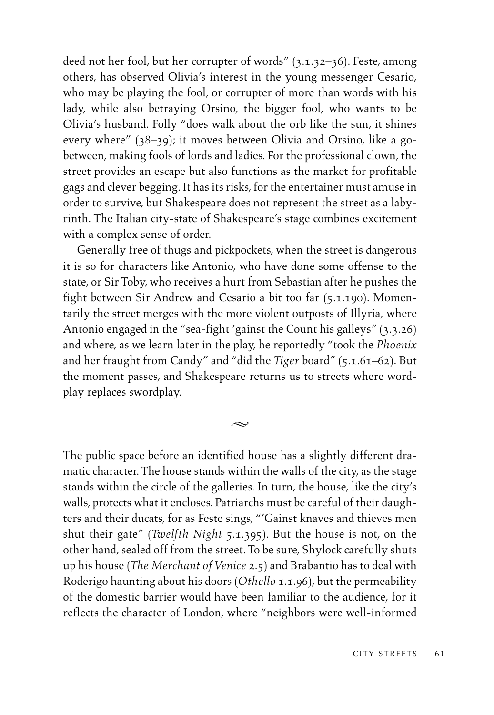deed not her fool, but her corrupter of words" (3.1.32–36). Feste, among others, has observed Olivia's interest in the young messenger Cesario, who may be playing the fool, or corrupter of more than words with his lady, while also betraying Orsino, the bigger fool, who wants to be Olivia's husband. Folly "does walk about the orb like the sun, it shines every where" (38–39); it moves between Olivia and Orsino, like a gobetween, making fools of lords and ladies. For the professional clown, the street provides an escape but also functions as the market for profitable gags and clever begging. It has its risks, for the entertainer must amuse in order to survive, but Shakespeare does not represent the street as a labyrinth. The Italian city-state of Shakespeare's stage combines excitement with a complex sense of order.

Generally free of thugs and pickpockets, when the street is dangerous it is so for characters like Antonio, who have done some offense to the state, or Sir Toby, who receives a hurt from Sebastian after he pushes the fight between Sir Andrew and Cesario a bit too far (5.1.190). Momentarily the street merges with the more violent outposts of Illyria, where Antonio engaged in the "sea-fight 'gainst the Count his galleys" (3.3.26) and where, as we learn later in the play, he reportedly "took the *Phoenix* and her fraught from Candy" and "did the *Tiger* board" (5.1.61–62). But the moment passes, and Shakespeare returns us to streets where wordplay replaces swordplay.

 $\sim$ 

The public space before an identified house has a slightly different dramatic character. The house stands within the walls of the city, as the stage stands within the circle of the galleries. In turn, the house, like the city's walls, protects what it encloses. Patriarchs must be careful of their daughters and their ducats, for as Feste sings, "'Gainst knaves and thieves men shut their gate" (*Twelfth Night* 5.1.395). But the house is not, on the other hand, sealed off from the street. To be sure, Shylock carefully shuts up his house (*The Merchant of Venice* 2.5) and Brabantio has to deal with Roderigo haunting about his doors (*Othello* 1.1.96), but the permeability of the domestic barrier would have been familiar to the audience, for it reflects the character of London, where "neighbors were well-informed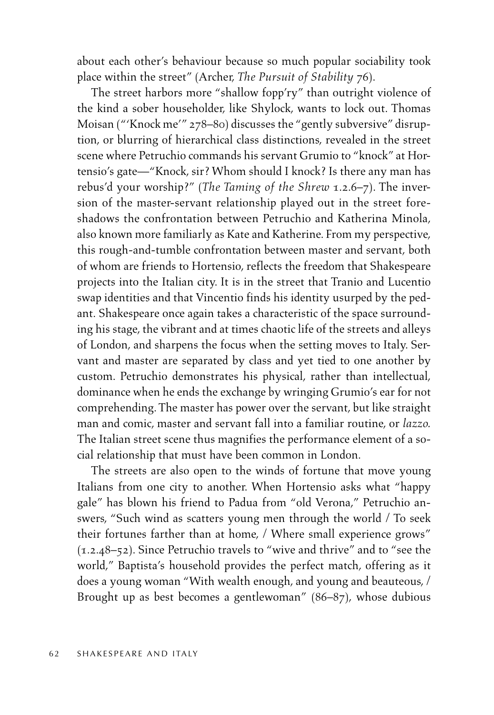about each other's behaviour because so much popular sociability took place within the street" (Archer, *The Pursuit of Stability* 76).

The street harbors more "shallow fopp'ry" than outright violence of the kind a sober householder, like Shylock, wants to lock out. Thomas Moisan ("'Knock me'" 278–80) discusses the "gently subversive" disruption, or blurring of hierarchical class distinctions, revealed in the street scene where Petruchio commands his servant Grumio to "knock" at Hortensio's gate—"Knock, sir? Whom should I knock? Is there any man has rebus'd your worship?" (*The Taming of the Shrew* 1.2.6–7). The inversion of the master-servant relationship played out in the street foreshadows the confrontation between Petruchio and Katherina Minola, also known more familiarly as Kate and Katherine. From my perspective, this rough-and-tumble confrontation between master and servant, both of whom are friends to Hortensio, reflects the freedom that Shakespeare projects into the Italian city. It is in the street that Tranio and Lucentio swap identities and that Vincentio finds his identity usurped by the pedant. Shakespeare once again takes a characteristic of the space surrounding his stage, the vibrant and at times chaotic life of the streets and alleys of London, and sharpens the focus when the setting moves to Italy. Servant and master are separated by class and yet tied to one another by custom. Petruchio demonstrates his physical, rather than intellectual, dominance when he ends the exchange by wringing Grumio's ear for not comprehending. The master has power over the servant, but like straight man and comic, master and servant fall into a familiar routine, or *lazzo.* The Italian street scene thus magnifies the performance element of a social relationship that must have been common in London.

The streets are also open to the winds of fortune that move young Italians from one city to another. When Hortensio asks what "happy gale" has blown his friend to Padua from "old Verona," Petruchio answers, "Such wind as scatters young men through the world / To seek their fortunes farther than at home, / Where small experience grows" (1.2.48–52). Since Petruchio travels to "wive and thrive" and to "see the world," Baptista's household provides the perfect match, offering as it does a young woman "With wealth enough, and young and beauteous, / Brought up as best becomes a gentlewoman" (86–87), whose dubious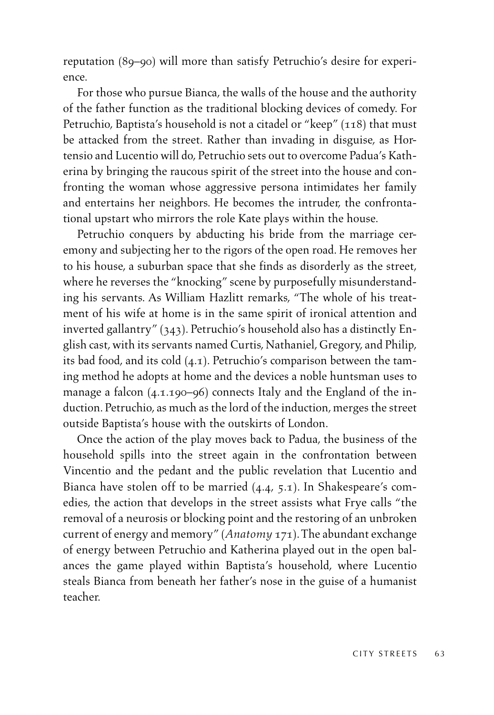reputation (89–90) will more than satisfy Petruchio's desire for experience.

For those who pursue Bianca, the walls of the house and the authority of the father function as the traditional blocking devices of comedy. For Petruchio, Baptista's household is not a citadel or "keep" (118) that must be attacked from the street. Rather than invading in disguise, as Hortensio and Lucentio will do, Petruchio sets out to overcome Padua's Katherina by bringing the raucous spirit of the street into the house and confronting the woman whose aggressive persona intimidates her family and entertains her neighbors. He becomes the intruder, the confrontational upstart who mirrors the role Kate plays within the house.

Petruchio conquers by abducting his bride from the marriage ceremony and subjecting her to the rigors of the open road. He removes her to his house, a suburban space that she finds as disorderly as the street, where he reverses the "knocking" scene by purposefully misunderstanding his servants. As William Hazlitt remarks, "The whole of his treatment of his wife at home is in the same spirit of ironical attention and inverted gallantry" (343). Petruchio's household also has a distinctly English cast, with its servants named Curtis, Nathaniel, Gregory, and Philip, its bad food, and its cold (4.1). Petruchio's comparison between the taming method he adopts at home and the devices a noble huntsman uses to manage a falcon (4.1.190–96) connects Italy and the England of the induction. Petruchio, as much as the lord of the induction, merges the street outside Baptista's house with the outskirts of London.

Once the action of the play moves back to Padua, the business of the household spills into the street again in the confrontation between Vincentio and the pedant and the public revelation that Lucentio and Bianca have stolen off to be married (4.4, 5.1). In Shakespeare's comedies, the action that develops in the street assists what Frye calls "the removal of a neurosis or blocking point and the restoring of an unbroken current of energy and memory" (*Anatomy* 171). The abundant exchange of energy between Petruchio and Katherina played out in the open balances the game played within Baptista's household, where Lucentio steals Bianca from beneath her father's nose in the guise of a humanist teacher.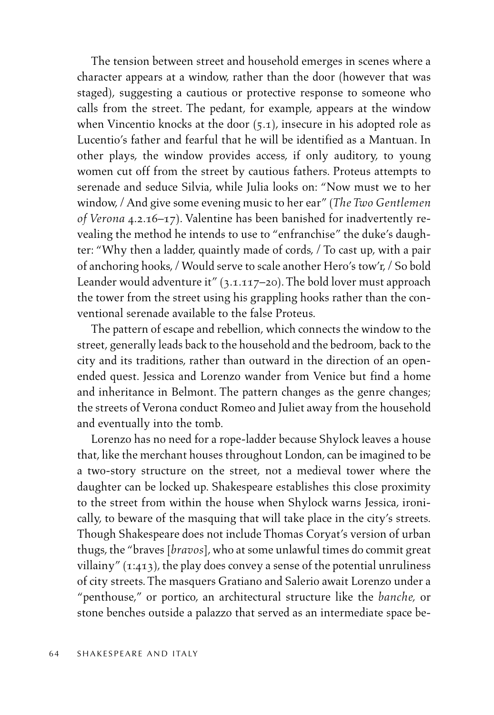The tension between street and household emerges in scenes where a character appears at a window, rather than the door (however that was staged), suggesting a cautious or protective response to someone who calls from the street. The pedant, for example, appears at the window when Vincentio knocks at the door (5.1), insecure in his adopted role as Lucentio's father and fearful that he will be identified as a Mantuan. In other plays, the window provides access, if only auditory, to young women cut off from the street by cautious fathers. Proteus attempts to serenade and seduce Silvia, while Julia looks on: "Now must we to her window, / And give some evening music to her ear" (*The Two Gentlemen of Verona* 4.2.16–17). Valentine has been banished for inadvertently revealing the method he intends to use to "enfranchise" the duke's daughter: "Why then a ladder, quaintly made of cords, / To cast up, with a pair of anchoring hooks, / Would serve to scale another Hero's tow'r, / So bold Leander would adventure it" (3.1.117–20). The bold lover must approach the tower from the street using his grappling hooks rather than the conventional serenade available to the false Proteus.

The pattern of escape and rebellion, which connects the window to the street, generally leads back to the household and the bedroom, back to the city and its traditions, rather than outward in the direction of an openended quest. Jessica and Lorenzo wander from Venice but find a home and inheritance in Belmont. The pattern changes as the genre changes; the streets of Verona conduct Romeo and Juliet away from the household and eventually into the tomb.

Lorenzo has no need for a rope-ladder because Shylock leaves a house that, like the merchant houses throughout London, can be imagined to be a two-story structure on the street, not a medieval tower where the daughter can be locked up. Shakespeare establishes this close proximity to the street from within the house when Shylock warns Jessica, ironically, to beware of the masquing that will take place in the city's streets. Though Shakespeare does not include Thomas Coryat's version of urban thugs, the "braves [*bravos*], who at some unlawful times do commit great villainy"  $(1:413)$ , the play does convey a sense of the potential unruliness of city streets. The masquers Gratiano and Salerio await Lorenzo under a "penthouse," or portico, an architectural structure like the *banche,* or stone benches outside a palazzo that served as an intermediate space be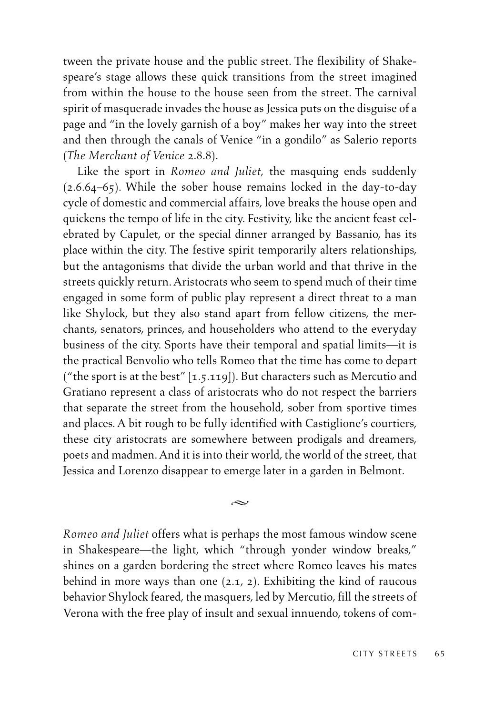tween the private house and the public street. The flexibility of Shakespeare's stage allows these quick transitions from the street imagined from within the house to the house seen from the street. The carnival spirit of masquerade invades the house as Jessica puts on the disguise of a page and "in the lovely garnish of a boy" makes her way into the street and then through the canals of Venice "in a gondilo" as Salerio reports (*The Merchant of Venice* 2.8.8).

Like the sport in *Romeo and Juliet,* the masquing ends suddenly (2.6.64–65). While the sober house remains locked in the day-to-day cycle of domestic and commercial affairs, love breaks the house open and quickens the tempo of life in the city. Festivity, like the ancient feast celebrated by Capulet, or the special dinner arranged by Bassanio, has its place within the city. The festive spirit temporarily alters relationships, but the antagonisms that divide the urban world and that thrive in the streets quickly return. Aristocrats who seem to spend much of their time engaged in some form of public play represent a direct threat to a man like Shylock, but they also stand apart from fellow citizens, the merchants, senators, princes, and householders who attend to the everyday business of the city. Sports have their temporal and spatial limits—it is the practical Benvolio who tells Romeo that the time has come to depart ("the sport is at the best" [1.5.119]). But characters such as Mercutio and Gratiano represent a class of aristocrats who do not respect the barriers that separate the street from the household, sober from sportive times and places. A bit rough to be fully identified with Castiglione's courtiers, these city aristocrats are somewhere between prodigals and dreamers, poets and madmen. And it is into their world, the world of the street, that Jessica and Lorenzo disappear to emerge later in a garden in Belmont.

*Romeo and Juliet* offers what is perhaps the most famous window scene in Shakespeare—the light, which "through yonder window breaks," shines on a garden bordering the street where Romeo leaves his mates behind in more ways than one (2.1, 2). Exhibiting the kind of raucous behavior Shylock feared, the masquers, led by Mercutio, fill the streets of Verona with the free play of insult and sexual innuendo, tokens of com-

 $\sim$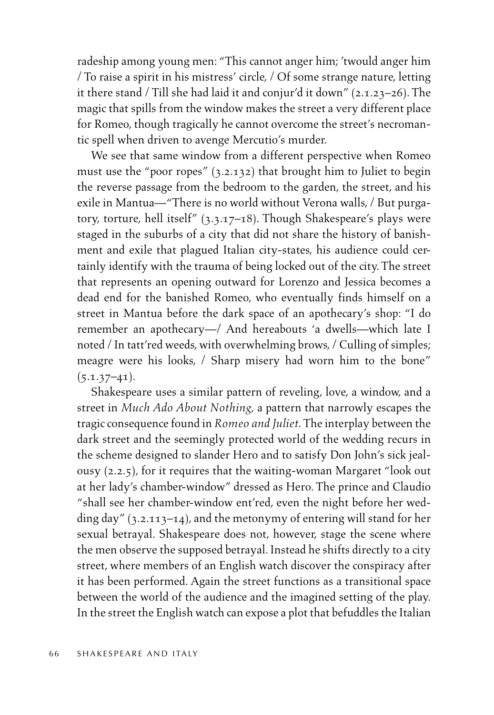radeship among young men: "This cannot anger him; 'twould anger him / To raise a spirit in his mistress' circle, / Of some strange nature, letting it there stand / Till she had laid it and conjur'd it down" (2.1.23–26). The magic that spills from the window makes the street a very different place for Romeo, though tragically he cannot overcome the street's necromantic spell when driven to avenge Mercutio's murder.

We see that same window from a different perspective when Romeo must use the "poor ropes" (3.2.132) that brought him to Juliet to begin the reverse passage from the bedroom to the garden, the street, and his exile in Mantua—"There is no world without Verona walls, / But purgatory, torture, hell itself" (3.3.17–18). Though Shakespeare's plays were staged in the suburbs of a city that did not share the history of banishment and exile that plagued Italian city-states, his audience could certainly identify with the trauma of being locked out of the city. The street that represents an opening outward for Lorenzo and Jessica becomes a dead end for the banished Romeo, who eventually finds himself on a street in Mantua before the dark space of an apothecary's shop: "I do remember an apothecary—/ And hereabouts 'a dwells—which late I noted / In tatt'red weeds, with overwhelming brows, / Culling of simples; meagre were his looks, / Sharp misery had worn him to the bone"  $(5.1.37 - 41)$ .

Shakespeare uses a similar pattern of reveling, love, a window, and a street in *Much Ado About Nothing,* a pattern that narrowly escapes the tragic consequence found in *Romeo and Juliet.* The interplay between the dark street and the seemingly protected world of the wedding recurs in the scheme designed to slander Hero and to satisfy Don John's sick jealousy (2.2.5), for it requires that the waiting-woman Margaret "look out at her lady's chamber-window" dressed as Hero. The prince and Claudio "shall see her chamber-window ent'red, even the night before her wedding day" (3.2.113–14), and the metonymy of entering will stand for her sexual betrayal. Shakespeare does not, however, stage the scene where the men observe the supposed betrayal. Instead he shifts directly to a city street, where members of an English watch discover the conspiracy after it has been performed. Again the street functions as a transitional space between the world of the audience and the imagined setting of the play. In the street the English watch can expose a plot that befuddles the Italian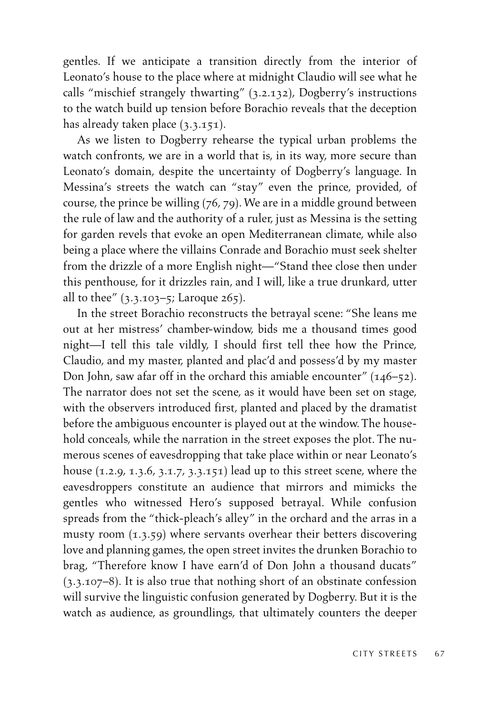gentles. If we anticipate a transition directly from the interior of Leonato's house to the place where at midnight Claudio will see what he calls "mischief strangely thwarting" (3.2.132), Dogberry's instructions to the watch build up tension before Borachio reveals that the deception has already taken place (3.3.151).

As we listen to Dogberry rehearse the typical urban problems the watch confronts, we are in a world that is, in its way, more secure than Leonato's domain, despite the uncertainty of Dogberry's language. In Messina's streets the watch can "stay" even the prince, provided, of course, the prince be willing (76, 79). We are in a middle ground between the rule of law and the authority of a ruler, just as Messina is the setting for garden revels that evoke an open Mediterranean climate, while also being a place where the villains Conrade and Borachio must seek shelter from the drizzle of a more English night—"Stand thee close then under this penthouse, for it drizzles rain, and I will, like a true drunkard, utter all to thee" (3.3.103–5; Laroque 265).

In the street Borachio reconstructs the betrayal scene: "She leans me out at her mistress' chamber-window, bids me a thousand times good night—I tell this tale vildly, I should first tell thee how the Prince, Claudio, and my master, planted and plac'd and possess'd by my master Don John, saw afar off in the orchard this amiable encounter" (146–52). The narrator does not set the scene, as it would have been set on stage, with the observers introduced first, planted and placed by the dramatist before the ambiguous encounter is played out at the window. The household conceals, while the narration in the street exposes the plot. The numerous scenes of eavesdropping that take place within or near Leonato's house (1.2.9, 1.3.6, 3.1.7, 3.3.151) lead up to this street scene, where the eavesdroppers constitute an audience that mirrors and mimicks the gentles who witnessed Hero's supposed betrayal. While confusion spreads from the "thick-pleach's alley" in the orchard and the arras in a musty room (1.3.59) where servants overhear their betters discovering love and planning games, the open street invites the drunken Borachio to brag, "Therefore know I have earn'd of Don John a thousand ducats" (3.3.107–8). It is also true that nothing short of an obstinate confession will survive the linguistic confusion generated by Dogberry. But it is the watch as audience, as groundlings, that ultimately counters the deeper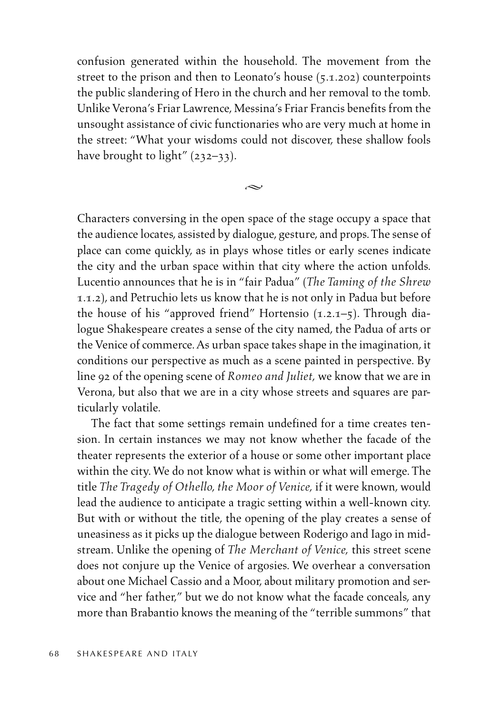confusion generated within the household. The movement from the street to the prison and then to Leonato's house (5.1.202) counterpoints the public slandering of Hero in the church and her removal to the tomb. Unlike Verona's Friar Lawrence, Messina's Friar Francis benefits from the unsought assistance of civic functionaries who are very much at home in the street: "What your wisdoms could not discover, these shallow fools have brought to light" (232-33).

 $\sim$ 

Characters conversing in the open space of the stage occupy a space that the audience locates, assisted by dialogue, gesture, and props. The sense of place can come quickly, as in plays whose titles or early scenes indicate the city and the urban space within that city where the action unfolds. Lucentio announces that he is in "fair Padua" (*The Taming of the Shrew* 1.1.2), and Petruchio lets us know that he is not only in Padua but before the house of his "approved friend" Hortensio  $(1.2.1 - 5)$ . Through dialogue Shakespeare creates a sense of the city named, the Padua of arts or the Venice of commerce. As urban space takes shape in the imagination, it conditions our perspective as much as a scene painted in perspective. By line 92 of the opening scene of *Romeo and Juliet,* we know that we are in Verona, but also that we are in a city whose streets and squares are particularly volatile.

The fact that some settings remain undefined for a time creates tension. In certain instances we may not know whether the facade of the theater represents the exterior of a house or some other important place within the city. We do not know what is within or what will emerge. The title *The Tragedy of Othello, the Moor of Venice,* if it were known, would lead the audience to anticipate a tragic setting within a well-known city. But with or without the title, the opening of the play creates a sense of uneasiness as it picks up the dialogue between Roderigo and Iago in midstream. Unlike the opening of *The Merchant of Venice,* this street scene does not conjure up the Venice of argosies. We overhear a conversation about one Michael Cassio and a Moor, about military promotion and service and "her father," but we do not know what the facade conceals, any more than Brabantio knows the meaning of the "terrible summons" that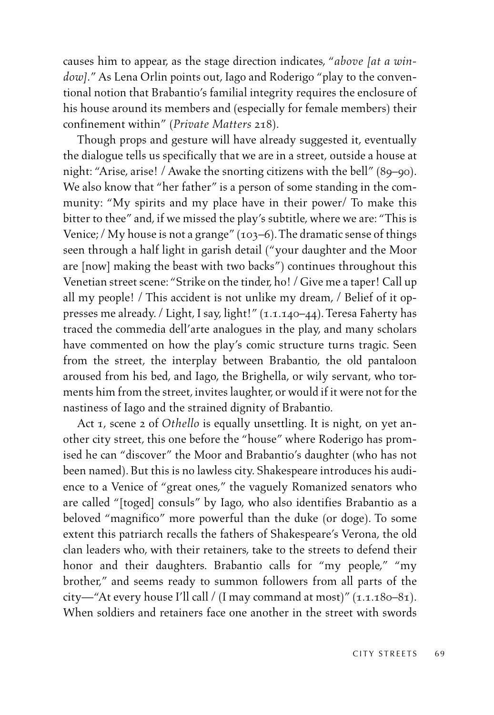causes him to appear, as the stage direction indicates, "*above [at a window].*" As Lena Orlin points out, Iago and Roderigo "play to the conventional notion that Brabantio's familial integrity requires the enclosure of his house around its members and (especially for female members) their confinement within" (*Private Matters* 218).

Though props and gesture will have already suggested it, eventually the dialogue tells us specifically that we are in a street, outside a house at night: "Arise, arise! / Awake the snorting citizens with the bell" (89–90). We also know that "her father" is a person of some standing in the community: "My spirits and my place have in their power/ To make this bitter to thee" and, if we missed the play's subtitle, where we are: "This is Venice; / My house is not a grange" (103–6). The dramatic sense of things seen through a half light in garish detail ("your daughter and the Moor are [now] making the beast with two backs") continues throughout this Venetian street scene: "Strike on the tinder, ho! / Give me a taper! Call up all my people! / This accident is not unlike my dream, / Belief of it oppresses me already. / Light, I say, light!" (1.1.140-44). Teresa Faherty has traced the commedia dell'arte analogues in the play, and many scholars have commented on how the play's comic structure turns tragic. Seen from the street, the interplay between Brabantio, the old pantaloon aroused from his bed, and Iago, the Brighella, or wily servant, who torments him from the street, invites laughter, or would if it were not for the nastiness of Iago and the strained dignity of Brabantio.

Act 1, scene 2 of *Othello* is equally unsettling. It is night, on yet another city street, this one before the "house" where Roderigo has promised he can "discover" the Moor and Brabantio's daughter (who has not been named). But this is no lawless city. Shakespeare introduces his audience to a Venice of "great ones," the vaguely Romanized senators who are called "[toged] consuls" by Iago, who also identifies Brabantio as a beloved "magnifico" more powerful than the duke (or doge). To some extent this patriarch recalls the fathers of Shakespeare's Verona, the old clan leaders who, with their retainers, take to the streets to defend their honor and their daughters. Brabantio calls for "my people," "my brother," and seems ready to summon followers from all parts of the city—"At every house I'll call / (I may command at most)"  $(1.1.180-81)$ . When soldiers and retainers face one another in the street with swords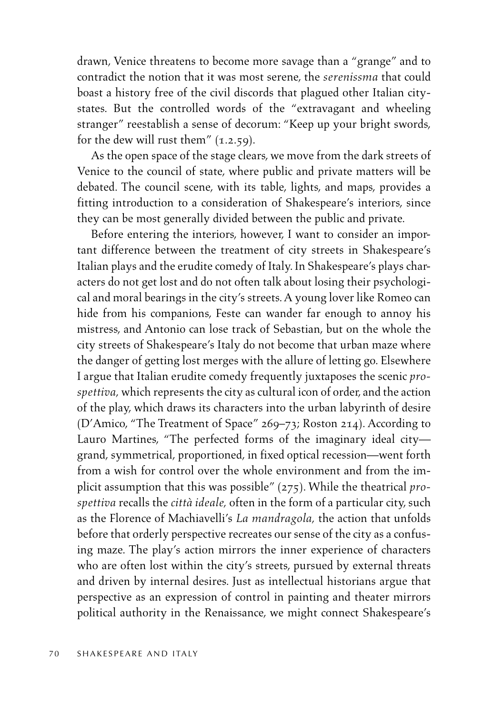drawn, Venice threatens to become more savage than a "grange" and to contradict the notion that it was most serene, the *serenissma* that could boast a history free of the civil discords that plagued other Italian citystates. But the controlled words of the "extravagant and wheeling stranger" reestablish a sense of decorum: "Keep up your bright swords, for the dew will rust them"  $(1.2.59)$ .

As the open space of the stage clears, we move from the dark streets of Venice to the council of state, where public and private matters will be debated. The council scene, with its table, lights, and maps, provides a fitting introduction to a consideration of Shakespeare's interiors, since they can be most generally divided between the public and private.

Before entering the interiors, however, I want to consider an important difference between the treatment of city streets in Shakespeare's Italian plays and the erudite comedy of Italy. In Shakespeare's plays characters do not get lost and do not often talk about losing their psychological and moral bearings in the city's streets. A young lover like Romeo can hide from his companions, Feste can wander far enough to annoy his mistress, and Antonio can lose track of Sebastian, but on the whole the city streets of Shakespeare's Italy do not become that urban maze where the danger of getting lost merges with the allure of letting go. Elsewhere I argue that Italian erudite comedy frequently juxtaposes the scenic *prospettiva,* which represents the city as cultural icon of order, and the action of the play, which draws its characters into the urban labyrinth of desire (D'Amico, "The Treatment of Space" 269–73; Roston 214). According to Lauro Martines, "The perfected forms of the imaginary ideal city grand, symmetrical, proportioned, in fixed optical recession—went forth from a wish for control over the whole environment and from the implicit assumption that this was possible" (275). While the theatrical *prospettiva* recalls the *città ideale,* often in the form of a particular city, such as the Florence of Machiavelli's *La mandragola,* the action that unfolds before that orderly perspective recreates our sense of the city as a confusing maze. The play's action mirrors the inner experience of characters who are often lost within the city's streets, pursued by external threats and driven by internal desires. Just as intellectual historians argue that perspective as an expression of control in painting and theater mirrors political authority in the Renaissance, we might connect Shakespeare's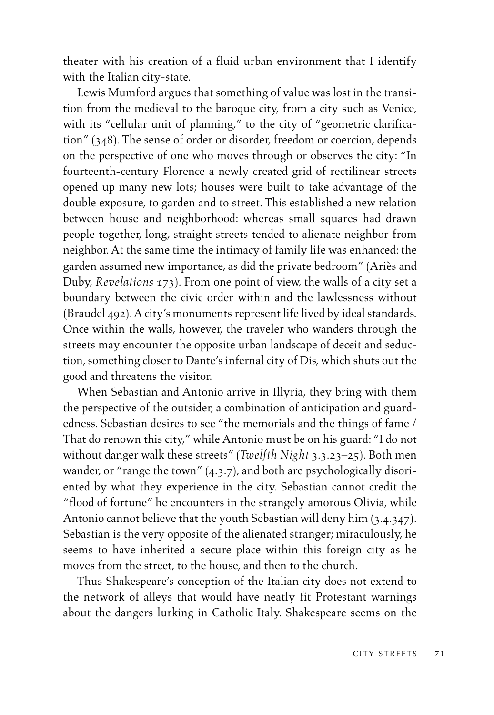theater with his creation of a fluid urban environment that I identify with the Italian city-state.

Lewis Mumford argues that something of value was lost in the transition from the medieval to the baroque city, from a city such as Venice, with its "cellular unit of planning," to the city of "geometric clarification" (348). The sense of order or disorder, freedom or coercion, depends on the perspective of one who moves through or observes the city: "In fourteenth-century Florence a newly created grid of rectilinear streets opened up many new lots; houses were built to take advantage of the double exposure, to garden and to street. This established a new relation between house and neighborhood: whereas small squares had drawn people together, long, straight streets tended to alienate neighbor from neighbor. At the same time the intimacy of family life was enhanced: the garden assumed new importance, as did the private bedroom" (Ariès and Duby, *Revelations* 173). From one point of view, the walls of a city set a boundary between the civic order within and the lawlessness without (Braudel 492). A city's monuments represent life lived by ideal standards. Once within the walls, however, the traveler who wanders through the streets may encounter the opposite urban landscape of deceit and seduction, something closer to Dante's infernal city of Dis, which shuts out the good and threatens the visitor.

When Sebastian and Antonio arrive in Illyria, they bring with them the perspective of the outsider, a combination of anticipation and guardedness. Sebastian desires to see "the memorials and the things of fame / That do renown this city," while Antonio must be on his guard: "I do not without danger walk these streets" (*Twelfth Night* 3.3.23–25). Both men wander, or "range the town" (4.3.7), and both are psychologically disoriented by what they experience in the city. Sebastian cannot credit the "flood of fortune" he encounters in the strangely amorous Olivia, while Antonio cannot believe that the youth Sebastian will deny him (3.4.347). Sebastian is the very opposite of the alienated stranger; miraculously, he seems to have inherited a secure place within this foreign city as he moves from the street, to the house, and then to the church.

Thus Shakespeare's conception of the Italian city does not extend to the network of alleys that would have neatly fit Protestant warnings about the dangers lurking in Catholic Italy. Shakespeare seems on the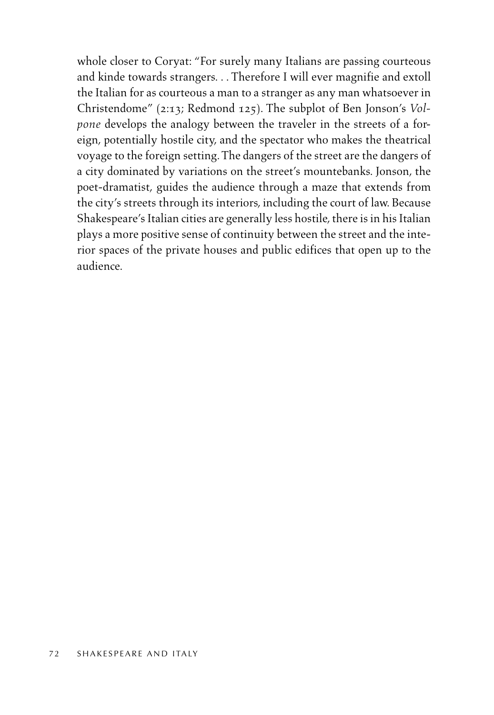whole closer to Coryat: "For surely many Italians are passing courteous and kinde towards strangers. . . Therefore I will ever magnifie and extoll the Italian for as courteous a man to a stranger as any man whatsoever in Christendome" (2:13; Redmond 125). The subplot of Ben Jonson's *Volpone* develops the analogy between the traveler in the streets of a foreign, potentially hostile city, and the spectator who makes the theatrical voyage to the foreign setting. The dangers of the street are the dangers of a city dominated by variations on the street's mountebanks. Jonson, the poet-dramatist, guides the audience through a maze that extends from the city's streets through its interiors, including the court of law. Because Shakespeare's Italian cities are generally less hostile, there is in his Italian plays a more positive sense of continuity between the street and the interior spaces of the private houses and public edifices that open up to the audience.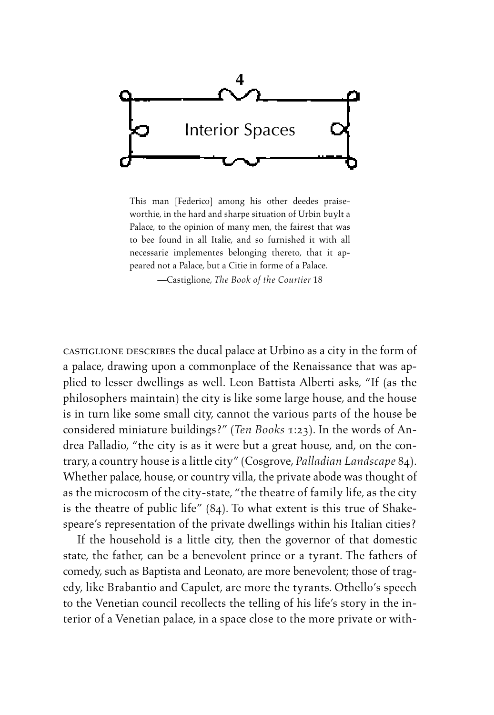

This man [Federico] among his other deedes praiseworthie, in the hard and sharpe situation of Urbin buylt a Palace, to the opinion of many men, the fairest that was to bee found in all Italie, and so furnished it with all necessarie implementes belonging thereto, that it appeared not a Palace, but a Citie in forme of a Palace.

—Castiglione, *The Book of the Courtier* 18

castiglione describes the ducal palace at Urbino as a city in the form of a palace, drawing upon a commonplace of the Renaissance that was applied to lesser dwellings as well. Leon Battista Alberti asks, "If (as the philosophers maintain) the city is like some large house, and the house is in turn like some small city, cannot the various parts of the house be considered miniature buildings?" (*Ten Books* 1:23). In the words of Andrea Palladio, "the city is as it were but a great house, and, on the contrary, a country house is a little city" (Cosgrove, *Palladian Landscape* 84). Whether palace, house, or country villa, the private abode was thought of as the microcosm of the city-state, "the theatre of family life, as the city is the theatre of public life" (84). To what extent is this true of Shakespeare's representation of the private dwellings within his Italian cities?

If the household is a little city, then the governor of that domestic state, the father, can be a benevolent prince or a tyrant. The fathers of comedy, such as Baptista and Leonato, are more benevolent; those of tragedy, like Brabantio and Capulet, are more the tyrants. Othello's speech to the Venetian council recollects the telling of his life's story in the interior of a Venetian palace, in a space close to the more private or with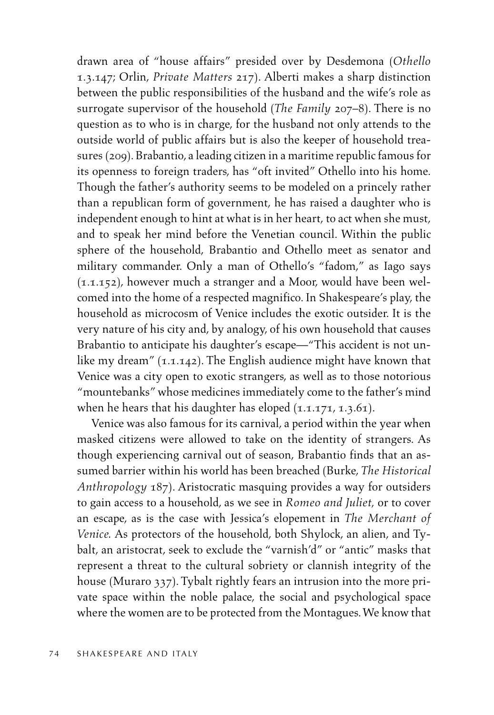drawn area of "house affairs" presided over by Desdemona (*Othello* 1.3.147; Orlin, *Private Matters* 217). Alberti makes a sharp distinction between the public responsibilities of the husband and the wife's role as surrogate supervisor of the household (*The Family* 207–8). There is no question as to who is in charge, for the husband not only attends to the outside world of public affairs but is also the keeper of household treasures (209). Brabantio, a leading citizen in a maritime republic famous for its openness to foreign traders, has "oft invited" Othello into his home. Though the father's authority seems to be modeled on a princely rather than a republican form of government, he has raised a daughter who is independent enough to hint at what is in her heart, to act when she must, and to speak her mind before the Venetian council. Within the public sphere of the household, Brabantio and Othello meet as senator and military commander. Only a man of Othello's "fadom," as Iago says (1.1.152), however much a stranger and a Moor, would have been welcomed into the home of a respected magnifico. In Shakespeare's play, the household as microcosm of Venice includes the exotic outsider. It is the very nature of his city and, by analogy, of his own household that causes Brabantio to anticipate his daughter's escape—"This accident is not unlike my dream" (1.1.142). The English audience might have known that Venice was a city open to exotic strangers, as well as to those notorious "mountebanks" whose medicines immediately come to the father's mind when he hears that his daughter has eloped (1.1.171, 1.3.61).

Venice was also famous for its carnival, a period within the year when masked citizens were allowed to take on the identity of strangers. As though experiencing carnival out of season, Brabantio finds that an assumed barrier within his world has been breached (Burke, *The Historical Anthropology* 187). Aristocratic masquing provides a way for outsiders to gain access to a household, as we see in *Romeo and Juliet,* or to cover an escape, as is the case with Jessica's elopement in *The Merchant of Venice.* As protectors of the household, both Shylock, an alien, and Tybalt, an aristocrat, seek to exclude the "varnish'd" or "antic" masks that represent a threat to the cultural sobriety or clannish integrity of the house (Muraro 337). Tybalt rightly fears an intrusion into the more private space within the noble palace, the social and psychological space where the women are to be protected from the Montagues. We know that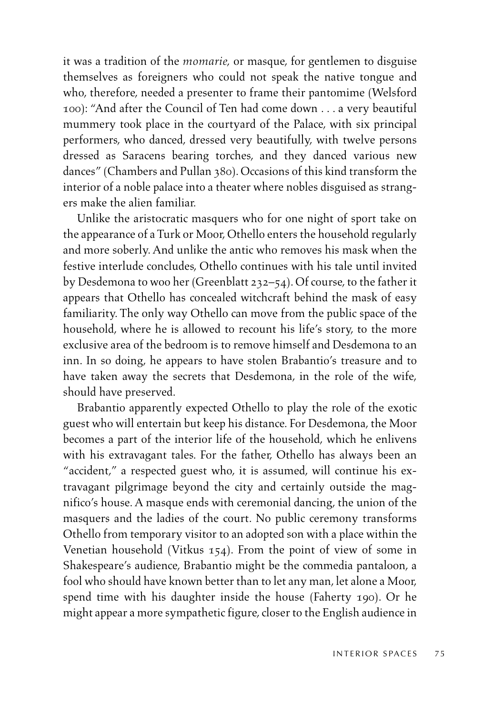it was a tradition of the *momarie,* or masque, for gentlemen to disguise themselves as foreigners who could not speak the native tongue and who, therefore, needed a presenter to frame their pantomime (Welsford 100): "And after the Council of Ten had come down . . . a very beautiful mummery took place in the courtyard of the Palace, with six principal performers, who danced, dressed very beautifully, with twelve persons dressed as Saracens bearing torches, and they danced various new dances" (Chambers and Pullan 380). Occasions of this kind transform the interior of a noble palace into a theater where nobles disguised as strangers make the alien familiar.

Unlike the aristocratic masquers who for one night of sport take on the appearance of a Turk or Moor, Othello enters the household regularly and more soberly. And unlike the antic who removes his mask when the festive interlude concludes, Othello continues with his tale until invited by Desdemona to woo her (Greenblatt 232–54). Of course, to the father it appears that Othello has concealed witchcraft behind the mask of easy familiarity. The only way Othello can move from the public space of the household, where he is allowed to recount his life's story, to the more exclusive area of the bedroom is to remove himself and Desdemona to an inn. In so doing, he appears to have stolen Brabantio's treasure and to have taken away the secrets that Desdemona, in the role of the wife, should have preserved.

Brabantio apparently expected Othello to play the role of the exotic guest who will entertain but keep his distance. For Desdemona, the Moor becomes a part of the interior life of the household, which he enlivens with his extravagant tales. For the father, Othello has always been an "accident," a respected guest who, it is assumed, will continue his extravagant pilgrimage beyond the city and certainly outside the magnifico's house. A masque ends with ceremonial dancing, the union of the masquers and the ladies of the court. No public ceremony transforms Othello from temporary visitor to an adopted son with a place within the Venetian household (Vitkus 154). From the point of view of some in Shakespeare's audience, Brabantio might be the commedia pantaloon, a fool who should have known better than to let any man, let alone a Moor, spend time with his daughter inside the house (Faherty 190). Or he might appear a more sympathetic figure, closer to the English audience in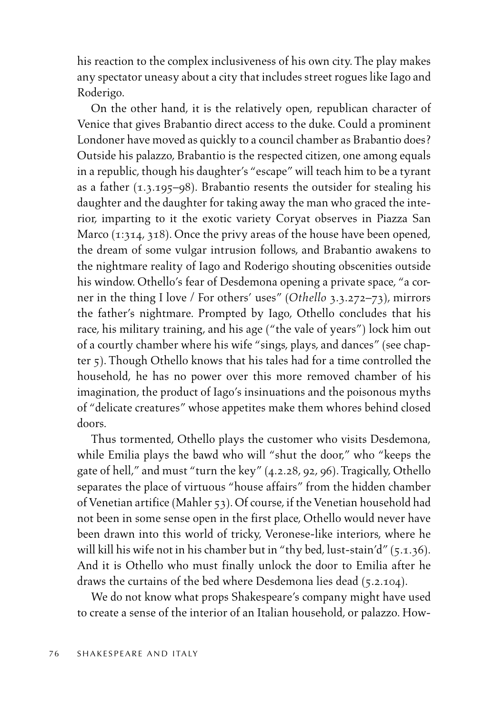his reaction to the complex inclusiveness of his own city. The play makes any spectator uneasy about a city that includes street rogues like Iago and Roderigo.

On the other hand, it is the relatively open, republican character of Venice that gives Brabantio direct access to the duke. Could a prominent Londoner have moved as quickly to a council chamber as Brabantio does? Outside his palazzo, Brabantio is the respected citizen, one among equals in a republic, though his daughter's "escape" will teach him to be a tyrant as a father  $(1.3.195-98)$ . Brabantio resents the outsider for stealing his daughter and the daughter for taking away the man who graced the interior, imparting to it the exotic variety Coryat observes in Piazza San Marco (1:314, 318). Once the privy areas of the house have been opened, the dream of some vulgar intrusion follows, and Brabantio awakens to the nightmare reality of Iago and Roderigo shouting obscenities outside his window. Othello's fear of Desdemona opening a private space, "a corner in the thing I love / For others' uses" (*Othello* 3.3.272–73), mirrors the father's nightmare. Prompted by Iago, Othello concludes that his race, his military training, and his age ("the vale of years") lock him out of a courtly chamber where his wife "sings, plays, and dances" (see chapter 5). Though Othello knows that his tales had for a time controlled the household, he has no power over this more removed chamber of his imagination, the product of Iago's insinuations and the poisonous myths of "delicate creatures" whose appetites make them whores behind closed doors.

Thus tormented, Othello plays the customer who visits Desdemona, while Emilia plays the bawd who will "shut the door," who "keeps the gate of hell," and must "turn the key" (4.2.28, 92, 96). Tragically, Othello separates the place of virtuous "house affairs" from the hidden chamber of Venetian artifice (Mahler 53). Of course, if the Venetian household had not been in some sense open in the first place, Othello would never have been drawn into this world of tricky, Veronese-like interiors, where he will kill his wife not in his chamber but in "thy bed, lust-stain'd" (5.1.36). And it is Othello who must finally unlock the door to Emilia after he draws the curtains of the bed where Desdemona lies dead (5.2.104).

We do not know what props Shakespeare's company might have used to create a sense of the interior of an Italian household, or palazzo. How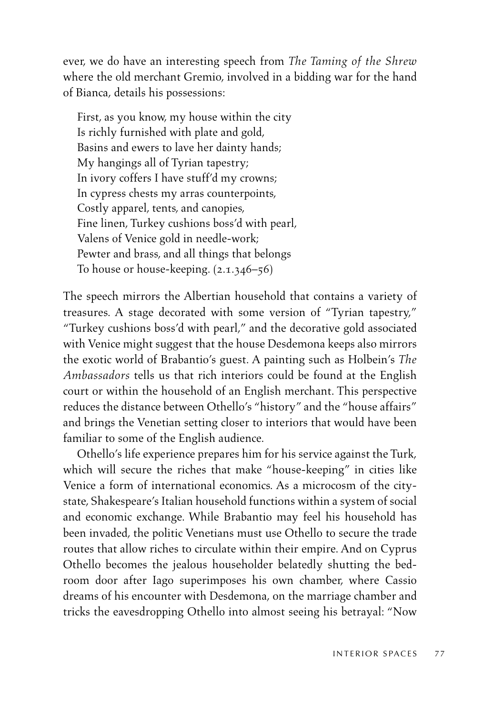ever, we do have an interesting speech from *The Taming of the Shrew* where the old merchant Gremio, involved in a bidding war for the hand of Bianca, details his possessions:

First, as you know, my house within the city Is richly furnished with plate and gold, Basins and ewers to lave her dainty hands; My hangings all of Tyrian tapestry; In ivory coffers I have stuff'd my crowns; In cypress chests my arras counterpoints, Costly apparel, tents, and canopies, Fine linen, Turkey cushions boss'd with pearl, Valens of Venice gold in needle-work; Pewter and brass, and all things that belongs To house or house-keeping. (2.1.346–56)

The speech mirrors the Albertian household that contains a variety of treasures. A stage decorated with some version of "Tyrian tapestry," "Turkey cushions boss'd with pearl," and the decorative gold associated with Venice might suggest that the house Desdemona keeps also mirrors the exotic world of Brabantio's guest. A painting such as Holbein's *The Ambassadors* tells us that rich interiors could be found at the English court or within the household of an English merchant. This perspective reduces the distance between Othello's "history" and the "house affairs" and brings the Venetian setting closer to interiors that would have been familiar to some of the English audience.

Othello's life experience prepares him for his service against the Turk, which will secure the riches that make "house-keeping" in cities like Venice a form of international economics. As a microcosm of the citystate, Shakespeare's Italian household functions within a system of social and economic exchange. While Brabantio may feel his household has been invaded, the politic Venetians must use Othello to secure the trade routes that allow riches to circulate within their empire. And on Cyprus Othello becomes the jealous householder belatedly shutting the bedroom door after Iago superimposes his own chamber, where Cassio dreams of his encounter with Desdemona, on the marriage chamber and tricks the eavesdropping Othello into almost seeing his betrayal: "Now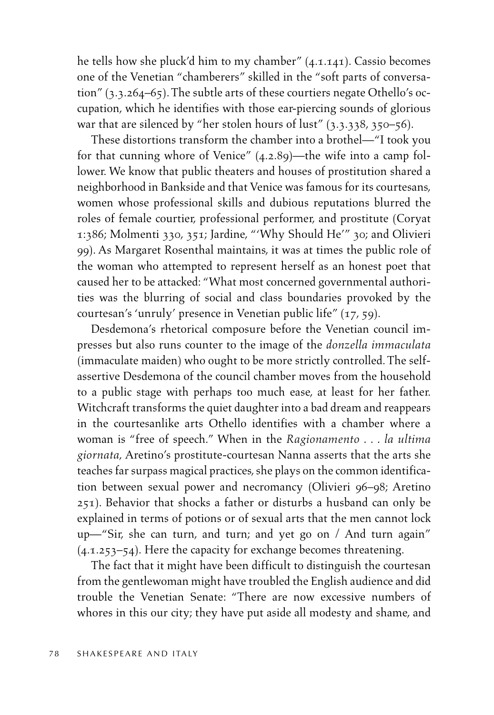he tells how she pluck'd him to my chamber" (4.1.141). Cassio becomes one of the Venetian "chamberers" skilled in the "soft parts of conversation" (3.3.264–65). The subtle arts of these courtiers negate Othello's occupation, which he identifies with those ear-piercing sounds of glorious war that are silenced by "her stolen hours of lust" (3.3.338, 350–56).

These distortions transform the chamber into a brothel—"I took you for that cunning whore of Venice" (4.2.89)—the wife into a camp follower. We know that public theaters and houses of prostitution shared a neighborhood in Bankside and that Venice was famous for its courtesans, women whose professional skills and dubious reputations blurred the roles of female courtier, professional performer, and prostitute (Coryat 1:386; Molmenti 330, 351; Jardine, "'Why Should He'" 30; and Olivieri 99). As Margaret Rosenthal maintains, it was at times the public role of the woman who attempted to represent herself as an honest poet that caused her to be attacked: "What most concerned governmental authorities was the blurring of social and class boundaries provoked by the courtesan's 'unruly' presence in Venetian public life" (17, 59).

Desdemona's rhetorical composure before the Venetian council impresses but also runs counter to the image of the *donzella immaculata* (immaculate maiden) who ought to be more strictly controlled. The selfassertive Desdemona of the council chamber moves from the household to a public stage with perhaps too much ease, at least for her father. Witchcraft transforms the quiet daughter into a bad dream and reappears in the courtesanlike arts Othello identifies with a chamber where a woman is "free of speech." When in the *Ragionamento . . . la ultima giornata,* Aretino's prostitute-courtesan Nanna asserts that the arts she teaches far surpass magical practices, she plays on the common identification between sexual power and necromancy (Olivieri 96–98; Aretino 251). Behavior that shocks a father or disturbs a husband can only be explained in terms of potions or of sexual arts that the men cannot lock up—"Sir, she can turn, and turn; and yet go on / And turn again" (4.1.253–54). Here the capacity for exchange becomes threatening.

The fact that it might have been difficult to distinguish the courtesan from the gentlewoman might have troubled the English audience and did trouble the Venetian Senate: "There are now excessive numbers of whores in this our city; they have put aside all modesty and shame, and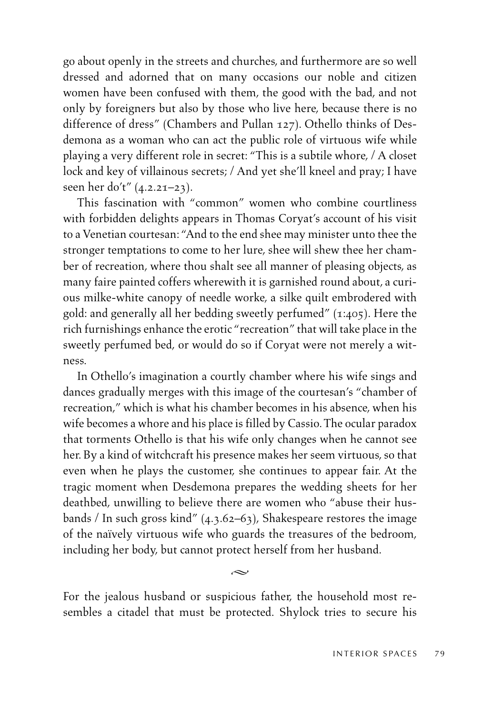go about openly in the streets and churches, and furthermore are so well dressed and adorned that on many occasions our noble and citizen women have been confused with them, the good with the bad, and not only by foreigners but also by those who live here, because there is no difference of dress" (Chambers and Pullan 127). Othello thinks of Desdemona as a woman who can act the public role of virtuous wife while playing a very different role in secret: "This is a subtile whore, / A closet lock and key of villainous secrets; / And yet she'll kneel and pray; I have seen her do't" (4.2.21–23).

This fascination with "common" women who combine courtliness with forbidden delights appears in Thomas Coryat's account of his visit to a Venetian courtesan: "And to the end shee may minister unto thee the stronger temptations to come to her lure, shee will shew thee her chamber of recreation, where thou shalt see all manner of pleasing objects, as many faire painted coffers wherewith it is garnished round about, a curious milke-white canopy of needle worke, a silke quilt embrodered with gold: and generally all her bedding sweetly perfumed" (1:405). Here the rich furnishings enhance the erotic "recreation" that will take place in the sweetly perfumed bed, or would do so if Coryat were not merely a witness.

In Othello's imagination a courtly chamber where his wife sings and dances gradually merges with this image of the courtesan's "chamber of recreation," which is what his chamber becomes in his absence, when his wife becomes a whore and his place is filled by Cassio. The ocular paradox that torments Othello is that his wife only changes when he cannot see her. By a kind of witchcraft his presence makes her seem virtuous, so that even when he plays the customer, she continues to appear fair. At the tragic moment when Desdemona prepares the wedding sheets for her deathbed, unwilling to believe there are women who "abuse their husbands / In such gross kind" (4.3.62–63), Shakespeare restores the image of the naïvely virtuous wife who guards the treasures of the bedroom, including her body, but cannot protect herself from her husband.

For the jealous husband or suspicious father, the household most resembles a citadel that must be protected. Shylock tries to secure his

 $\sim$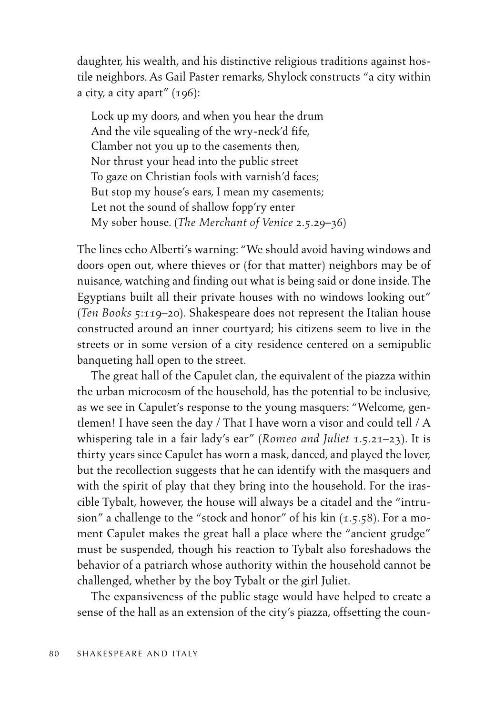daughter, his wealth, and his distinctive religious traditions against hostile neighbors. As Gail Paster remarks, Shylock constructs "a city within a city, a city apart" (196):

Lock up my doors, and when you hear the drum And the vile squealing of the wry-neck'd fife, Clamber not you up to the casements then, Nor thrust your head into the public street To gaze on Christian fools with varnish'd faces; But stop my house's ears, I mean my casements; Let not the sound of shallow fopp'ry enter My sober house. (*The Merchant of Venice* 2.5.29–36)

The lines echo Alberti's warning: "We should avoid having windows and doors open out, where thieves or (for that matter) neighbors may be of nuisance, watching and finding out what is being said or done inside. The Egyptians built all their private houses with no windows looking out" (*Ten Books* 5:119–20). Shakespeare does not represent the Italian house constructed around an inner courtyard; his citizens seem to live in the streets or in some version of a city residence centered on a semipublic banqueting hall open to the street.

The great hall of the Capulet clan, the equivalent of the piazza within the urban microcosm of the household, has the potential to be inclusive, as we see in Capulet's response to the young masquers: "Welcome, gentlemen! I have seen the day / That I have worn a visor and could tell / A whispering tale in a fair lady's ear" (*Romeo and Juliet* 1.5.21–23). It is thirty years since Capulet has worn a mask, danced, and played the lover, but the recollection suggests that he can identify with the masquers and with the spirit of play that they bring into the household. For the irascible Tybalt, however, the house will always be a citadel and the "intrusion" a challenge to the "stock and honor" of his kin (1.5.58). For a moment Capulet makes the great hall a place where the "ancient grudge" must be suspended, though his reaction to Tybalt also foreshadows the behavior of a patriarch whose authority within the household cannot be challenged, whether by the boy Tybalt or the girl Juliet.

The expansiveness of the public stage would have helped to create a sense of the hall as an extension of the city's piazza, offsetting the coun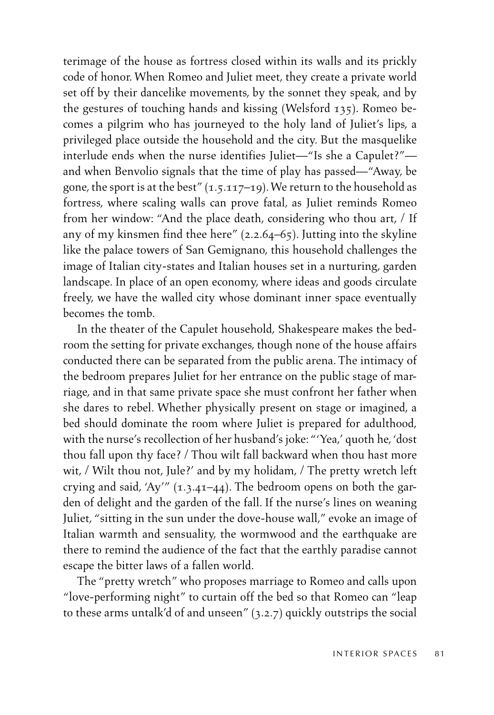terimage of the house as fortress closed within its walls and its prickly code of honor. When Romeo and Juliet meet, they create a private world set off by their dancelike movements, by the sonnet they speak, and by the gestures of touching hands and kissing (Welsford 135). Romeo becomes a pilgrim who has journeyed to the holy land of Juliet's lips, a privileged place outside the household and the city. But the masquelike interlude ends when the nurse identifies Juliet—"Is she a Capulet?" and when Benvolio signals that the time of play has passed—"Away, be gone, the sport is at the best" (1.5.117–19). We return to the household as fortress, where scaling walls can prove fatal, as Juliet reminds Romeo from her window: "And the place death, considering who thou art, / If any of my kinsmen find thee here" (2.2.64–65). Jutting into the skyline like the palace towers of San Gemignano, this household challenges the image of Italian city-states and Italian houses set in a nurturing, garden landscape. In place of an open economy, where ideas and goods circulate freely, we have the walled city whose dominant inner space eventually becomes the tomb.

In the theater of the Capulet household, Shakespeare makes the bedroom the setting for private exchanges, though none of the house affairs conducted there can be separated from the public arena. The intimacy of the bedroom prepares Juliet for her entrance on the public stage of marriage, and in that same private space she must confront her father when she dares to rebel. Whether physically present on stage or imagined, a bed should dominate the room where Juliet is prepared for adulthood, with the nurse's recollection of her husband's joke: "'Yea,' quoth he, 'dost thou fall upon thy face? / Thou wilt fall backward when thou hast more wit, / Wilt thou not, Jule?' and by my holidam, / The pretty wretch left crying and said, 'Ay'"  $(1.3.41-44)$ . The bedroom opens on both the garden of delight and the garden of the fall. If the nurse's lines on weaning Juliet, "sitting in the sun under the dove-house wall," evoke an image of Italian warmth and sensuality, the wormwood and the earthquake are there to remind the audience of the fact that the earthly paradise cannot escape the bitter laws of a fallen world.

The "pretty wretch" who proposes marriage to Romeo and calls upon "love-performing night" to curtain off the bed so that Romeo can "leap to these arms untalk'd of and unseen" (3.2.7) quickly outstrips the social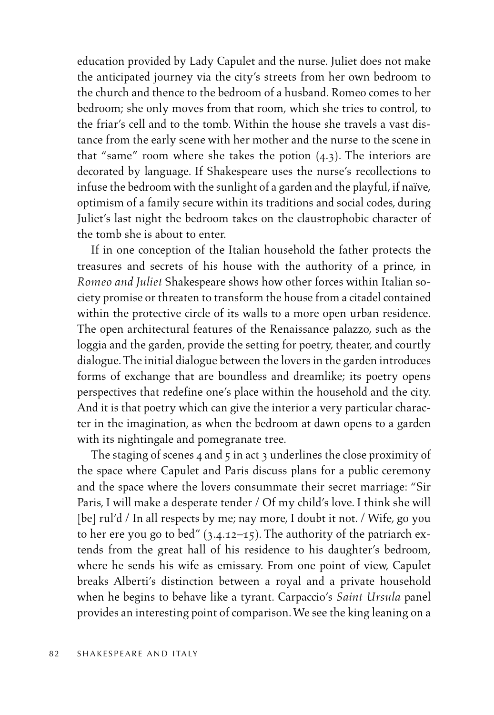education provided by Lady Capulet and the nurse. Juliet does not make the anticipated journey via the city's streets from her own bedroom to the church and thence to the bedroom of a husband. Romeo comes to her bedroom; she only moves from that room, which she tries to control, to the friar's cell and to the tomb. Within the house she travels a vast distance from the early scene with her mother and the nurse to the scene in that "same" room where she takes the potion (4.3). The interiors are decorated by language. If Shakespeare uses the nurse's recollections to infuse the bedroom with the sunlight of a garden and the playful, if naïve, optimism of a family secure within its traditions and social codes, during Juliet's last night the bedroom takes on the claustrophobic character of the tomb she is about to enter.

If in one conception of the Italian household the father protects the treasures and secrets of his house with the authority of a prince, in *Romeo and Juliet* Shakespeare shows how other forces within Italian society promise or threaten to transform the house from a citadel contained within the protective circle of its walls to a more open urban residence. The open architectural features of the Renaissance palazzo, such as the loggia and the garden, provide the setting for poetry, theater, and courtly dialogue. The initial dialogue between the lovers in the garden introduces forms of exchange that are boundless and dreamlike; its poetry opens perspectives that redefine one's place within the household and the city. And it is that poetry which can give the interior a very particular character in the imagination, as when the bedroom at dawn opens to a garden with its nightingale and pomegranate tree.

The staging of scenes 4 and 5 in act 3 underlines the close proximity of the space where Capulet and Paris discuss plans for a public ceremony and the space where the lovers consummate their secret marriage: "Sir Paris, I will make a desperate tender / Of my child's love. I think she will [be] rul'd / In all respects by me; nay more, I doubt it not. / Wife, go you to her ere you go to bed" (3.4.12–15). The authority of the patriarch extends from the great hall of his residence to his daughter's bedroom, where he sends his wife as emissary. From one point of view, Capulet breaks Alberti's distinction between a royal and a private household when he begins to behave like a tyrant. Carpaccio's *Saint Ursula* panel provides an interesting point of comparison. We see the king leaning on a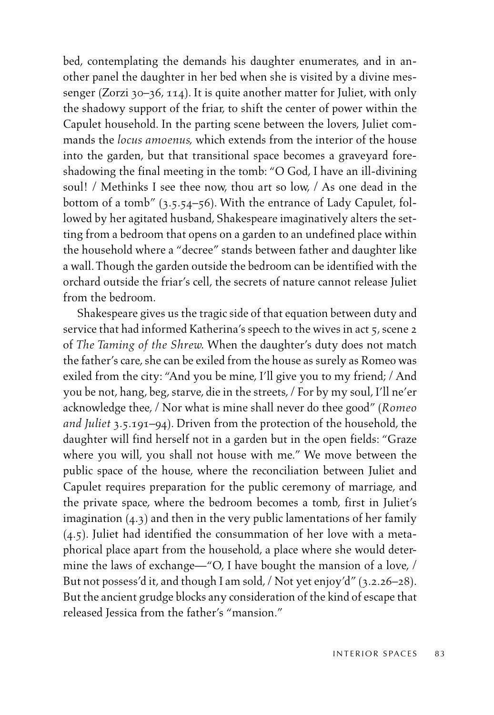bed, contemplating the demands his daughter enumerates, and in another panel the daughter in her bed when she is visited by a divine messenger (Zorzi 30–36, 114). It is quite another matter for Juliet, with only the shadowy support of the friar, to shift the center of power within the Capulet household. In the parting scene between the lovers, Juliet commands the *locus amoenus,* which extends from the interior of the house into the garden, but that transitional space becomes a graveyard foreshadowing the final meeting in the tomb: "O God, I have an ill-divining soul! / Methinks I see thee now, thou art so low, / As one dead in the bottom of a tomb" (3.5.54–56). With the entrance of Lady Capulet, followed by her agitated husband, Shakespeare imaginatively alters the setting from a bedroom that opens on a garden to an undefined place within the household where a "decree" stands between father and daughter like a wall. Though the garden outside the bedroom can be identified with the orchard outside the friar's cell, the secrets of nature cannot release Juliet from the bedroom.

Shakespeare gives us the tragic side of that equation between duty and service that had informed Katherina's speech to the wives in act 5, scene 2 of *The Taming of the Shrew.* When the daughter's duty does not match the father's care, she can be exiled from the house as surely as Romeo was exiled from the city: "And you be mine, I'll give you to my friend; / And you be not, hang, beg, starve, die in the streets, / For by my soul, I'll ne'er acknowledge thee, / Nor what is mine shall never do thee good" (*Romeo and Juliet* 3.5.191–94). Driven from the protection of the household, the daughter will find herself not in a garden but in the open fields: "Graze where you will, you shall not house with me." We move between the public space of the house, where the reconciliation between Juliet and Capulet requires preparation for the public ceremony of marriage, and the private space, where the bedroom becomes a tomb, first in Juliet's imagination (4.3) and then in the very public lamentations of her family (4.5). Juliet had identified the consummation of her love with a metaphorical place apart from the household, a place where she would determine the laws of exchange—"O, I have bought the mansion of a love, / But not possess'd it, and though I am sold, / Not yet enjoy'd" (3.2.26–28). But the ancient grudge blocks any consideration of the kind of escape that released Jessica from the father's "mansion."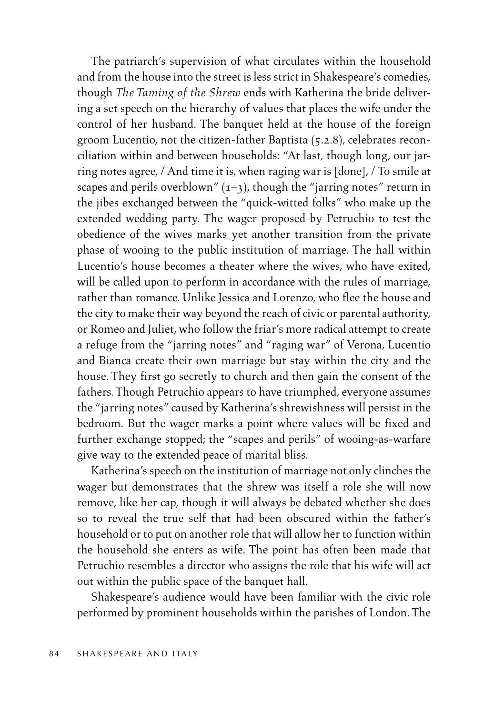The patriarch's supervision of what circulates within the household and from the house into the street is less strict in Shakespeare's comedies, though *The Taming of the Shrew* ends with Katherina the bride delivering a set speech on the hierarchy of values that places the wife under the control of her husband. The banquet held at the house of the foreign groom Lucentio, not the citizen-father Baptista (5.2.8), celebrates reconciliation within and between households: "At last, though long, our jarring notes agree, / And time it is, when raging war is [done], / To smile at scapes and perils overblown"  $(1-3)$ , though the "jarring notes" return in the jibes exchanged between the "quick-witted folks" who make up the extended wedding party. The wager proposed by Petruchio to test the obedience of the wives marks yet another transition from the private phase of wooing to the public institution of marriage. The hall within Lucentio's house becomes a theater where the wives, who have exited, will be called upon to perform in accordance with the rules of marriage, rather than romance. Unlike Jessica and Lorenzo, who flee the house and the city to make their way beyond the reach of civic or parental authority, or Romeo and Juliet, who follow the friar's more radical attempt to create a refuge from the "jarring notes" and "raging war" of Verona, Lucentio and Bianca create their own marriage but stay within the city and the house. They first go secretly to church and then gain the consent of the fathers. Though Petruchio appears to have triumphed, everyone assumes the "jarring notes" caused by Katherina's shrewishness will persist in the bedroom. But the wager marks a point where values will be fixed and further exchange stopped; the "scapes and perils" of wooing-as-warfare give way to the extended peace of marital bliss.

Katherina's speech on the institution of marriage not only clinches the wager but demonstrates that the shrew was itself a role she will now remove, like her cap, though it will always be debated whether she does so to reveal the true self that had been obscured within the father's household or to put on another role that will allow her to function within the household she enters as wife. The point has often been made that Petruchio resembles a director who assigns the role that his wife will act out within the public space of the banquet hall.

Shakespeare's audience would have been familiar with the civic role performed by prominent households within the parishes of London. The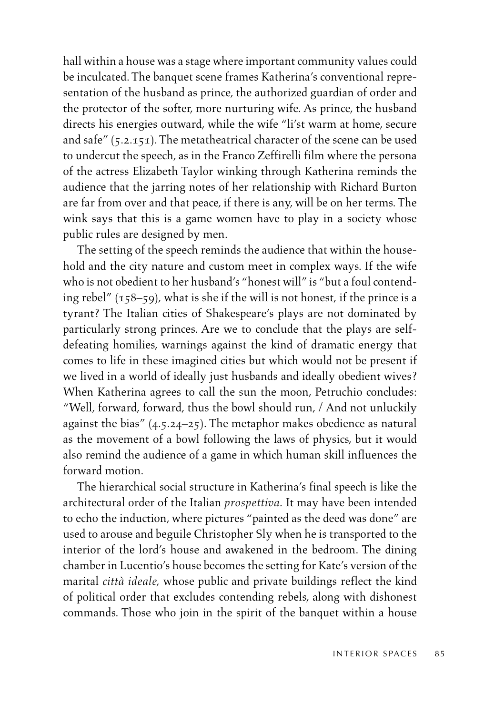hall within a house was a stage where important community values could be inculcated. The banquet scene frames Katherina's conventional representation of the husband as prince, the authorized guardian of order and the protector of the softer, more nurturing wife. As prince, the husband directs his energies outward, while the wife "li'st warm at home, secure and safe" (5.2.151). The metatheatrical character of the scene can be used to undercut the speech, as in the Franco Zeffirelli film where the persona of the actress Elizabeth Taylor winking through Katherina reminds the audience that the jarring notes of her relationship with Richard Burton are far from over and that peace, if there is any, will be on her terms. The wink says that this is a game women have to play in a society whose public rules are designed by men.

The setting of the speech reminds the audience that within the household and the city nature and custom meet in complex ways. If the wife who is not obedient to her husband's "honest will" is "but a foul contending rebel" (158–59), what is she if the will is not honest, if the prince is a tyrant? The Italian cities of Shakespeare's plays are not dominated by particularly strong princes. Are we to conclude that the plays are selfdefeating homilies, warnings against the kind of dramatic energy that comes to life in these imagined cities but which would not be present if we lived in a world of ideally just husbands and ideally obedient wives? When Katherina agrees to call the sun the moon, Petruchio concludes: "Well, forward, forward, thus the bowl should run, / And not unluckily against the bias" (4.5.24–25). The metaphor makes obedience as natural as the movement of a bowl following the laws of physics, but it would also remind the audience of a game in which human skill influences the forward motion.

The hierarchical social structure in Katherina's final speech is like the architectural order of the Italian *prospettiva.* It may have been intended to echo the induction, where pictures "painted as the deed was done" are used to arouse and beguile Christopher Sly when he is transported to the interior of the lord's house and awakened in the bedroom. The dining chamber in Lucentio's house becomes the setting for Kate's version of the marital *città ideale,* whose public and private buildings reflect the kind of political order that excludes contending rebels, along with dishonest commands. Those who join in the spirit of the banquet within a house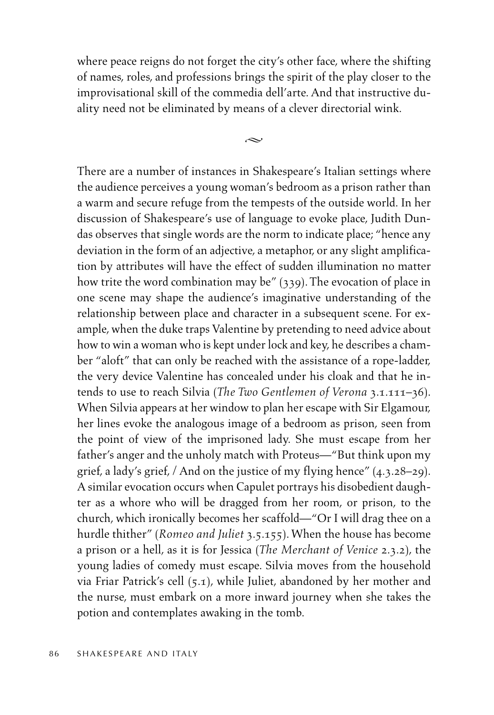where peace reigns do not forget the city's other face, where the shifting of names, roles, and professions brings the spirit of the play closer to the improvisational skill of the commedia dell'arte. And that instructive duality need not be eliminated by means of a clever directorial wink.

 $\sim$ 

There are a number of instances in Shakespeare's Italian settings where the audience perceives a young woman's bedroom as a prison rather than a warm and secure refuge from the tempests of the outside world. In her discussion of Shakespeare's use of language to evoke place, Judith Dundas observes that single words are the norm to indicate place; "hence any deviation in the form of an adjective, a metaphor, or any slight amplification by attributes will have the effect of sudden illumination no matter how trite the word combination may be" (339). The evocation of place in one scene may shape the audience's imaginative understanding of the relationship between place and character in a subsequent scene. For example, when the duke traps Valentine by pretending to need advice about how to win a woman who is kept under lock and key, he describes a chamber "aloft" that can only be reached with the assistance of a rope-ladder, the very device Valentine has concealed under his cloak and that he intends to use to reach Silvia (*The Two Gentlemen of Verona* 3.1.111–36). When Silvia appears at her window to plan her escape with Sir Elgamour, her lines evoke the analogous image of a bedroom as prison, seen from the point of view of the imprisoned lady. She must escape from her father's anger and the unholy match with Proteus—"But think upon my grief, a lady's grief, / And on the justice of my flying hence" (4.3.28–29). A similar evocation occurs when Capulet portrays his disobedient daughter as a whore who will be dragged from her room, or prison, to the church, which ironically becomes her scaffold—"Or I will drag thee on a hurdle thither" (*Romeo and Juliet* 3.5.155). When the house has become a prison or a hell, as it is for Jessica (*The Merchant of Venice* 2.3.2), the young ladies of comedy must escape. Silvia moves from the household via Friar Patrick's cell (5.1), while Juliet, abandoned by her mother and the nurse, must embark on a more inward journey when she takes the potion and contemplates awaking in the tomb.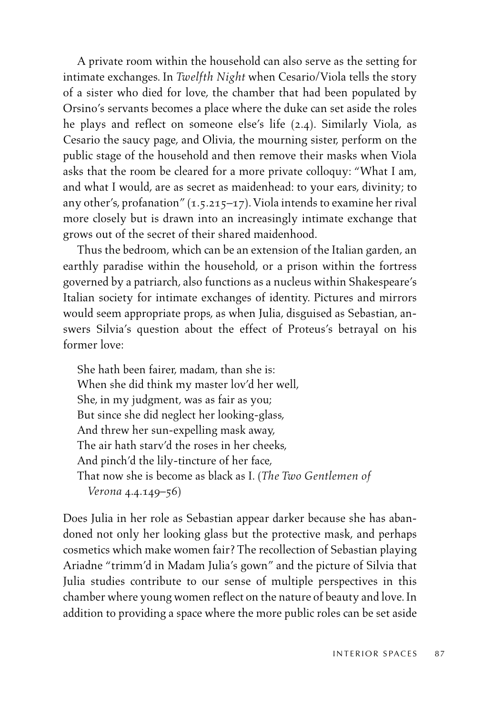A private room within the household can also serve as the setting for intimate exchanges. In *Twelfth Night* when Cesario/Viola tells the story of a sister who died for love, the chamber that had been populated by Orsino's servants becomes a place where the duke can set aside the roles he plays and reflect on someone else's life (2.4). Similarly Viola, as Cesario the saucy page, and Olivia, the mourning sister, perform on the public stage of the household and then remove their masks when Viola asks that the room be cleared for a more private colloquy: "What I am, and what I would, are as secret as maidenhead: to your ears, divinity; to any other's, profanation" (1.5.215–17). Viola intends to examine her rival more closely but is drawn into an increasingly intimate exchange that grows out of the secret of their shared maidenhood.

Thus the bedroom, which can be an extension of the Italian garden, an earthly paradise within the household, or a prison within the fortress governed by a patriarch, also functions as a nucleus within Shakespeare's Italian society for intimate exchanges of identity. Pictures and mirrors would seem appropriate props, as when Julia, disguised as Sebastian, answers Silvia's question about the effect of Proteus's betrayal on his former love:

She hath been fairer, madam, than she is: When she did think my master lov'd her well, She, in my judgment, was as fair as you; But since she did neglect her looking-glass, And threw her sun-expelling mask away, The air hath starv'd the roses in her cheeks, And pinch'd the lily-tincture of her face, That now she is become as black as I. (*The Two Gentlemen of Verona* 4.4.149–56)

Does Julia in her role as Sebastian appear darker because she has abandoned not only her looking glass but the protective mask, and perhaps cosmetics which make women fair? The recollection of Sebastian playing Ariadne "trimm'd in Madam Julia's gown" and the picture of Silvia that Julia studies contribute to our sense of multiple perspectives in this chamber where young women reflect on the nature of beauty and love. In addition to providing a space where the more public roles can be set aside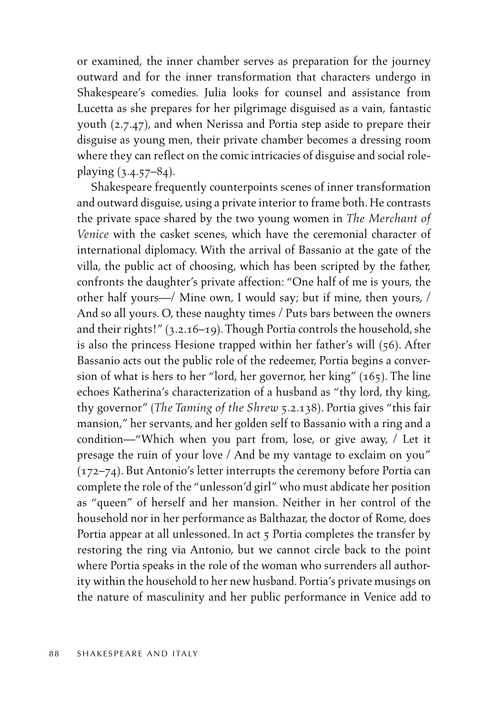or examined, the inner chamber serves as preparation for the journey outward and for the inner transformation that characters undergo in Shakespeare's comedies. Julia looks for counsel and assistance from Lucetta as she prepares for her pilgrimage disguised as a vain, fantastic youth (2.7.47), and when Nerissa and Portia step aside to prepare their disguise as young men, their private chamber becomes a dressing room where they can reflect on the comic intricacies of disguise and social roleplaying (3.4.57–84).

Shakespeare frequently counterpoints scenes of inner transformation and outward disguise, using a private interior to frame both. He contrasts the private space shared by the two young women in *The Merchant of Venice* with the casket scenes, which have the ceremonial character of international diplomacy. With the arrival of Bassanio at the gate of the villa, the public act of choosing, which has been scripted by the father, confronts the daughter's private affection: "One half of me is yours, the other half yours—/ Mine own, I would say; but if mine, then yours, / And so all yours. O, these naughty times / Puts bars between the owners and their rights!" (3.2.16–19). Though Portia controls the household, she is also the princess Hesione trapped within her father's will (56). After Bassanio acts out the public role of the redeemer, Portia begins a conversion of what is hers to her "lord, her governor, her king" (165). The line echoes Katherina's characterization of a husband as "thy lord, thy king, thy governor" (*The Taming of the Shrew* 5.2.138). Portia gives "this fair mansion," her servants, and her golden self to Bassanio with a ring and a condition—"Which when you part from, lose, or give away, / Let it presage the ruin of your love / And be my vantage to exclaim on you" (172–74). But Antonio's letter interrupts the ceremony before Portia can complete the role of the "unlesson'd girl" who must abdicate her position as "queen" of herself and her mansion. Neither in her control of the household nor in her performance as Balthazar, the doctor of Rome, does Portia appear at all unlessoned. In act 5 Portia completes the transfer by restoring the ring via Antonio, but we cannot circle back to the point where Portia speaks in the role of the woman who surrenders all authority within the household to her new husband. Portia's private musings on the nature of masculinity and her public performance in Venice add to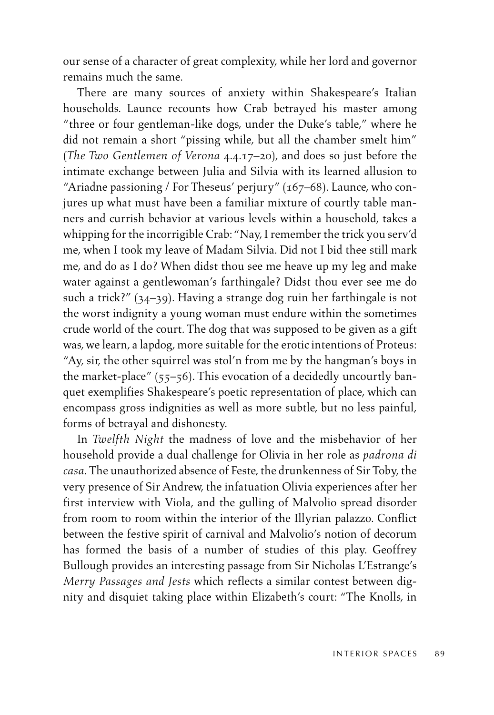our sense of a character of great complexity, while her lord and governor remains much the same.

There are many sources of anxiety within Shakespeare's Italian households. Launce recounts how Crab betrayed his master among "three or four gentleman-like dogs, under the Duke's table," where he did not remain a short "pissing while, but all the chamber smelt him" (*The Two Gentlemen of Verona* 4.4.17–20), and does so just before the intimate exchange between Julia and Silvia with its learned allusion to "Ariadne passioning / For Theseus' perjury" (167–68). Launce, who conjures up what must have been a familiar mixture of courtly table manners and currish behavior at various levels within a household, takes a whipping for the incorrigible Crab: "Nay, I remember the trick you serv'd me, when I took my leave of Madam Silvia. Did not I bid thee still mark me, and do as I do? When didst thou see me heave up my leg and make water against a gentlewoman's farthingale? Didst thou ever see me do such a trick?" (34–39). Having a strange dog ruin her farthingale is not the worst indignity a young woman must endure within the sometimes crude world of the court. The dog that was supposed to be given as a gift was, we learn, a lapdog, more suitable for the erotic intentions of Proteus: "Ay, sir, the other squirrel was stol'n from me by the hangman's boys in the market-place" (55–56). This evocation of a decidedly uncourtly banquet exemplifies Shakespeare's poetic representation of place, which can encompass gross indignities as well as more subtle, but no less painful, forms of betrayal and dishonesty.

In *Twelfth Night* the madness of love and the misbehavior of her household provide a dual challenge for Olivia in her role as *padrona di casa.* The unauthorized absence of Feste, the drunkenness of Sir Toby, the very presence of Sir Andrew, the infatuation Olivia experiences after her first interview with Viola, and the gulling of Malvolio spread disorder from room to room within the interior of the Illyrian palazzo. Conflict between the festive spirit of carnival and Malvolio's notion of decorum has formed the basis of a number of studies of this play. Geoffrey Bullough provides an interesting passage from Sir Nicholas L'Estrange's *Merry Passages and Jests* which reflects a similar contest between dignity and disquiet taking place within Elizabeth's court: "The Knolls, in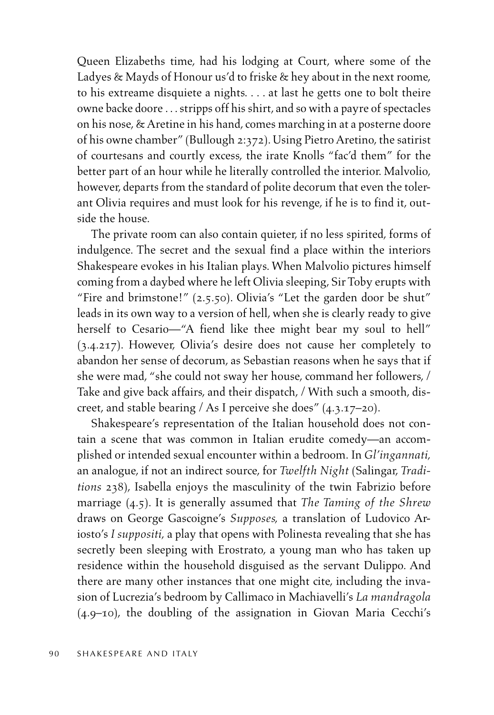Queen Elizabeths time, had his lodging at Court, where some of the Ladyes & Mayds of Honour us'd to friske & hey about in the next roome, to his extreame disquiete a nights. . . . at last he getts one to bolt theire owne backe doore . . . stripps off his shirt, and so with a payre of spectacles on his nose, & Aretine in his hand, comes marching in at a posterne doore of his owne chamber" (Bullough 2:372). Using Pietro Aretino, the satirist of courtesans and courtly excess, the irate Knolls "fac'd them" for the better part of an hour while he literally controlled the interior. Malvolio, however, departs from the standard of polite decorum that even the tolerant Olivia requires and must look for his revenge, if he is to find it, outside the house.

The private room can also contain quieter, if no less spirited, forms of indulgence. The secret and the sexual find a place within the interiors Shakespeare evokes in his Italian plays. When Malvolio pictures himself coming from a daybed where he left Olivia sleeping, Sir Toby erupts with "Fire and brimstone!" (2.5.50). Olivia's "Let the garden door be shut" leads in its own way to a version of hell, when she is clearly ready to give herself to Cesario—"A fiend like thee might bear my soul to hell" (3.4.217). However, Olivia's desire does not cause her completely to abandon her sense of decorum, as Sebastian reasons when he says that if she were mad, "she could not sway her house, command her followers, / Take and give back affairs, and their dispatch, / With such a smooth, discreet, and stable bearing / As I perceive she does" (4.3.17–20).

Shakespeare's representation of the Italian household does not contain a scene that was common in Italian erudite comedy—an accomplished or intended sexual encounter within a bedroom. In *Gl'ingannati,* an analogue, if not an indirect source, for *Twelfth Night* (Salingar, *Traditions* 238), Isabella enjoys the masculinity of the twin Fabrizio before marriage (4.5). It is generally assumed that *The Taming of the Shrew* draws on George Gascoigne's *Supposes,* a translation of Ludovico Ariosto's *I suppositi,* a play that opens with Polinesta revealing that she has secretly been sleeping with Erostrato, a young man who has taken up residence within the household disguised as the servant Dulippo. And there are many other instances that one might cite, including the invasion of Lucrezia's bedroom by Callimaco in Machiavelli's *La mandragola* (4.9–10), the doubling of the assignation in Giovan Maria Cecchi's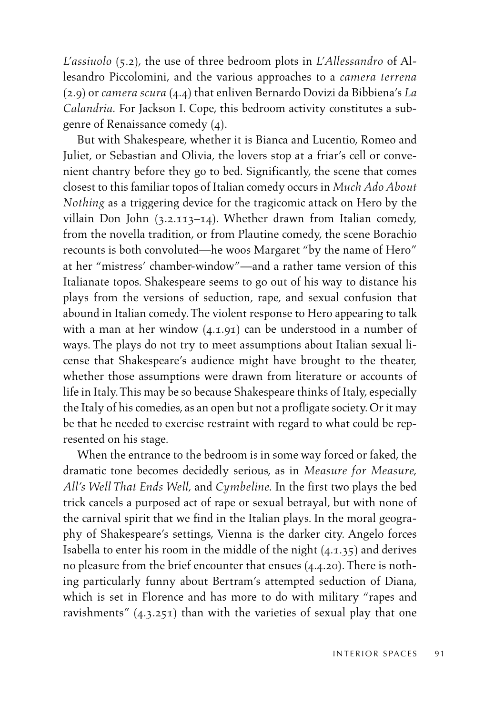*L'assiuolo* (5.2), the use of three bedroom plots in *L'Allessandro* of Allesandro Piccolomini, and the various approaches to a *camera terrena* (2.9) or *camera scura* (4.4) that enliven Bernardo Dovizi da Bibbiena's *La Calandria.* For Jackson I. Cope, this bedroom activity constitutes a subgenre of Renaissance comedy (4).

But with Shakespeare, whether it is Bianca and Lucentio, Romeo and Juliet, or Sebastian and Olivia, the lovers stop at a friar's cell or convenient chantry before they go to bed. Significantly, the scene that comes closest to this familiar topos of Italian comedy occurs in *Much Ado About Nothing* as a triggering device for the tragicomic attack on Hero by the villain Don John (3.2.113–14). Whether drawn from Italian comedy, from the novella tradition, or from Plautine comedy, the scene Borachio recounts is both convoluted—he woos Margaret "by the name of Hero" at her "mistress' chamber-window"—and a rather tame version of this Italianate topos. Shakespeare seems to go out of his way to distance his plays from the versions of seduction, rape, and sexual confusion that abound in Italian comedy. The violent response to Hero appearing to talk with a man at her window (4.1.91) can be understood in a number of ways. The plays do not try to meet assumptions about Italian sexual license that Shakespeare's audience might have brought to the theater, whether those assumptions were drawn from literature or accounts of life in Italy. This may be so because Shakespeare thinks of Italy, especially the Italy of his comedies, as an open but not a profligate society. Or it may be that he needed to exercise restraint with regard to what could be represented on his stage.

When the entrance to the bedroom is in some way forced or faked, the dramatic tone becomes decidedly serious, as in *Measure for Measure, All's Well That Ends Well,* and *Cymbeline.* In the first two plays the bed trick cancels a purposed act of rape or sexual betrayal, but with none of the carnival spirit that we find in the Italian plays. In the moral geography of Shakespeare's settings, Vienna is the darker city. Angelo forces Isabella to enter his room in the middle of the night (4.1.35) and derives no pleasure from the brief encounter that ensues (4.4.20). There is nothing particularly funny about Bertram's attempted seduction of Diana, which is set in Florence and has more to do with military "rapes and ravishments" (4.3.251) than with the varieties of sexual play that one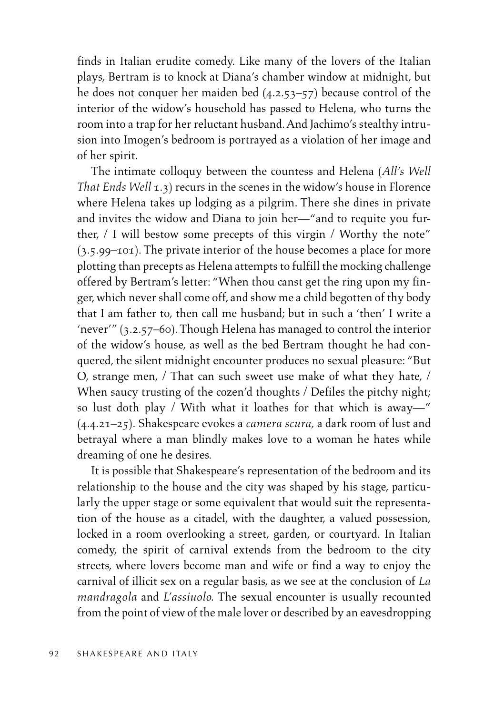finds in Italian erudite comedy. Like many of the lovers of the Italian plays, Bertram is to knock at Diana's chamber window at midnight, but he does not conquer her maiden bed  $(4.2.53-57)$  because control of the interior of the widow's household has passed to Helena, who turns the room into a trap for her reluctant husband. And Jachimo's stealthy intrusion into Imogen's bedroom is portrayed as a violation of her image and of her spirit.

The intimate colloquy between the countess and Helena (*All's Well That Ends Well* 1.3) recurs in the scenes in the widow's house in Florence where Helena takes up lodging as a pilgrim. There she dines in private and invites the widow and Diana to join her—"and to requite you further, / I will bestow some precepts of this virgin / Worthy the note" (3.5.99–101). The private interior of the house becomes a place for more plotting than precepts as Helena attempts to fulfill the mocking challenge offered by Bertram's letter: "When thou canst get the ring upon my finger, which never shall come off, and show me a child begotten of thy body that I am father to, then call me husband; but in such a 'then' I write a 'never'" (3.2.57–60). Though Helena has managed to control the interior of the widow's house, as well as the bed Bertram thought he had conquered, the silent midnight encounter produces no sexual pleasure: "But O, strange men, / That can such sweet use make of what they hate, / When saucy trusting of the cozen'd thoughts / Defiles the pitchy night; so lust doth play / With what it loathes for that which is away—" (4.4.21–25). Shakespeare evokes a *camera scura,* a dark room of lust and betrayal where a man blindly makes love to a woman he hates while dreaming of one he desires.

It is possible that Shakespeare's representation of the bedroom and its relationship to the house and the city was shaped by his stage, particularly the upper stage or some equivalent that would suit the representation of the house as a citadel, with the daughter, a valued possession, locked in a room overlooking a street, garden, or courtyard. In Italian comedy, the spirit of carnival extends from the bedroom to the city streets, where lovers become man and wife or find a way to enjoy the carnival of illicit sex on a regular basis, as we see at the conclusion of *La mandragola* and *L'assiuolo.* The sexual encounter is usually recounted from the point of view of the male lover or described by an eavesdropping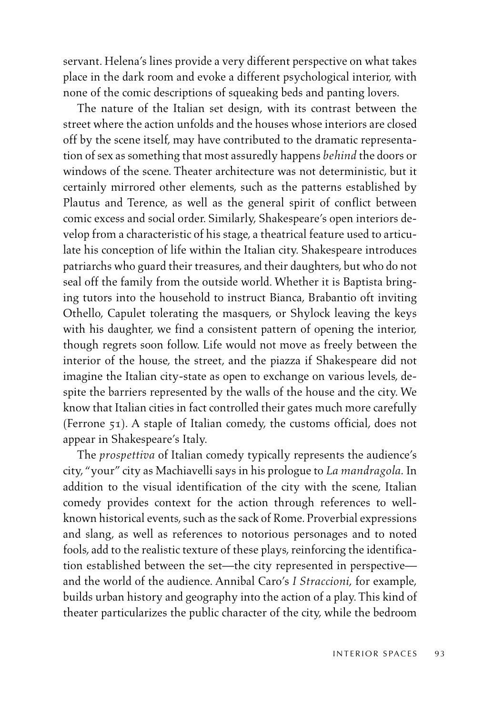servant. Helena's lines provide a very different perspective on what takes place in the dark room and evoke a different psychological interior, with none of the comic descriptions of squeaking beds and panting lovers.

The nature of the Italian set design, with its contrast between the street where the action unfolds and the houses whose interiors are closed off by the scene itself, may have contributed to the dramatic representation of sex as something that most assuredly happens *behind* the doors or windows of the scene. Theater architecture was not deterministic, but it certainly mirrored other elements, such as the patterns established by Plautus and Terence, as well as the general spirit of conflict between comic excess and social order. Similarly, Shakespeare's open interiors develop from a characteristic of his stage, a theatrical feature used to articulate his conception of life within the Italian city. Shakespeare introduces patriarchs who guard their treasures, and their daughters, but who do not seal off the family from the outside world. Whether it is Baptista bringing tutors into the household to instruct Bianca, Brabantio oft inviting Othello, Capulet tolerating the masquers, or Shylock leaving the keys with his daughter, we find a consistent pattern of opening the interior, though regrets soon follow. Life would not move as freely between the interior of the house, the street, and the piazza if Shakespeare did not imagine the Italian city-state as open to exchange on various levels, despite the barriers represented by the walls of the house and the city. We know that Italian cities in fact controlled their gates much more carefully (Ferrone 51). A staple of Italian comedy, the customs official, does not appear in Shakespeare's Italy.

The *prospettiva* of Italian comedy typically represents the audience's city, "your" city as Machiavelli says in his prologue to *La mandragola.* In addition to the visual identification of the city with the scene, Italian comedy provides context for the action through references to wellknown historical events, such as the sack of Rome. Proverbial expressions and slang, as well as references to notorious personages and to noted fools, add to the realistic texture of these plays, reinforcing the identification established between the set—the city represented in perspective and the world of the audience. Annibal Caro's *I Straccioni,* for example, builds urban history and geography into the action of a play. This kind of theater particularizes the public character of the city, while the bedroom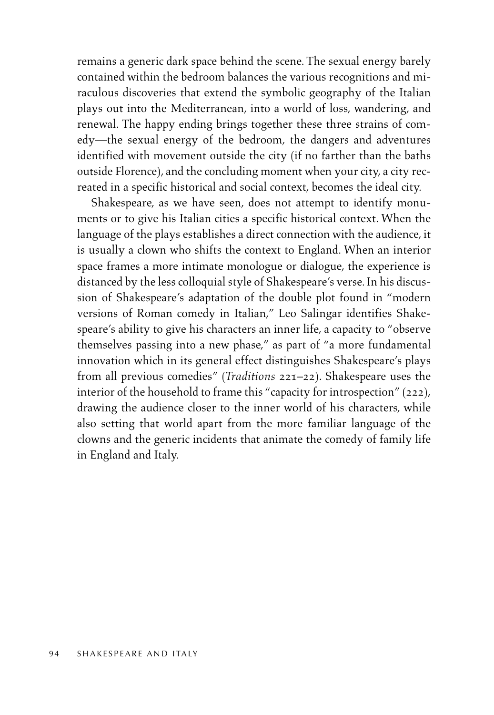remains a generic dark space behind the scene. The sexual energy barely contained within the bedroom balances the various recognitions and miraculous discoveries that extend the symbolic geography of the Italian plays out into the Mediterranean, into a world of loss, wandering, and renewal. The happy ending brings together these three strains of comedy—the sexual energy of the bedroom, the dangers and adventures identified with movement outside the city (if no farther than the baths outside Florence), and the concluding moment when your city, a city recreated in a specific historical and social context, becomes the ideal city.

Shakespeare, as we have seen, does not attempt to identify monuments or to give his Italian cities a specific historical context. When the language of the plays establishes a direct connection with the audience, it is usually a clown who shifts the context to England. When an interior space frames a more intimate monologue or dialogue, the experience is distanced by the less colloquial style of Shakespeare's verse. In his discussion of Shakespeare's adaptation of the double plot found in "modern versions of Roman comedy in Italian," Leo Salingar identifies Shakespeare's ability to give his characters an inner life, a capacity to "observe themselves passing into a new phase," as part of "a more fundamental innovation which in its general effect distinguishes Shakespeare's plays from all previous comedies" (*Traditions* 221–22). Shakespeare uses the interior of the household to frame this "capacity for introspection" (222), drawing the audience closer to the inner world of his characters, while also setting that world apart from the more familiar language of the clowns and the generic incidents that animate the comedy of family life in England and Italy.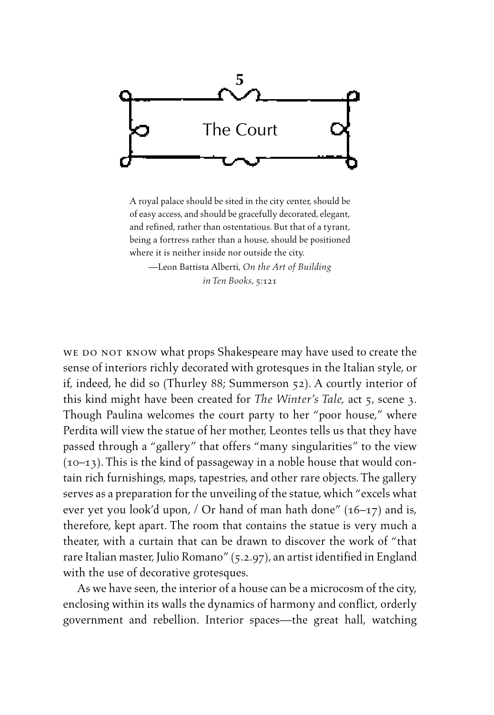

A royal palace should be sited in the city center, should be of easy access, and should be gracefully decorated, elegant, and refined, rather than ostentatious. But that of a tyrant, being a fortress rather than a house, should be positioned where it is neither inside nor outside the city.

—Leon Battista Alberti, *On the Art of Building in Ten Books*, 5:121

WE DO NOT KNOW what props Shakespeare may have used to create the sense of interiors richly decorated with grotesques in the Italian style, or if, indeed, he did so (Thurley 88; Summerson 52). A courtly interior of this kind might have been created for *The Winter's Tale,* act 5, scene 3. Though Paulina welcomes the court party to her "poor house," where Perdita will view the statue of her mother, Leontes tells us that they have passed through a "gallery" that offers "many singularities" to the view (10–13). This is the kind of passageway in a noble house that would contain rich furnishings, maps, tapestries, and other rare objects. The gallery serves as a preparation for the unveiling of the statue, which "excels what ever yet you look'd upon, / Or hand of man hath done"  $(16-17)$  and is, therefore, kept apart. The room that contains the statue is very much a theater, with a curtain that can be drawn to discover the work of "that rare Italian master, Julio Romano" (5.2.97), an artist identified in England with the use of decorative grotesques.

As we have seen, the interior of a house can be a microcosm of the city, enclosing within its walls the dynamics of harmony and conflict, orderly government and rebellion. Interior spaces—the great hall, watching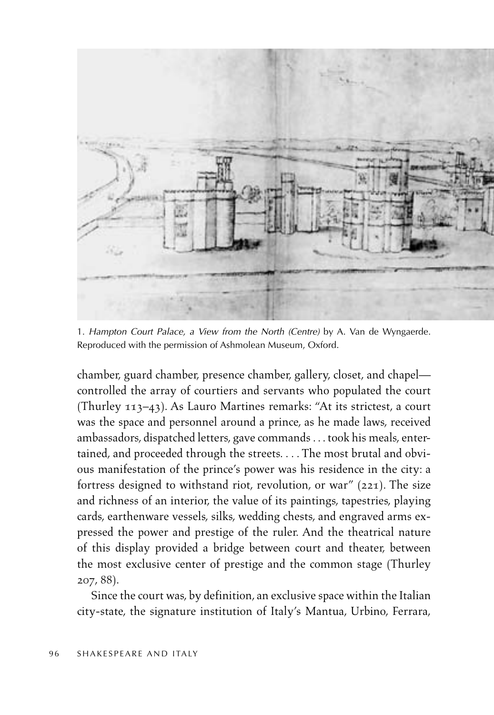

1. Hampton Court Palace, a View from the North (Centre) by A. Van de Wyngaerde. Reproduced with the permission of Ashmolean Museum, Oxford.

chamber, guard chamber, presence chamber, gallery, closet, and chapel controlled the array of courtiers and servants who populated the court (Thurley 113–43). As Lauro Martines remarks: "At its strictest, a court was the space and personnel around a prince, as he made laws, received ambassadors, dispatched letters, gave commands . . . took his meals, entertained, and proceeded through the streets. . . . The most brutal and obvious manifestation of the prince's power was his residence in the city: a fortress designed to withstand riot, revolution, or war" (221). The size and richness of an interior, the value of its paintings, tapestries, playing cards, earthenware vessels, silks, wedding chests, and engraved arms expressed the power and prestige of the ruler. And the theatrical nature of this display provided a bridge between court and theater, between the most exclusive center of prestige and the common stage (Thurley 207, 88).

Since the court was, by definition, an exclusive space within the Italian city-state, the signature institution of Italy's Mantua, Urbino, Ferrara,